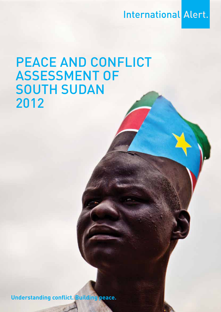**International Alert.** 

# PEACE AND CONFLICT Assessment of **SOUTH SUDAN** 2012

**Understanding conflict. Building peace.**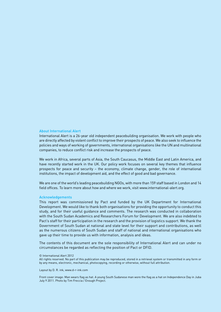#### About International Alert

International Alert is a 26-year old independent peacebuilding organisation. We work with people who are directly affected by violent conflict to improve their prospects of peace. We also seek to influence the policies and ways of working of governments, international organisations like the UN and multinational companies, to reduce conflict risk and increase the prospects of peace.

We work in Africa, several parts of Asia, the South Caucasus, the Middle East and Latin America, and have recently started work in the UK. Our policy work focuses on several key themes that influence prospects for peace and security – the economy, climate change, gender, the role of international institutions, the impact of development aid, and the effect of good and bad governance.

We are one of the world's leading peacebuilding NGOs, with more than 159 staff based in London and 14 field offices. To learn more about how and where we work, visit www.international-alert.org.

#### Acknowledgements

This report was commissioned by Pact and funded by the UK Department for International Development. We would like to thank both organisations for providing the opportunity to conduct this study, and for their useful guidance and comments. The research was conducted in collaboration with the South Sudan Academics and Researchers Forum for Development. We are also indebted to Pact's staff for their participation in the research and the provision of logistics support. We thank the Government of South Sudan at national and state level for their support and contributions, as well as the numerous citizens of South Sudan and staff of national and international organisations who gave up their time to provide us with information, analysis and ideas.

The contents of this document are the sole responsibility of International Alert and can under no circumstances be regarded as reflecting the position of Pact or DFID.

© International Alert 2012

All rights reserved. No part of this publication may be reproduced, stored in a retrieval system or transmitted in any form or by any means, electronic, mechanical, photocopying, recording or otherwise, without full attribution.

Layout by D. R. ink, www.d-r-ink.com

Front cover image: Man wears flag as hat. A young South Sudanese man wore the flag as a hat on Independence Day in Juba July 9 2011. Photo by Tim Freccia / Enough Project.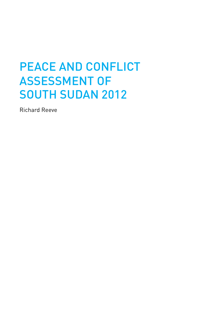# PEACE AND CONFLICT Assessment of SOUTH SUDAN 2012

Richard Reeve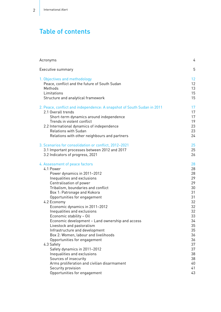# Table of contents

| Acronyms                                                               | 4  |
|------------------------------------------------------------------------|----|
| Executive summary                                                      | 5  |
| 1. Objectives and methodology                                          | 12 |
| Peace, conflict and the future of South Sudan                          | 12 |
| Methods                                                                | 13 |
| Limitations                                                            | 15 |
| Structure and analytical framework                                     | 15 |
| 2. Peace, conflict and independence: A snapshot of South Sudan in 2011 | 17 |
| 2.1 Overall trends                                                     | 17 |
| Short-term dynamics around independence                                | 17 |
| Trends in violent conflict                                             | 19 |
| 2.2 International dynamics of independence                             | 23 |
| <b>Relations with Sudan</b>                                            | 23 |
| Relations with other neighbours and partners                           | 24 |
| 3. Scenarios for consolidation or conflict, 2012-2021                  | 25 |
| 3.1 Important processes between 2012 and 2017                          | 25 |
| 3.2 Indicators of progress, 2021                                       | 26 |
| 4. Assessment of peace factors                                         | 28 |
| 4.1 Power                                                              | 28 |
| Power dynamics in 2011-2012                                            | 28 |
| Inequalities and exclusions                                            | 29 |
| Centralisation of power                                                | 29 |
| Tribalism, boundaries and conflict                                     | 30 |
| Box 1: Patronage and Kokora                                            | 31 |
| Opportunities for engagement                                           | 31 |
| 4.2 Economy                                                            | 32 |
| Economic dynamics in 2011-2012                                         | 32 |
| Inequalities and exclusions                                            | 32 |
| Economic stability - Oil                                               | 33 |
| Economic development - Land ownership and access                       | 34 |
| Livestock and pastoralism                                              | 35 |
| Infrastructure and development                                         | 35 |
| Box 2: Women, labour and livelihoods                                   | 36 |
| Opportunities for engagement                                           | 36 |
| 4.3 Safety                                                             | 37 |
| Safety dynamics in 2011-2012                                           | 37 |
| Inequalities and exclusions                                            | 38 |
| Sources of insecurity                                                  | 38 |
| Arms proliferation and civilian disarmament                            | 40 |
| Security provision                                                     | 41 |
| Opportunities for engagement                                           | 43 |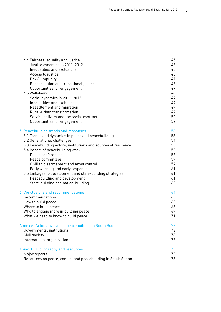| 4.4 Fairness, equality and justice                               | 45 |
|------------------------------------------------------------------|----|
| Justice dynamics in 2011-2012                                    | 45 |
| Inequalities and exclusions                                      | 45 |
| Access to justice                                                | 45 |
| Box 3: Impunity                                                  | 47 |
| Reconciliation and transitional justice                          | 47 |
| Opportunities for engagement                                     | 47 |
| 4.5 Well-being                                                   | 48 |
| Social dynamics in 2011-2012                                     | 49 |
| Inequalities and exclusions                                      | 49 |
| Resettlement and migration                                       | 49 |
| Rural-urban transformation                                       | 49 |
| Service delivery and the social contract                         | 50 |
| Opportunities for engagement                                     | 52 |
| 5. Peacebuilding trends and responses                            | 53 |
| 5.1 Trends and dynamics in peace and peacebuilding               | 53 |
| 5.2 Generational challenges                                      | 54 |
| 5.3 Peacebuilding actors, institutions and sources of resilience | 55 |
| 5.4 Impact of peacebuilding work                                 | 56 |
| Peace conferences                                                | 56 |
| Peace committees                                                 | 59 |
| Civilian disarmament and arms control                            | 59 |
| Early warning and early response                                 | 61 |
| 5.5 Linkages to development and state-building strategies        | 61 |
| Peacebuilding and development                                    | 61 |
| State-building and nation-building                               | 62 |
| 6. Conclusions and recommendations                               | 64 |
| Recommendations                                                  | 66 |
| How to build peace                                               | 66 |
| Where to build peace                                             | 68 |
| Who to engage more in building peace                             | 69 |
| What we need to know to build peace                              | 71 |
| Annex A: Actors involved in peacebuilding in South Sudan         | 72 |
| Governmental institutions                                        | 72 |
| Civil society                                                    | 73 |
| International organisations                                      | 75 |
| Annex B: Bibliography and resources                              | 76 |
| Major reports                                                    | 76 |
| Resources on peace, conflict and peacebuilding in South Sudan    | 78 |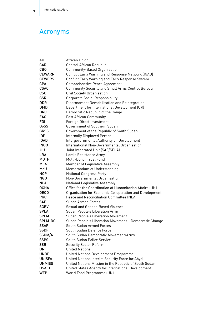# Acronyms

| AU              | African Union                                                                         |
|-----------------|---------------------------------------------------------------------------------------|
| <b>CAR</b>      | Central African Republic                                                              |
| <b>CBO</b>      | Community-Based Organisation                                                          |
| <b>CEWARN</b>   | Conflict Early Warning and Response Network (IGAD)                                    |
| <b>CEWERS</b>   | Conflict Early Warning and Early Response System                                      |
| <b>CPA</b>      | Comprehensive Peace Agreement                                                         |
| <b>CSAC</b>     |                                                                                       |
| CS <sub>0</sub> | <b>Community Security and Small Arms Control Bureau</b><br>Civil Society Organisation |
| <b>CSR</b>      |                                                                                       |
| <b>DDR</b>      | <b>Corporate Social Responsibility</b>                                                |
| <b>DFID</b>     | Disarmament Demobilisation and Reintegration                                          |
| <b>DRC</b>      | Department for International Development (UK)                                         |
| EAC             | Democratic Republic of the Congo                                                      |
|                 | <b>East African Community</b>                                                         |
| FDI.            | Foreign Direct Investment                                                             |
| GoSS            | Government of Southern Sudan                                                          |
| <b>GRSS</b>     | Government of the Republic of South Sudan                                             |
| <b>IDP</b>      | <b>Internally Displaced Person</b>                                                    |
| <b>IGAD</b>     | Intergovernmental Authority on Development                                            |
| <b>INGO</b>     | International Non-Governmental Organisation                                           |
| JIU             | Joint Integrated Unit (SAF/SPLA)                                                      |
| <b>LRA</b>      | Lord's Resistance Army                                                                |
| <b>MDTF</b>     | Multi-Donor Trust Fund                                                                |
| <b>MLA</b>      | Member of Legislative Assembly                                                        |
| MoU             | Memorandum of Understanding                                                           |
| <b>NCP</b>      | <b>National Congress Party</b>                                                        |
| NGO             | Non-Governmental Organisation                                                         |
| <b>NLA</b>      | National Legislative Assembly                                                         |
| <b>OCHA</b>     | Office for the Coordination of Humanitarian Affairs (UN)                              |
| <b>OECD</b>     | Organisation for Economic Co-operation and Development                                |
| <b>PRC</b>      | Peace and Reconciliation Committee (NLA)                                              |
| <b>SAF</b>      | Sudan Armed Forces                                                                    |
| <b>SGBV</b>     | Sexual and Gender-Based Violence                                                      |
| <b>SPLA</b>     | Sudan People's Liberation Army                                                        |
| <b>SPLM</b>     | Sudan People's Liberation Movement                                                    |
| <b>SPLM-DC</b>  | Sudan People's Liberation Movement - Democratic Change                                |
| <b>SSAF</b>     | South Sudan Armed Forces                                                              |
| <b>SSDF</b>     | South Sudan Defence Force                                                             |
| SSDM/A          | South Sudan Democratic Movement/Army                                                  |
| <b>SSPS</b>     | South Sudan Police Service                                                            |
| <b>SSR</b>      | <b>Security Sector Reform</b>                                                         |
| UN              | <b>United Nations</b>                                                                 |
| <b>UNDP</b>     | United Nations Development Programme                                                  |
| <b>UNISFA</b>   | United Nations Interim Security Force for Abyei                                       |
| <b>UNMISS</b>   | United Nations Mission in the Republic of South Sudan                                 |
| <b>USAID</b>    | United States Agency for International Development                                    |
| <b>WFP</b>      | World Food Programme (UN)                                                             |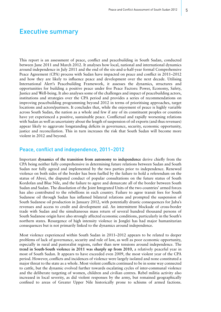## Executive summary

This report is an assessment of peace, conflict and peacebuilding in South Sudan, conducted between June 2011 and March 2012. It analyses how local, national and international dynamics around independence in July 2011 and the end of the six-and-a-half-year formal Comprehensive Peace Agreement (CPA) process with Sudan have impacted on peace and conflict in 2011–2012 and how they are likely to influence peace and development over the next decade. Utilising International Alert's Peacebuilding Framework, it assesses the dynamics, structures and opportunities for building a positive peace under five Peace Factors: Power, Economy, Safety, Justice and Well-being. It also analyses some of the challenges and impact of peacebuilding actors, institutions and strategies over the CPA period and provides a series of recommendations on improving peacebuilding programming beyond 2012 in terms of prioritising approaches, target locations and actors/partners. It concludes that, while the enjoyment of peace is highly variable across South Sudan, the nation as a whole and few if any of its constituent peoples or counties have yet experienced a positive, sustainable peace. Conflictual and rapidly worsening relations with Sudan as well as uncertainty about the length of suspension of oil exports (and thus revenues) appear likely to aggravate longstanding deficits in governance, security, economic opportunity, justice and reconciliation. This in turn increases the risk that South Sudan will become more violent in 2012 and beyond.

### Peace, conflict and independence, 2011–2012

Important **dynamics of the transition from autonomy to independence** derive chiefly from the CPA being neither fully comprehensive in determining future relations between Sudan and South Sudan nor fully agreed and implemented by the two parties prior to independence. Renewed violence on both sides of the border has been fuelled by the failure to hold a referendum on the status of Abyei, the disputed conduct of popular consultations on the future status of South Kordofan and Blue Nile, and the failure to agree and demarcate all of the border between South Sudan and Sudan. The dissolution of the Joint Integrated Units of the two countries' armed forces has also contributed to the rebellions in each country. Failure to agree transit fees for South Sudanese oil through Sudan has inflamed bilateral relations and prompted the suspension of South Sudanese oil production in January 2012, with potentially drastic consequences for Juba's revenues and access to credit and development aid. An intermittent blockade of cross-border trade with Sudan and the simultaneous mass return of several hundred thousand persons of South Sudanese origin have also strongly affected economic conditions, particularly in the South's northern states. Resurgence of high intensity violence in Jonglei has had major humanitarian consequences but is not primarily linked to the dynamics around independence.

Most violence experienced within South Sudan in 2011–2012 appears to be related to deeper problems of lack of governance, security and rule of law, as well as poor economic opportunity, especially in rural and pastoralist regions, rather than new tensions around independence. The **trend in South-South violence in 2011 was sharply up from 2010**, a relatively peaceful year in most of South Sudan. It appears to have exceeded even 2009, the most violent year of the CPA period. However, conflicts and incidences of violence were largely isolated and none constituted a major threat to the state as a whole. Most violent conflicts continued to be in some way connected to cattle, but the dynamic evolved further towards escalating cycles of inter-communal violence and the deliberate targeting of women, children and civilian centres. Rebel militia activity also increased in local severity, as did violent responses by the army, but remained geographically confined to areas of Greater Upper Nile historically prone to schisms of armed factions.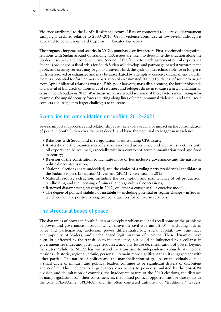Violence attributed to the Lord's Resistance Army (LRA) or connected to coercive disarmament campaigns declined relative to 2009–2010. Urban violence continued at low levels, although it appeared to be on an upward trajectory in Greater Equatoria.

The **prognosis for peace and security in 2012 is poor** based on five factors. First, continued antagonistic relations with Sudan around outstanding CPA issues are likely to destabilise the situation along the border in security and economic terms. Second, if the failure to reach agreement on oil exports via Sudan is prolonged, a fiscal crisis for South Sudan will develop, and patronage-based structures in the public and security services may begin to unravel. Third, the cycle of inter-ethnic violence in Jonglei is far from resolved or exhausted and may be exacerbated by attempts at coercive disarmament. Fourth, there is a potential for further mass repatriation of an estimated 700,000 Sudanese of southern origin from April if bilateral relations worsen. Fifth, poor harvests, mass displacement, the border blockade and arrival of hundreds of thousands of returnees and refugees threaten to cause a new humanitarian crisis in South Sudan in 2012. Worst-case scenarios would see some of these factors interlinking – for example, the unpaid security forces splitting along lines of inter-communal violence – and small-scale conflicts coalescing into larger challenges to the state.

### Scenarios for consolidation or conflict, 2012–2021

Several important processes and relationships are likely to have a major impact on the consolidation of peace in South Sudan over the next decade and have the potential to trigger new violence:

- **Relations with Sudan** and the negotiation of outstanding CPA issues;
- **Austerity** and the maintenance of patronage-based governance and security structures until oil exports can be resumed, especially within a context of acute humanitarian need and food insecurity;
- **Revision of the constitution** to facilitate more or less inclusive governance and the nature of political decentralisation;
- **National elections** (date undecided) and the **choice of a ruling party presidential candidate** at the Sudan People's Liberation Movement (SPLM) convention in 2013;
- **Natural resource extraction**, including the resumption and maintenance of oil production, landholding and the licensing of mineral and agricultural concessions;
- **Renewed disarmament**, starting in 2012, on either a consensual or coercive model;
- **The degree of political stability or instability including potential or regime change in Sudan**, which could have positive or negative consequences for long-term relations.

### The structural bases of peace

The **dynamics of power** in South Sudan are deeply problematic, and recall some of the problems of power and governance in Sudan which drove the civil war until 2005 – including lack of voice and participation, exclusion, power differentials, low social capital, low legitimacy and impunity of leaders, and unchallenged legitimisation of violence. These dynamics have been little affected by the transition to independence, but could be influenced by a collapse in government revenues and patronage resources, and any future decentralisation of power beyond the states. While the SPLM has withstood the transition to independence robustly, its internal tensions – historic, regional, ethnic, personal – remain more significant than its engagement with other parties. The nature of politics and the marginalisation of groups or individuals outside a small circle of military and political leaders continue to be significant drivers of discontent and conflict. This includes local grievances over access to power, stimulated by the post-CPA division and delimitation of counties, the inadequate nature of the 2010 elections, the distance of many legislators from their constituencies, the limited political opportunities for those outside the core SPLM/Army (SPLM/A), and the often contested authority of "traditional" leaders.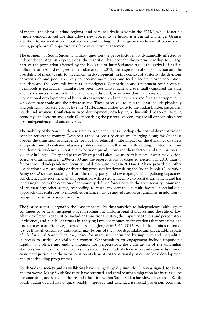Managing the historic, ethno-regional and personal rivalries within the SPLM, while fostering a more democratic culture that allows new voices to be heard, is a central challenge. Greater attention to reconciliation initiatives, nation-building, and the greater inclusion of women and young people are all opportunities for constructive engagement.

The **economy** of South Sudan is without question the peace factor most dynamically affected by independence. Against expectations, the transition has brought short-term hardship to a large part of the population affected by the blockade of inter-Sudanese trade, the arrival of half-amillion returnees and refugees from Sudan and, in 2012, the suspension of oil production and the possibility of massive cuts to investment in development. In the context of austerity, the divisions between rich and poor are likely to become more stark and feed discontent over corruption, nepotism and the economic interests of foreigners. Competition and resentment over access to livelihoods is particularly manifest between those who fought and eventually captured the state and its resources, those who fled and were educated, who now dominate employment in the international development and humanitarian sector, and the newly arrived foreign entrepreneurs who dominate trade and the private sector. Those perceived to gain the least include physically and politically isolated groups like the Murle, communities close to the Sudan border, pastoralist youth and women. Conflict-sensitised development, developing a diversified peace-reinforcing economy, land reform and gradually monetising the pastoralist economy are all opportunities for post-independence and austerity era.

The inability of the South Sudanese state to protect civilians is perhaps the central driver of violent conflict across the country. Despite a range of security crises (re)emerging along the Sudanese border, the transition to independence has had relatively little impact on the **dynamics of safety and protection of civilians**. Massive proliferation of small arms, cattle raiding, militia rebellions and domestic violence all continue to be widespread. However, these factors and the upsurges in violence in Jonglei, Unity and parts of Warrap and Lakes owe more to legacies of wartime division, coercive disarmament in 2006–2009 and the repercussions of disputed elections in 2010 than to factors around independence. Security and diplomatic crises in 2011–2012 have provided another justification for postponing or disrupting processes for downsizing the Sudan People's Liberation Army (SPLA), disassociating it from the ruling party, and developing civilian policing capacities. Self-defence provides the civilian population with a strong incentive to resist disarmament and has increasingly led to the creation of community defence forces outside the state security command. More than any other sector, responding to insecurity demands a multi-faceted peacebuilding approach that embraces livelihood, governance, justice and education programmes in addition to engaging the security sector in reform.

The **justice sector** is arguably the least impacted by the transition to independence, although it continues to be at an incipient stage in rolling out uniform legal standards and the rule of law. Absence of recourse to justice, including transitional justice, the impunity of elites and perpetrators of violence, and a lack of fairness in applying laws contributes to frustrations that over time can lead to or escalate violence, as could be seen in Jonglei in 2011–2012. While the administration of justice through customary authorities may be one of the more dependable and predictable aspects of life for rural South Sudanese, peace for many is undermined by impunity and inequalities in access to justice, especially for women. Opportunities for engagement include responding rapidly to violence and ending impunity for perpetrators, the clarification of the unfamiliar statutory system as it rolls out from states to counties, gradual elucidation and standardisation of customary justice, and the incorporation of elements of transitional justice into local development and peacebuilding programmes.

South Sudan's **society and its well-being** have changed rapidly since the CPA was signed, for better and for worse. Many South Sudanese have returned, and rural to urban migration has increased. At the same time, access to healthcare and education within South Sudan has slowly increased. While South Sudan overall has unquestionably improved and extended its social provision, economic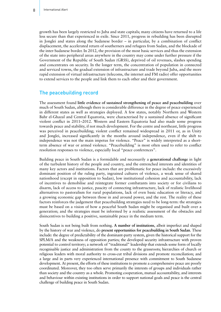growth has been largely restricted to Juba and state capitals; many citizens have returned to a life less secure than that experienced in exile. Since 2011, progress in rebuilding has been disrupted in Jonglei and states along the Sudanese border – in particular, by a combination of conflict displacement, the accelerated return of southerners and refugees from Sudan, and the blockade of the inter-Sudanese border. In 2012, the provision of the most basic services and thus the extension of the state into peripheral areas anywhere in the country may come under further pressure if the Government of the Republic of South Sudan (GRSS), deprived of oil revenues, slashes spending and concentrates on security. In the longer term, the concentration of population in connected and serviced towns, the gradual extension of infrastructure and trade beyond Juba, and the more rapid extension of virtual infrastructure (telecoms, the internet and FM radio) offer opportunities to extend services to the people and link them to each other and their government.

### The peacebuilding record

The assessment found **little evidence of sustained strengthening of peace and peacebuilding** over much of South Sudan, although there is considerable difference in the degree of peace experienced in different states as well as strategies deployed. A few states, notably Northern and Western Bahr el-Ghazal and Central Equatoria, were characterised by a sustained absence of significant violent conflict in 2011–2012. Western and Eastern Equatoria had also made some progress towards peace and stability, if not much development. For the centre and northeast, little progress was perceived in peacebuilding; violent conflict remained widespread in 2011 or, as in Unity and Jonglei, increased significantly in the months around independence, even if the shift to independence was not the main impetus for violence. "Peace" is widely interpreted as a shortterm absence of war or armed violence. "Peacebuilding" is most often used to refer to conflict resolution responses to violence, especially local "peace conferences".

Building peace in South Sudan is a formidable and necessarily a **generational challenge** in light of the turbulent history of the people and country, and the entrenched interests and identities of many key actors and institutions. Factors that are problematic for peace include: the excessively dominant position of the ruling party, ingrained cultures of violence, a weak sense of shared nationhood (except in opposition to Sudan), low institutional cohesion and accountability, lack of incentives to demobilise and reintegrate former combatants into society or for civilians to disarm, lack of access to justice, paucity of connecting infrastructure, lack of realistic livelihood alternatives to pastoralism for rural populations, lack of even basic education or literacy, and a growing economic gap between those in and around power, and the rest. The reality of these factors reinforces the judgement that peacebuilding strategies need to be long-term: the strategies must be based on a vision of how a peaceful South Sudan might be organised and built over a generation; and the strategies must be informed by a realistic assessment of the obstacles and disincentives to building a positive, sustainable peace in the medium term.

South Sudan is not being built from nothing. **A number of institutions**, albeit imperfect and shaped by the history of war and violence, do **present opportunities for peacebuilding in South Sudan**. These include: the degree of predictability of the dominant-party system, given the historical support for the SPLM/A and the weakness of opposition parties; the developed security infrastructure with proven potential to control territory; a network of "traditional" leadership that extends some form of locally recognisable justice and administration from the county to the grassroots; hierarchies of church or religious leaders with moral authority to cross-cut tribal divisions and promote reconciliation; and a large and in parts very experienced international presence with commitment to South Sudanese development. At present, the efforts of these institutions to promote a comprehensive peace are poorly coordinated. Moreover, they too often serve primarily the interests of groups and individuals rather than society and the country as a whole. Promoting cooperation, mutual accountability, and interests and behaviour within existing institutions in order to support national goals and peace is the central challenge of building peace in South Sudan.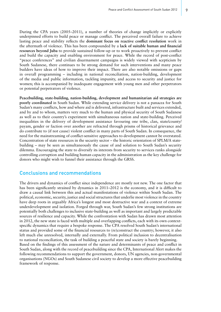During the CPA years (2005–2011), a number of theories of change implicitly or explicitly underpinned efforts to build peace or manage conflict. The perceived overall failure to achieve lasting peace and stability reflects the **dominant focus on reactive conflict resolution** work in the aftermath of violence. This has been compounded by a **lack of suitable human and financial resources beyond Juba** to provide sustained follow-up or to work proactively to prevent conflict and build the capacity and enabling environment for peace. While the record of post-conflict "peace conferences" and civilian disarmament campaigns is widely viewed with scepticism by South Sudanese, there continues to be strong demand for such interventions and many peace builders have ideas of how to improve their impact. There are also notable omissions or gaps in overall programming – including in national reconciliation, nation-building, development of the media and public information, tackling impunity, and access to security and justice for women; this is accompanied by inadequate engagement with young men and other perpetrators or potential perpetrators of violence.

**Peacebuilding, state-building, nation-building, development and humanitarian aid strategies are poorly coordinated** in South Sudan. While extending service delivery is not a panacea for South Sudan's many conflicts, how and where aid is delivered, infrastructure built and services extended, and by and to whom, matters very much to the human and physical security of South Sudanese as well as to their country's experiment with simultaneous nation and state-building. Perceived inequalities in the delivery of development assistance favouring one tribe, clan, state/county/ payam, gender or faction over another are refracted through prisms of historical grievance and do contribute to (if not cause) violent conflict in many parts of South Sudan. In consequence, the need for the mainstreaming of conflict-sensitive approaches to development cannot be overstated. Concentration of state resources in the security sector – the historic orientation of SPLM/A statebuilding – may be seen as simultaneously the cause of and solution to South Sudan's security dilemma. Encouraging the state to diversify its interests from security to services ranks alongside controlling corruption and building human capacity in the administration as the key challenge for donors who might wish to funnel their assistance through the GRSS.

### Conclusions and recommendations

The drivers and dynamics of conflict since independence are mostly not new. The one factor that has been significantly strained by dynamics in 2011–2012 is the economy, and it is difficult to draw a causal link between this and actual manifestations of violence within South Sudan. The political, economic, security, justice and social structures that underlie most violence in the country have deep roots in arguably Africa's longest and most destructive war and a context of extreme underdevelopment and isolation. Forged through war, South Sudan's few strong institutions are potentially both challenges to inclusive state-building as well as important and largely predictable sources of resilience and capacity. While the confrontation with Sudan has drawn most attention in 2012, the new state is faced with multiple and overlapping conflicts, each with its own contextspecific dynamics that require a bespoke response. The CPA resolved South Sudan's international status and provided some of the financial resources to (re)construct the country; however, it also left much else unresolved, internally and externally. From political inclusion to decentralisation to national reconciliation, the task of building a peaceful state and society is barely beginning. Based on the findings of this assessment of the nature and determinants of peace and conflict in South Sudan, along with the record of peacebuilding since the CPA, International Alert makes the following recommendations to support the government, donors, UN agencies, non-governmental organisations (NGOs) and South Sudanese civil society to develop a more effective peacebuilding framework of response.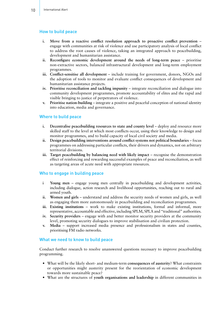#### How to build peace

- **i. Move from a reactive conflict resolution approach to proactive conflict prevention** engage with communities at risk of violence and use participatory analysis of local conflict to address the root causes of violence, taking an integrated approach to peacebuilding, development and humanitarian assistance.
- **ii. Reconfigure economic development around the needs of long-term peace** prioritise non-extractive sectors, balanced infrastructural development and long-term employment programmes.
- **iii. Conflict-sensitise all development** include training for government, donors, NGOs and the adoption of tools to monitor and evaluate conflict consequences of development and humanitarian assistance projects.
- **iv. Prioritise reconciliation and tackling impunity** integrate reconciliation and dialogue into community development programmes, promote accountability of elites and the rapid and visible bringing to justice of perpetrators of violence.
- **v. Prioritise nation-building** integrate a positive and peaceful conception of national identity into education, media and governance.

#### Where to build peace

- **i. Decentralise peacebuilding resources to state and county level** deploy and resource more skilled staff to the level at which most conflicts occur, using their knowledge to design and monitor programmes, and to build capacity of local civil society and media.
- **ii. Design peacebuilding interventions around conflict systems not political boundaries** focus programmes on addressing particular conflicts, their drivers and dynamics, not on arbitrary territorial divisions.
- **iii. Target peacebuilding by balancing need with likely impact** recognise the demonstration effect of reinforcing and rewarding successful examples of peace and reconciliation, as well as targeting areas of acute need with appropriate resources.

### Who to engage in building peace

- **i Young men** engage young men centrally in peacebuilding and development activities, including dialogue, action research and livelihood opportunities, reaching out to rural and armed youth.
- **ii. Women and girls** understand and address the security needs of women and girls, as well as engaging them more autonomously in peacebuilding and reconciliation programmes.
- **iii. Existing institutions** work to make existing institutions, formal and informal, more representative, accountable and effective, including SPLM, SPLA and "traditional" authorities.
- **iv. Security providers** engage with and better monitor security providers at the community level, promoting security dialogues to improve stabilisation and civilian protection.
- **v. Media** support increased media presence and professionalism in states and counties, prioritising FM radio networks.

#### What we need to know to build peace

Conduct further research to resolve unanswered questions necessary to improve peacebuilding programming.

- • What will be the likely short- and medium-term **consequences of austerity**? What constraints or opportunities might austerity present for the reorientation of economic development towards more sustainable peace?
- • What are the structures of **youth organisations and leadership** in different communities in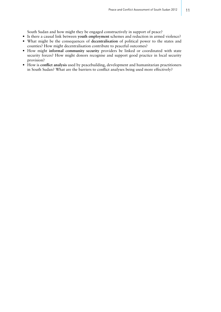South Sudan and how might they be engaged constructively in support of peace?

- • Is there a causal link between **youth employment** schemes and reduction in armed violence? • What might be the consequences of **decentralisation** of political power to the states and
- counties? How might decentralisation contribute to peaceful outcomes?
- • How might **informal community security** providers be linked or coordinated with state security forces? How might donors recognise and support good practice in local security provision?
- • How is **conflict analysis** used by peacebuilding, development and humanitarian practitioners in South Sudan? What are the barriers to conflict analyses being used more effectively?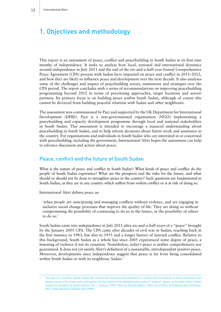# 1. Objectives and methodology

This report is an assessment of peace, conflict and peacebuilding in South Sudan in its first nine months of independence. It seeks to analyse how local, national and international dynamics around independence in July 2011 and the end of the six-and-a-half-year formal Comprehensive Peace Agreement (CPA) process with Sudan have impacted on peace and conflict in 2011–2012, and how they are likely to influence peace and development over the next decade. It also analyses some of the challenges and impact of peacebuilding actors, institutions and strategies over the CPA period. The report concludes with a series of recommendations on improving peacebuilding programming beyond 2012 in terms of prioritising approaches, target locations and actors/ partners. Its primary focus is on building peace *within* South Sudan, although of course this cannot be divorced from building peaceful relations with Sudan and other neighbours.

The assessment was commissioned by Pact and supported by the UK Department for International Development (DFID). Pact is a non-governmental organisation (NGO) implementing a peacebuilding and capacity development programme through local and national stakeholders in South Sudan. This assessment is intended to encourage a nuanced understanding about peacebuilding in South Sudan, and to help inform decisions about future work and assistance in the country. For organisations and individuals in South Sudan who are interested in or concerned with peacebuilding, including the government, International Alert hopes the assessment can help to advance discussion and action about peace.

### Peace, conflict and the future of South Sudan

What is the nature of peace and conflict in South Sudan? What kinds of peace and conflict do the people of South Sudan experience? What are the prospects and the risks for the future, and what should or should not be done to strengthen peace in the country? Such questions are fundamental in South Sudan, as they are in any country which suffers from violent conflict or is at risk of doing so.

International Alert defines peace as:

'when people are anticipating and managing conflicts without violence, and are engaging in inclusive social change processes that improve the quality of life. They are doing so without compromising the possibility of continuing to do so in the future, or the possibility of others to do so.'

South Sudan came into independence in July 2011 after six-and-a-half years of a "peace" brought by the January 2005 CPA. The CPA came after decades of civil war in Sudan, reaching back in the first instance to 1983, but also to 1955 and a longer history of internal conflict. Relative to this background, South Sudan as a whole has since 2005 experienced some degree of peace, a lessening of violence if not its cessation. Nonetheless, today's peace is neither comprehensive nor guaranteed. It does not yet satisfy Alert's definition of a sustainable, interdependent positive peace. Moreover, developments since independence suggest that peace is far from being consolidated within South Sudan or with its neighbour, Sudan.<sup>1</sup>

<sup>1</sup> The idea of a "positive" peace implies the constructive resolution and prevention of conflict and the building of social institutions that sustain peace in the longer term and support the well-being of the individual and society. A "negative" peace, on the other hand, implies simply the cessation of violent actions. See J. Galtung (1996). *Peace by Peaceful Means: Peace and Conflict, Development and Civilization*. Oslo: Peace Research Institute Oslo (PRIO).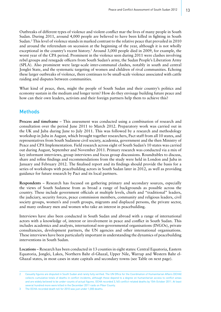Outbreaks of different types of violence and violent conflict mar the lives of many people in South Sudan. During 2011, around 4,000 people are believed to have been killed in fighting in South Sudan.2 This level of violence stands in marked contrast to the relative peace that prevailed in 2010 and around the referendum on secession at the beginning of the year, although it is not wholly exceptional in the country's recent history.<sup>3</sup> Around 3,000 people died in 2009, for example, the worst year of the CPA period. Prominent in the violence seen during 2011 were clashes involving rebel groups and renegade officers from South Sudan's army, the Sudan People's Liberation Army (SPLA). Also prominent were large-scale inter-communal clashes, notably in south and central Jonglei State, and the systematic targeting of women and children of rival communities. Echoing these larger outbreaks of violence, there continues to be small-scale violence associated with cattle raiding and disputes between communities.

What kind of peace, then, might the people of South Sudan and their country's politics and economy sustain in the medium and longer term? How do they envisage building future peace and how can their own leaders, activists and their foreign partners help them to achieve this?

### **Methods**

**Process and timeframe** – This assessment was conducted using a combination of research and consultation over the period June 2011 to March 2012. Preparatory work was carried out in the UK and Juba during June to July 2011. This was followed by a research and methodology workshop in Juba in August, which brought together researchers, Pact staff from all 10 states, and representatives from South Sudanese civil society, academia, government and the then Ministry of Peace and CPA Implementation. Field research across eight of South Sudan's 10 states was carried out during August, September and November 2011. Primary research was conducted via a mix of key informant interviews, group interviews and focus group discussions. Roundtables to discuss, share and refine findings and recommendations from the study were held in London and Juba in January and February 2012. The finalised report and its findings should provide the basis for a series of workshops with peacebuilding actors in South Sudan later in 2012, as well as providing guidance for future research by Pact and its local partners.

**Respondents** – Research has focused on gathering primary and secondary sources, especially the views of South Sudanese from as broad a range of backgrounds as possible across the country. These include government officials at multiple levels, chiefs and "traditional" leaders, the judiciary, security forces, peace commission members, community and religious leaders, civil society groups, women's and youth groups, migrants and displaced persons, the private sector, and many ordinary men and women who take an interest in peacebuilding.

Interviews have also been conducted in South Sudan and abroad with a range of international actors with a knowledge of, interest or involvement in peace and conflict in South Sudan. This includes academics and analysts, international non-governmental organisations (INGOs), private consultancies, development partners, the UN agencies and other international organisations. These interviews have been particularly important in understanding the dynamics of peacebuilding interventions in South Sudan.

**Locations** – Research has been conducted in 13 counties in eight states: Central Equatoria, Eastern Equatoria, Jonglei, Lakes, Northern Bahr el-Ghazal, Upper Nile, Warrap and Western Bahr el-Ghazal states, in most cases in state capitals and secondary towns (see Table on next page).

<sup>2</sup> Casualty figures are disputed in South Sudan and rarely fully verified. The UN Office for the Coordination of Humanitarian Affairs (OCHA) collects cumulative totals of deaths in conflict incidents, although these depend to a degree on humanitarian access to conflict areas and are widely believed to be under-counts of actual figures. OCHA recorded 3,165 conflict-related deaths by 15th October 2011. At least several hundred more were killed in the December 2011 raids on Pibor County.

The OCHA-recorded death toll for 2010 was just under 1,000 deaths.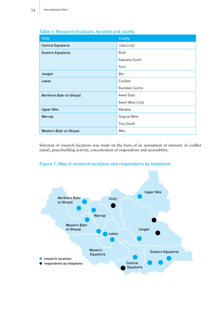| <b>State</b>            | <b>County</b>        |
|-------------------------|----------------------|
| Central Equatoria       | Juba (city)          |
| Eastern Equatoria       | Budi                 |
|                         | Kapoeta South        |
|                         | Torit                |
| Jonglei                 | Bor                  |
| Lakes                   | Cueibet              |
|                         | <b>Rumbek Centre</b> |
| Northern Bahr el-Ghazal | Aweil East           |
|                         | Aweil West (city)    |
| <b>Upper Nile</b>       | Malakal              |
| Warrap                  | Gogrial West         |
|                         | Tonj South           |
| Western Bahr el-Ghazal  | Wau                  |

### Table 1: Research locations, by state and county

Selection of research locations was made on the basis of an assessment of intensity of conflict (need), peacebuilding activity, concentration of respondents and accessibility.

### Figure 1: Map of research locations and respondents by telephone

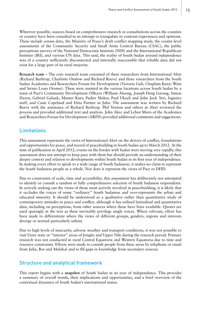Wherever possible, sources based on comprehensive research or consultations across the counties or country have been consulted in an attempt to triangulate or contrast experiences and opinions. These include census data, the Ministry of Peace's draft conflict mapping study, the county-level assessments of the Community Security and Small Arms Control Bureau (CSAC), the public perceptions surveys of the National Democratic Institute (NDI) and the International Republican Institute (IRI), and various UN data. This said, the reality of South Sudan around independence was of a country sufficiently disconnected and internally inaccessible that reliable data did not exist for a large part of its rural majority.

**Research team** – The core research team consisted of three researchers from International Alert (Richard Barltrop, Charlotte Onslow and Richard Reeve) and three researchers from the South Sudan Academics and Researchers Forum for Development (Victoria Guli, Chaplain Kenyi Wani and Sirisio Louis Oromo). These were assisted in the various locations across South Sudan by a team of Pact's Community Development Officers (William Aluong, Joseph Deng Garang, Simon Dictor, Gabriel Galuak, Mamer Kuer, Padier Maker, Paul Ukach and John Jock Yet), logistics staff, and Casie Copeland and Dina Parmer in Juba. The assessment was written by Richard Reeve with the assistance of Richard Barltrop. Phil Vernon and others at Alert reviewed the process and provided additional text and analysis. John Akec and Leben Moro of the Academics and Researchers Forum for Development (ARFD) provided additional comments and suggestions.

### Limitations

This assessment represents the views of International Alert on the drivers of conflict, foundations and opportunities for peace, and record of peacebuilding in South Sudan up to March 2012. At the time of publication in April 2012, events on the border with Sudan were moving very rapidly; this assessment does not attempt to keep pace with them but should provide an understanding of their deeper context and relation to developments within South Sudan in its first year of independence. In making every effort to speak to a wide range of South Sudanese, it makes no claim to represent the South Sudanese people as a whole. Nor does it represent the views of Pact or DFID.

Due to constraints of scale, time and accessibility, this assessment has deliberately not attempted to identify or consult a random or fully comprehensive selection of South Sudanese respondents. In actively seeking out the views of those most actively involved in peacebuilding, it is likely that it occludes the voices of some "ordinary" South Sudanese and over-represents the urban and educated minority. It should be understood as a qualitative rather than quantitative study of contemporary attitudes to peace and conflict, although it has utilised latitudinal and quantitative data, including on perceptions, from other sources where these have been available. Quotes are used sparingly in the text as these inevitably privilege single voices. Where relevant, effort has been made to differentiate where the views of different groups, genders, regions and interests diverge or seemed particularly salient.

Due to high levels of insecurity, adverse weather and transport conditions, it was not possible to visit Unity state or "interior" areas of Jonglei and Upper Nile during the research period. Primary research was not conducted in rural Central Equatoria and Western Equatoria due to time and resource constraints. Efforts were made to consult people from these areas by telephone or email from Juba, Bor and Malakal and to fill gaps in knowledge from secondary sources.

### Structure and analytical framework

This report begins with a **snapshot** of South Sudan in its year of independence. This provides a summary of overall trends, their implications and opportunities, and a brief overview of the contextual dynamics of South Sudan's international status.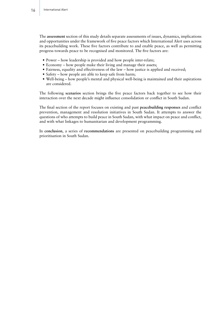The **assessment** section of this study details separate assessments of issues, dynamics, implications and opportunities under the framework of five peace factors which International Alert uses across its peacebuilding work. These five factors contribute to and enable peace, as well as permitting progress towards peace to be recognised and monitored. The five factors are:

- Power how leadership is provided and how people inter-relate;
- Economy how people make their living and manage their assets;
- Fairness, equality and effectiveness of the law how justice is applied and received;
- Safety how people are able to keep safe from harm;
- • Well-being how people's mental and physical well-being is maintained and their aspirations are considered.

The following **scenarios** section brings the five peace factors back together to see how their interaction over the next decade might influence consolidation or conflict in South Sudan.

The final section of the report focuses on existing and past **peacebuilding responses** and conflict prevention, management and resolution initiatives in South Sudan. It attempts to answer the questions of who attempts to build peace in South Sudan, with what impact on peace and conflict, and with what linkages to humanitarian and development programming.

In **conclusion**, a series of **recommendations** are presented on peacebuilding programming and prioritisation in South Sudan.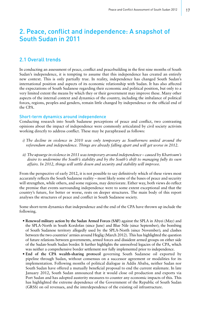# 2. Peace, conflict and independence: A snapshot of South Sudan in 2011

### 2.1 Overall trends

In conducting an assessment of peace, conflict and peacebuilding in the first nine months of South Sudan's independence, it is tempting to assume that this independence has created an entirely new context. This is only partially true. In reality, independence has changed South Sudan's international position and aspects of its economic relationship with Sudan. It has also affected the expectations of South Sudanese regarding their economic and political position, but only to a very limited extent the means by which they or their government may improve these. Many other aspects of the internal context and dynamics of the country, including the imbalance of political forces, regions, peoples and genders, remain little changed by independence or the official end of the CPA.

#### Short-term dynamics around independence

Conducting research into South Sudanese perceptions of peace and conflict, two contrasting opinions about the impact of independence were commonly articulated by civil society activists working directly to address conflict. These may be paraphrased as follows:

- *i) The decline in violence in 2010 was only temporary as Southerners united around the referendum and independence. Things are already falling apart and will get worse in 2012.*
- *ii) The upsurge in violence in 2011 was temporary around independence caused by Khartoum's desire to undermine the South's stability and by the South's shift to managing fully its own affairs. In 2012, things will settle down and security and stability will improve.*

From the perspective of early 2012, it is not possible to say definitively which of these views most accurately reflects the South Sudanese reality – most likely some of the bases of peace and security will strengthen, while others, and some regions, may deteriorate. Either way, both views do reflect the premise that events surrounding independence were to some extent exceptional and that the country's future, for better or worse, rests on deeper structures. The main body of this report analyses the structures of peace and conflict in South Sudanese society.

Some short-term dynamics that independence and the end of the CPA have thrown up include the following.

- **Renewed military action by the Sudan Armed Forces (SAF)** against the SPLA in Abyei (May) and the SPLA-North in South Kordofan (since June) and Blue Nile (since September); the bombing of South Sudanese territory allegedly used by the SPLA-North (since November); and clashes between the two countries' armies around Heglig (March 2012). This has highlighted the question of future relations between governments, armed forces and dissident armed groups on either side of the Sudan-South Sudan border. It further highlights the unresolved legacies of the CPA, which was neither a comprehensive border settlement nor fully implemented prior to independence.
- **End of the CPA wealth-sharing protocol** governing South Sudanese oil exported by pipeline through Sudan, without consensus on a successor agreement or modalities for its implementation. Following months of political dialogue in Addis Ababa, neither Sudan nor South Sudan have offered a mutually beneficial proposal to end the current stalemate. In late January 2012, South Sudan announced that it would close oil production and exports via Port Sudan and has adopted austerity measures to counter any economic impacts of this. This has highlighted the extreme dependence of the Government of the Republic of South Sudan (GRSS) on oil revenues, and the interdependence of the existing oil infrastructure.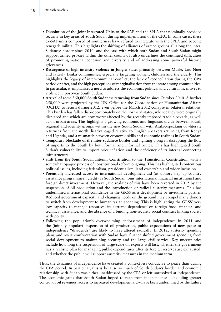- **Dissolution of the Joint Integrated Units** of the SAF and the SPLA that nominally provided security in key areas of South Sudan during implementation of the CPA. In some cases, these ex-SAF units composed of southerners have refused to integrate with the SPLA and become renegade militia. This highlights the shifting of alliances of armed groups all along the inter-Sudanese border since 2010, and the ease with which both Sudan and South Sudan might support armed proxies within the other country. It also underlines the continued difficulties of promoting national cohesion and diversity and of addressing some powerful historic grievances.
- **Resurgence of high intensity violence in Jonglei state**, primarily between Murle, Lou Nuer and latterly Dinka communities, especially targeting women, children and the elderly. This highlights the legacy of inter-communal conflict, the lack of reconciliation during the CPA period or after, and the high perceptions of marginalisation from the state among communities. In particular, it emphasises a need to address the economic, political and cultural incentives to violence in post-war South Sudan.
- **Arrival of some 360,000 South Sudanese returning from Sudan** since October 2010. A further 250,000 were projected by the UN Office for the Coordination of Humanitarian Affairs (OCHA) to return during 2012, even before the March 2012 collapse in bilateral relations. This burden has fallen disproportionately on the northern states, whence they were originally displaced and which are now worst affected by the recently imposed trade blockade, as well as on urban areas. This highlights a growing economic and linguistic divide between social, regional and identity groups within the new South Sudan, with Arabic-speaking or -literate returnees from the north disadvantaged relative to English speakers returning from Kenya and Uganda, and a mismatch between economic skills and economic realities in South Sudan.
- **Temporary blockade of the inter-Sudanese border** and fighting along it, disrupting the flow of imports to the South by both formal and informal routes. This has highlighted South Sudan's vulnerability to import price inflation and the deficiency of its internal connecting infrastructure.
- **Shift from the South Sudan Interim Constitution to the Transitional Constitution**, with a somewhat opaque process of constitutional reform ongoing. This has highlighted contentious political issues, including federalism, presidentialism, land ownership and wider inclusion.
- **Potentially increased access to international development aid** (as donors step up country assistance programmes), credit (as South Sudan joins international financial institutions) and foreign direct investment. However, the realities of this have been reversed in 2012 by the suspension of oil production and the introduction of radical austerity measures. This has undermined international confidence in the GRSS as a development or investment partner. Reduced government capacity and changing needs on the ground may compel many donors to switch from development to humanitarian spending. This is highlighting the GRSS' very low capacity to manage resources, its extreme dependence on foreign food, financial and technical assistance, and the absence of a binding non-security social contract linking society with polity.
- Following the population's overwhelming endorsement of independence in 2011 and the (initially popular) suspension of oil production, **public expectations of new peace or independence "dividends" are likely to have altered radically**. In 2012, austerity spending plans and overt confrontation with Sudan have further shifted government spending from social development to maintaining security and the large civil service. Key uncertainties include how long the suspension of large-scale oil exports will last, whether the government has a realistic plan for managing public expenditures after its foreign reserves are exhausted, and whether the public will support austerity measures in the medium term.

Thus, the dynamics of independence have created a context less conducive to peace than during the CPA period. In particular, this is because so much of South Sudan's border and economic relationship with Sudan was either unaddressed by the CPA or left unresolved at independence. The economic gains that South Sudan hoped to reap from independence – including greater control of oil revenues, access to increased development aid – have been undermined by the failure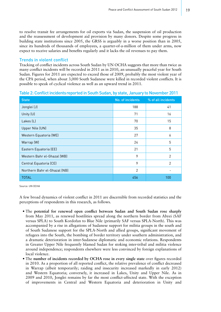to resolve transit fee arrangements for oil exports via Sudan, the suspension of oil production and the reassessment of development aid provision by many donors. Despite some progress in building state institutions since 2005, the GRSS is arguably in a worse position than in 2005, since its hundreds of thousands of employees, a quarter-of-a-million of them under arms, now expect to receive salaries and benefits regularly and it lacks the oil revenues to pay them.

### Trends in violent conflict

Tracking of conflict incidents across South Sudan by UN OCHA suggests that more than twice as many conflict incidents will be recorded in 2011 as in 2010, an unusually peaceful year for South Sudan. Figures for 2011 are expected to exceed those of 2009, probably the most violent year of the CPA period, when about 3,000 South Sudanese were killed in recorded violent conflicts. It is possible to speak of cyclical violence as well as an upward trend in 2011.

| <b>State</b>                 | No. of incidents | % of all incidents |
|------------------------------|------------------|--------------------|
| Jonglei (J)                  | 188              | 41                 |
| Unity (U)                    | 71               | 16                 |
| Lakes (L)                    | 70               | 15                 |
| Upper Nile (UN)              | 35               | 8                  |
| Western Equatoria (WE)       | 27               | 6                  |
| Warrap (W)                   | 24               | 5                  |
| Eastern Equatoria (EE)       | 21               | 5                  |
| Western Bahr el-Ghazal (WB)  | 9                | 2                  |
| Central Equatoria (CE)       | 9                | $\overline{2}$     |
| Northern Bahr el-Ghazal (NB) | $\overline{2}$   |                    |
| <b>TOTAL</b>                 | 456              | 100                |

Table 2: Conflict incidentsreported in South Sudan, by state, January to November 2011

Source: UN OCHA

A few broad dynamics of violent conflict in 2011 are discernible from recorded statistics and the perceptions of respondents in this research, as follows.

- The **potential for renewed open conflict between Sudan and South Sudan rose sharply** from May 2011, as renewed hostilities spread along the northern border from Abyei (SAF versus SPLA) to South Kordofan to Blue Nile (primarily SAF versus SPLA-North). This was accompanied by a rise in allegations of Sudanese support for militia groups in the south and of South Sudanese support for the SPLA-North and allied groups, significant movement of refugees into the South, the bombing of border territory under southern administration, and a dramatic deterioration in inter-Sudanese diplomatic and economic relations. Respondents in Greater Upper Nile frequently blamed Sudan for stoking inter-tribal and militia violence around independence; respondents elsewhere were less convinced by foreign explanations of local violence.
- The **number of incidents recorded by OCHA rose in every single state** over figures recorded in 2010. As a proportion of all reported conflict, the relative prevalence of conflict decreased in Warrap (albeit temporarily; raiding and insecurity increased markedly in early 2012) and Western Equatoria; conversely, it increased in Lakes, Unity and Upper Nile. As in 2009 and 2010, Jonglei remains by far the most conflict-affected state. With the exception of improvements in Central and Western Equatoria and deterioration in Unity and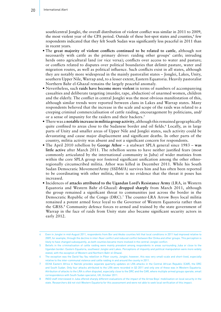south/central Jonglei, the overall distribution of violent conflict was similar in 2011 to 2009, the most violent year of the CPA period. Outside of these hot-spot states and counties,<sup>4</sup> few respondents indicated that they felt South Sudan was significantly less peaceful in 2011 than in recent years.

- The **great majority of violent conflicts continued to be related to cattle**, although not necessarily with cattle as the primary driver: raiding other groups' cattle; intruding herds onto agricultural land (or vice versa); conflicts over access to water and pasture; or conflicts related to disputes over political boundaries that delimit pasture, water and migration routes, as well as political influence. Such conflicts exist in all states, although they are notably more widespread in the mainly pastoralist states – Jonglei, Lakes, Unity, southern Upper Nile, Warrap and, to a lesser extent, Eastern Equatoria. Heavily pastoralist Northern Bahr el-Ghazal remains the largely peaceful anomaly.
- Nevertheless, such **raids have become more violent** in terms of numbers of accompanying casualties and deliberate targeting (murder, rape, abduction) of unarmed women, children and the elderly. The conflict in central Jonglei was the most obvious manifestation of this, although similar trends were reported between clans in Lakes and Warrap states. Many respondents believed that the increase in the scale and scope of the raids was related to a creeping criminal commercialisation of cattle raiding, encouragement by politicians, and/ or a sense of impunity for the raiders and their backers.<sup>5</sup>
- There was a **notable increase in militia group activity**, although this remained geographically quite confined to areas close to the Sudanese border and oil fields.<sup>6</sup> Locally, as in large parts of Unity and smaller areas of Upper Nile and Jonglei states, such activity could be devastating and cause major displacement and significant deaths. In other parts of the country, militia activity was absent and not a significant concern for respondents.
- The April 2010 rebellion by **George Athor** a stalwart SPLA general since 1983 **was little active** after March 2011. The rebellion seems to have neither justified fears (most commonly articulated by the international community in Juba) of wider mutinies from within the core SPLA group nor fostered significant unification among the other ethnoregionally circumscribed militia. Athor was killed in December 2011. While his South Sudan Democratic Movement/Army (SSDM/A) survives him and has often been reported to be coordinating with other militia, there is no evidence that the threat it poses has increased.
- Incidences of **attacks attributed to the Ugandan Lord's Resistance Army** (LRA, in Western Equatoria and Western Bahr el-Ghazal) **dropped sharply** from March 2011, although the group remained a significant threat to communities just across the border in the Democratic Republic of the Congo (DRC).7 The counter-LRA Arrow Boys local militia remained a potent armed force loyal to the Governor of Western Equatoria rather than the GRSS.<sup>8</sup> Community defence forces re-armed and trained by the state government of Warrap in the face of raids from Unity state also became significant security actors in early 2012.

<sup>4</sup> Even in Jonglei in mid-August 2011, respondents from Bor and Akobo counties felt that local conditions in 2011 had improved relative to 2009, for example, through the decline in inter-Nuer conflict and reduced conflict between Bor Dinka and other groups. This perception is likely to have changed subsequently, as both counties became more involved in the central-Jonglei conflict.

<sup>5</sup> Beliefs in the criminalisation of cattle raiding were mainly prevalent among respondents in areas surrounding Juba or close to the Ugandan border: Eastern Equatoria, southwest Jonglei and Lakes. Perceptions of impunity and political manipulation were more widely stated, with the exception of Western and Northern Bahr el-Ghazal.

<sup>6</sup> The exception was the David Yau Yau rebellion in Pibor county, Jonglei; however, this was very small-scale and short-lived, especially relative to the inter-communal violence and cattle raiding in and around the county in 2011.

<sup>7</sup> OCHA Eastern Africa in Nairobi provides separate quarterly updates on LRA attacks in the Central African Republic (CAR), the DRC and South Sudan. Only four attacks attributed to the LRA were recorded in Q3 2011 and only one of these was in Western Equatoria. Attribution of attacks to the LRA is often disputed, especially close to the DRC and the CAR, where multiple armed groups operate; email correspondence with South Sudan specialist, UK, October 2011.

INGO staff interviewed in Juba offered sharply different evaluations of the impact of the Arrow Boys' mobilisation on local security in the state. Researchers did not visit Western Equatoria for this assessment and were not able to seek local verification of this impact.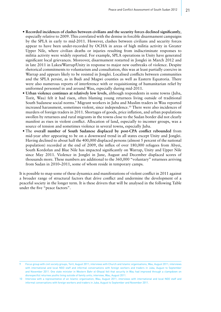- **Recorded incidences of clashes between civilians and the security forces declined significantly**, especially relative to 2009. This correlated with the demise in forcible disarmament campaigns by the SPLA in early to mid-2011. However, clashes between civilians and security forces appear to have been under-recorded by OCHA in areas of high militia activity in Greater Upper Nile, where civilian deaths or injuries resulting from indiscriminate responses to militia activity were widely reported. For example, SPLA operations in Unity have generated significant local grievances. Moreover, disarmament restarted in Jonglei in March 2012 and in late 2011 in Lakes/Warrap/Unity in response to major new outbreaks of violence. Despite rhetorical commitments to voluntarism and consultation, this was at least partially coercive in Warrap and appears likely to be resisted in Jonglei. Localised conflicts between communities and the SPLA persist, as in Budi and Magwi counties as well as Eastern Equatoria. There were also numerous reports of interference with or requisitioning of humanitarian relief by uniformed personnel in and around Wau, especially during mid-2011.
- **Urban violence continues at relatively low levels**, although respondents in some towns (Juba, Torit, Wau) felt it had risen, often blaming young returnees living outside of traditional South Sudanese social norms.<sup>9</sup> Migrant workers in Juba and Muslim traders in Wau reported increased harassment, sometimes violent, since independence.10 There were also incidences of murders of foreign traders in 2011. Shortages of goods, price inflation, and urban populations swollen by returnees and rural migrants in the towns close to the Sudan border did not clearly manifest as rises in violent conflict. Allocation of land, especially to incomer groups, was a source of tension and sometimes violence in several towns, especially Juba.
- The **overall number of South Sudanese displaced by post-CPA conflict rebounded** from mid-year after appearing to be on a downward trend in all states except Unity and Jonglei. Having declined to about half the 400,000 displaced persons (almost 5 percent of the national population) recorded at the end of 2009, the influx of over 180,000 refugees from Abyei, South Kordofan and Blue Nile has impacted significantly on Warrap, Unity and Upper Nile since May 2011. Violence in Jonglei in June, August and December displaced scores of thousands more. These numbers are additional to the 360,000 "voluntary" returnees arriving from Sudan in 2010–2011, some of whom reside in temporary camps.

It is possible to map some of these dynamics and manifestations of violent conflict in 2011 against a broader range of structural factors that drive conflict and undermine the development of a peaceful society in the longer term. It is these drivers that will be analysed in the following Table under the five "peace factors".

<sup>9</sup> Focus group with civil society groups, Torit, August 2011; interviews with Church and Islamic organisations, Wau, August 2011; interviews with international and local NGO staff and informal conversations with foreign workers and traders in Juba, August to September and November 2011. One state minister in Western Bahr el-Ghazal felt that security in Wau had improved through a clampdown on disrespectful returnee youths living outside of family units; interview, Wau, August 2011.

<sup>10</sup> Interview with a representative of an Islamic organisation, Wau, August 2011; interviews with international and local NGO staff and informal conversations with foreign workers and traders in Juba, August to September and November 2011.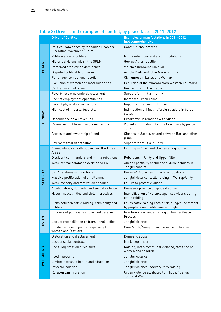|                 | <b>Driver of Conflict</b>                                                      | Examples of manifestations in 2011-2012<br>(not comprehensive)                                |
|-----------------|--------------------------------------------------------------------------------|-----------------------------------------------------------------------------------------------|
| POWER           | Political dominance by the Sudan People's<br><b>Liberation Movement (SPLM)</b> | <b>Constitutional process</b>                                                                 |
|                 | Militarisation of politics                                                     | Militia rebellions and accommodations                                                         |
|                 | Historic divisions within the SPLM                                             | George Athor rebellion                                                                        |
|                 | Perceived ethnic/clan dominance                                                | Violence in/around Malakal                                                                    |
|                 | Disputed political boundaries                                                  | Acholi-Madi conflict in Magwi county                                                          |
|                 | Patronage, corruption, nepotism                                                | Civil unrest in Lakes and Warrap                                                              |
|                 | Exclusion of women and local minorities                                        | Expulsion of the Mbororo from Western Equatoria                                               |
|                 | Centralisation of power                                                        | Restrictions on the media                                                                     |
|                 | Poverty, extreme underdevelopment                                              | Support for militia in Unity                                                                  |
|                 | Lack of employment opportunities                                               | Increased urban crime                                                                         |
|                 | Lack of physical infrastructure                                                | Impunity of raiding in Jonglei                                                                |
| ECONOMY         | High cost of imports, fuel, etc.                                               | Intimidation of Muslim/foreign traders in border<br>states                                    |
|                 | Dependence on oil revenues                                                     | Breakdown in relations with Sudan                                                             |
|                 | Resentment of foreign economic actors                                          | Violent intimidation of some foreigners by police in<br>Juba                                  |
|                 | Access to and ownership of land                                                | Clashes in Juba over land between Bari and other<br>groups                                    |
|                 | Environmental degradation                                                      | Support for militia in Unity                                                                  |
|                 | Armed stand-off with Sudan over the Three<br>Areas                             | Fighting in Abyei and clashes along border                                                    |
|                 | Dissident commanders and militia rebellions                                    | Rebellions in Unity and Upper Nile                                                            |
|                 | Weak central command over the SPLA                                             | Alleged partiality of Nuer and Murle soldiers in<br>Jonglei conflict                          |
| <b>SECURITY</b> | SPLA relations with civilians                                                  | Buya-SPLA clashes in Eastern Equatoria                                                        |
|                 | Massive proliferation of small arms                                            | Jonglei violence; cattle raiding in Warrap/Unity                                              |
|                 | Weak capacity and motivation of police                                         | Failure to protect civilians                                                                  |
|                 | Alcohol abuse, domestic and sexual violence                                    | Pervasive practice of spousal abuse                                                           |
|                 | Hyper-masculinities and violent practices                                      | Intensification of violence against civilians during<br>cattle raiding                        |
|                 | Links between cattle raiding, criminality and<br>politics                      | Lakes cattle raiding escalation; alleged incitement<br>by prophets and politicians in Jonglei |
|                 | Impunity of politicians and armed persons                                      | Interference or undermining of Jonglei Peace<br>Process                                       |
| <b>JUSTICE</b>  | Lack of reconciliation or transitional justice                                 | Jonglei violence                                                                              |
|                 | Limited access to justice, especially for<br>women and "settlers"              | Core Murle/Nuer/Dinka grievance in Jonglei                                                    |
|                 | Dislocation and displacement                                                   | Domestic abuse                                                                                |
|                 | Lack of social contract                                                        | Murle separatism                                                                              |
| WELL-BEING      | Social legitimation of violence                                                | Raiding; inter-communal violence; targeting of<br>women and children                          |
|                 | Food insecurity                                                                | Jonglei violence                                                                              |
|                 | Limited access to health and education                                         | Jonglei violence                                                                              |
|                 | Physical isolation                                                             | Jonglei violence; Warrap/Unity raiding                                                        |
|                 | Rural-urban migration                                                          | Urban violence attributed to "Niggaz" gangs in<br><b>Torit and Wau</b>                        |

### Table 3: Drivers and examples of conflict, by peace factor, 2011–2012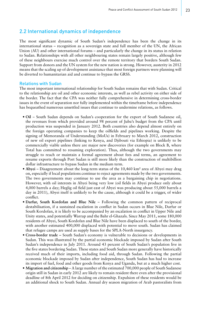### 2.2 International dynamics of independence

The most significant dynamic of South Sudan's independence has been the change in its international status – recognition as a sovereign state and full member of the UN, the African Union (AU) and other international forums – and particularly the change in its status in relation to Sudan. Relationships with all other neighbouring states remain largely positive, although few of these neighbours exercise much control over the remote territory that borders South Sudan. Support from donors and the UN system for the new nation is strong. However, austerity in 2012 means that the scaling up of development assistance that most foreign partners were planning will be diverted to humanitarian aid and continue to bypass the GRSS.

#### Relations with Sudan

The most important international relationship for South Sudan remains that with Sudan. Critical to the relationship are oil and other economic interests, as well as rebel activity on either side of the border. The fact that the CPA was neither fully comprehensive in determining cross-border issues in the event of separation nor fully implemented within the timeframe before independence has bequeathed numerous unsettled issues that continue to undermine relations, as follows.

- **Oil** South Sudan depends on Sudan's cooperation for the export of South Sudanese oil, the revenues from which provided around 98 percent of Juba's budget from the CPA until production was suspended in January 2012. Both countries also depend almost entirely on the foreign operating companies to keep the oilfields and pipelines working. Despite the signing of Memoranda of Understanding (MoUs) in February to March 2012, construction of new oil export pipelines (linking to Kenya, and Djibouti via Ethiopia) is unlikely to be commercially viable unless there are major new discoveries (for example on Block B, where Total has committed to resuming exploration). Thus, although the two governments may struggle to reach or maintain a formal agreement about fees and terms, an agreement to resume exports through Port Sudan is still more likely than the construction of multibillion dollar infrastructure to bypass Sudan in the medium term.
- **Abyei** Disagreement about the long-term status of the 10,460 km² area of Abyei may drag on, especially if local populations continue to reject agreements made by the two governments. The two governments may continue to use the area as a bargaining chip in negotiations. However, with oil interests in Abyei being very low (oil fields in Abyei produce only about 4,000 barrels a day; Heglig oil field just east of Abyei was producing about 55,000 barrels a day in 2011), Abyei itself is unlikely to be the cause, although it could be a trigger, of wider conflict.
- **Darfur, South Kordofan and Blue Nile** Following the common pattern of reciprocal destabilisation, if a sustained escalation in conflict in Sudan occurs in Blue Nile, Darfur or South Kordofan, it is likely to be accompanied by an escalation in conflict in Upper Nile and Unity states, and potentially Warrap and the Bahr el-Ghazals. Since May 2011, some 180,000 residents of Abyei, South Kordofan and Blue Nile have been displaced to south of the border, with another estimated 400,000 displaced with potential to move south. Sudan has claimed that refugee camps are used as supply bases for the SPLA-North insurgency.
- **Cross-border trade –** South Sudan's economy is vulnerable to decisions or developments in Sudan. This was illustrated by the partial economic blockade imposed by Sudan after South Sudan's independence in July 2011. Around 43 percent of South Sudan's population live in the five states bordering Sudan. These states and South Sudan more generally have historically received much of their imports, including food aid, through Sudan. Following the partial economic blockade imposed by Sudan after independence, South Sudan has had to increase its import of fuel, food and other goods from Kenya and Uganda, but at a much higher cost.
- **Migration and citizenship** A large number of the estimated 700,000 people of South Sudanese origin still in Sudan in early 2012 are likely to remain resident there even after the provisional deadline of 8th April 2012 for deciding on citizenship. Expulsion of these residents would be an additional shock to South Sudan. Annual dry season migration of Arab pastoralists from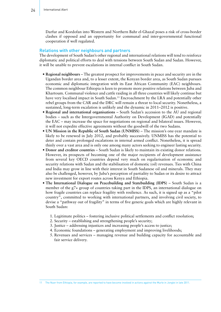Darfur and Kordofan into Western and Northern Bahr el-Ghazal poses a risk of cross-border clashes if opposed and an opportunity for communal and inter-governmental functional cooperation if well regulated.

#### Relations with other neighbours and partners

The development of South Sudan's other regional and international relations will tend to reinforce diplomatic and political efforts to deal with tensions between South Sudan and Sudan. However, it will be unable to prevent escalations in internal conflict in South Sudan.

- **Regional neighbours** The greatest prospect for improvements in peace and security are in the Ugandan border area and, to a lesser extent, the Kenyan border area, as South Sudan pursues economic and diplomatic integration with its East African Community (EAC) neighbours. The common neighbour Ethiopia is keen to promote more positive relations between Juba and Khartoum. Communal violence and cattle raiding in all three countries will likely continue but have very localised impact in South Sudan.<sup>11</sup> Encroachment by the LRA and potentially other rebel groups from the CAR and the DRC will remain a threat to local security. Nonetheless, a sustained, long-term escalation is unlikely and the dynamic in 2011–2012 is positive.
- **Regional and international organisations** South Sudan's accession to the AU and regional bodies – such as the Intergovernmental Authority on Development (IGAD) and potentially the EAC – may increase the space for negotiations on regional and bilateral issues. However, it will not expedite effective agreements without the goodwill of the two Sudans.
- **UN Mission in the Republic of South Sudan (UNMISS)** The mission's one-year mandate is likely to be renewed in July 2012, and probably successively. UNMISS has the potential to deter and contain prolonged escalations in internal armed conflict. Nonetheless, it is spread thinly over a vast area and is only one among many actors seeking to engineer lasting security.
- **Donor and creditor countries** South Sudan is likely to maintain its existing donor relations. However, its prospects of becoming one of the major recipients of development assistance from several key OECD countries depend very much on regularisation of economic and security relations with Sudan and the stabilisation of domestic (oil) revenues. Ties with China and India may grow in line with their interest in South Sudanese oil and minerals. They may also be challenged, however, by Juba's perception of partiality to Sudan or its desire to attract new investment for export routes across Kenya and Ethiopia.
- **The International Dialogue on Peacebuilding and Statebuilding (IDPS)**  South Sudan is a member of the g7+ group of countries taking part in the IDPS, an international dialogue on how fragile countries can replace fragility with resilience. As such, it is signed up as a "pilot country", committed to working with international partners, and involving civil society, to devise a "pathway out of fragility" in terms of five generic goals which are highly relevant in South Sudan:
	- 1. Legitimate politics fostering inclusive political settlements and conflict resolution;
	- 2. Security establishing and strengthening people's security;
	- 3. Justice addressing injustices and increasing people's access to justice;
	- 4. Economic foundations generating employment and improving livelihoods;
	- 5. Revenues and services managing revenue and building capacity for accountable and fair service delivery.

11 The Nuer from Ethiopia, for example, are reported to have become involved in actions against the Murle in Jonglei in late 2011.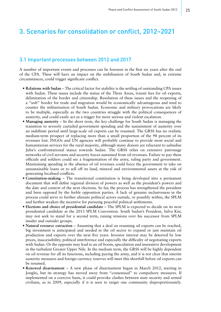# 3. Scenarios for consolidation or conflict, 2012–2021

### 3.1 Important processes between 2012 and 2017

A number of important events and processes can be foreseen in the first six years after the end of the CPA. These will have an impact on the stabilisation of South Sudan and, in extreme circumstances, could trigger significant conflict.

- **Relations with Sudan** The critical factor for stability is the settling of outstanding CPA issues with Sudan. These issues include the status of the Three Areas, transit fees for oil exports, delimitation of the border and citizenship. Resolution of these issues and the reopening of a "soft" border for trade and migration would be economically advantageous and tend to counter the militarisation of South Sudan. Economic and military provocations are likely to be multiple, especially as the two countries struggle with the political consequences of austerity, and could easily act as a trigger for more serious and violent escalation.
- **Managing austerity** In the short term, the key challenge for South Sudan is managing the transition to severely curtailed government spending and the sustainment of austerity over an indefinite period until large-scale oil exports can be resumed. The GRSS has no realistic medium-term prospect of replacing more than a small proportion of the 98 percent of its revenues lost. INGOs and UN agencies will probably continue to provide most social and humanitarian services for the rural majority, although many donors are reluctant to subsidise Juba's confrontational stance towards Sudan. The GRSS relies on extensive patronage networks of civil servants and security forces sustained from oil revenues. Failure to pay these officials and soldiers could see a fragmentation of the army, ruling party and government. Maintaining spending in the absence of oil revenues could force the government to take on unsustainable loans or to sell off its land, mineral and environmental assets at the risk of generating localised conflicts.
- **Constitution-making**  The transitional constitution is being developed into a permanent document that will define regional division of powers as well as the president's powers and the date and context of the next elections. So far, the process has strengthened the president and been opposed by the feeble opposition parties. A lack of genuine inclusiveness in the process could serve to further alienate political actors outside, or possibly within, the SPLM and further weaken the incentive for pursuing peaceful political settlements.
- **Elections and choice of presidential candidate** The SPLM is expected to decide on its next presidential candidate at the 2013 SPLM Convention. South Sudan's President, Salva Kiir, may not seek to stand for a second term, raising tensions over his successor from SPLM insider and outsider groups.
- **Natural resource extraction** Assuming that a deal on resuming oil exports can be reached, big investment is anticipated and needed in the oil sector to expand or just maintain oil production and exports over the next five years. Investor interest may be deterred by low prices, inaccessibility, political interference and especially the difficulty of negotiating exports with Sudan. Or the opposite may lead to an oil boom, speculation and insensitive development in the turbulent Greater Upper Nile. In the medium term, the GRSS will be highly dependent on oil revenue for all its functions, including paying the army, and it is not clear that interim austerity measures and foreign currency reserves will meet this shortfall before oil exports can be resumed.
- **Renewed disarmament**  A new phase of disarmament began in March 2012, starting in Jonglei, but its strategy has moved away from "consensual" to compulsory measures. If implemented on a coercive basis, it could provoke clashes between state security and armed civilians, as in 2009, especially if it is seen to target one community disproportionately.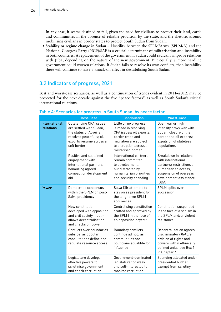In any case, it seems destined to fail, given the need for civilians to protect their land, cattle and communities in the absence of reliable provision by the state, and the rhetoric around mobilising civilians in border states to protect South Sudan from Sudan.

**• Stability or regime change in Sudan** – Hostility between the SPLM/Army (SPLM/A) and the National Congress Party (NCP)/SAF is a crucial determinant of militarisation and instability in both countries. A replacement of the government in Sudan could radically improve relations with Juba, depending on the nature of the new government. But equally, a more hardline government could worsen relations. If Sudan fails to resolve its own conflicts, then instability there will continue to have a knock-on effect in destabilising South Sudan.

### 3.2 Indicators of progress, 2021

Best and worst-case scenarios, as well as a continuation of trends evident in 2011–2012, may be projected for the next decade against the five "peace factors" as well as South Sudan's critical international relations.

|                                          | <b>Best-Case</b>                                                                                                                                         | <b>Continuation</b>                                                                                                                                                    | <b>Worst-Case</b>                                                                                                                                              |
|------------------------------------------|----------------------------------------------------------------------------------------------------------------------------------------------------------|------------------------------------------------------------------------------------------------------------------------------------------------------------------------|----------------------------------------------------------------------------------------------------------------------------------------------------------------|
| <b>International</b><br><b>Relations</b> | <b>Outstanding CPA issues</b><br>are settled with Sudan;<br>the status of Abyei is<br>resolved peacefully; oil<br>exports resume across a<br>soft border | Little or no progress<br>is made in resolving<br>CPA issues; oil exports,<br>border trade and<br>migration are subject<br>to disruption across a<br>militarised border | Open war or high<br>intensity proxy war with<br>Sudan; closure of the<br>border and oil exports;<br>expulsion of stateless<br>populations                      |
|                                          | Positive and sustained<br>engagement with<br>international partners<br>honouring agreed<br>compact on development<br>aid                                 | International partners<br>remain committed<br>to development,<br>but distracted by<br>humanitarian priorities<br>and security spending                                 | Breakdown in relations<br>with international<br>partners; restrictions on<br>humanitarian access;<br>suspension of overseas<br>development assistance<br>[ODA] |
| <b>Power</b>                             | Democratic consensus<br>within the SPLM on post-<br>Salva presidency                                                                                     | Salva Kiir attempts to<br>stay on as president for<br>the long term; SPLM<br>acquiesces                                                                                | SPLM splits over<br>succession                                                                                                                                 |
|                                          | New constitution<br>developed with opposition<br>and civil society input -<br>allows decentralisation<br>and checks on power                             | Centralising constitution<br>drafted and approved by<br>the SPLM in the face of<br>an opposition boycott                                                               | Constitution suspended<br>in the face of a schism in<br>the SPLM and/or violent<br>resistance                                                                  |
|                                          | Conflicts over boundaries<br>subside, as popular<br>consultations define and<br>regulate resource access                                                 | Boundary conflicts<br>continue ad hoc, as<br>communities and<br>politicians squabble for<br>influence                                                                  | Decentralisation agrees<br>discriminatory Kokora<br>division of rights and<br>powers within ethnically<br>defined units (see Box 1<br>in Chapter 4)            |
|                                          | Legislature develops<br>effective powers to<br>scrutinise government<br>and check corruption                                                             | Government-dominated<br>legislature too weak<br>and self-interested to<br>monitor corruption                                                                           | Spending allocated under<br>presidential budget<br>exempt from scrutiny                                                                                        |

### Table 4: Scenarios for progress in South Sudan, by peace factor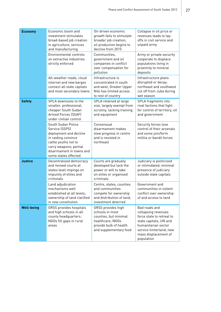| <b>Economy</b>    | Economic boom and<br>investment stimulates<br>broad-based job creation<br>in agriculture, services<br>and manufacturing                                                                     | Oil-driven economic<br>growth fails to stimulate<br>broader job creation;<br>oil production begins to<br>decline from 2015             | Collapse in oil price or<br>revenues leads to lay-<br>offs in civil service and<br>unpaid army                                                                                      |
|-------------------|---------------------------------------------------------------------------------------------------------------------------------------------------------------------------------------------|----------------------------------------------------------------------------------------------------------------------------------------|-------------------------------------------------------------------------------------------------------------------------------------------------------------------------------------|
|                   | Environmental controls<br>on extractive industries<br>strictly enforced                                                                                                                     | Communities,<br>government and oil<br>companies in conflict<br>over compensation for<br>pollution                                      | Army or private security<br>cooperate to displace<br>populations living in<br>proximity to mineral<br>deposits                                                                      |
|                   | All-weather roads, cloud<br>internet and new barges<br>connect all state capitals<br>and most secondary towns                                                                               | Infrastructure is<br>concentrated in south<br>and west; Greater Upper<br>Nile has limited access<br>to rest of country                 | Infrastructure plans<br>disrupted or decay;<br>northeast and southwest<br>cut off from Juba during<br>wet season                                                                    |
| <b>Safety</b>     | SPLA downsizes to the<br>smaller, professional,<br>cheaper South Sudan<br>Armed Forces (SSAF)<br>under civilian control                                                                     | SPLA retained at large<br>size, largely exempt from<br>scrutiny, lacking training<br>and equipment                                     | SPLA fragments into<br>rival factions that fight<br>for control of territory, oil<br>and government                                                                                 |
|                   | South Sudan Police<br>Service (SSPS)<br>deployment and decline<br>in raiding convince<br>cattle youths not to<br>carry weapons; partial<br>disarmament in towns and<br>some states effected | Consensual<br>disarmament makes<br>slow progress in centre<br>and is resisted in<br>northeast                                          | Security forces lose<br>control of their arsenals<br>and some join/form<br>militia or bandit forces                                                                                 |
| <b>Justice</b>    | Decentralised democracy<br>and revived courts at<br>states level impinge on<br>impunity of elites and<br>criminals                                                                          | Courts are gradually<br>developed but lack the<br>power or will to take<br>on elites or organised<br>criminals                         | Judiciary is politicised<br>or intimidated; minimal<br>presence of judiciary<br>outside state capitals                                                                              |
|                   | Land adjudication<br>mechanisms well<br>established at all levels;<br>ownership of land clarified<br>in new constitution                                                                    | Centre, states, counties<br>and communities<br>compete for ownership<br>and distribution of land;<br>investment deterred               | Government and<br>communities in violent<br>conflict over ownership<br>of and access to land                                                                                        |
| <b>Well-being</b> | GRSS provides hospitals<br>and high schools in all<br>county headquarters;<br>NGOs fill gaps in rural<br>areas                                                                              | GRSS provides high<br>schools in most<br>counties, but minimal<br>healthcare; NGOs<br>provide bulk of health<br>and supplementary food | Bad roads and<br>collapsing revenues<br>force state to retreat to<br>state capitals; UN and<br>humanitarian sector<br>service hinterland; new<br>mass displacement of<br>population |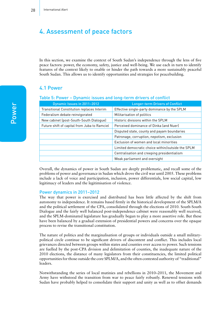# 4. Assessment of peace factors

In this section, we examine the context of South Sudan's independence through the lens of five peace factors: power, the economy, safety, justice and well-being. We use each in turn to identify features of the context likely to enable or hinder the path towards a more sustainably peaceful South Sudan. This allows us to identify opportunities and strategies for peacebuilding.

### 4.1 Power

#### Table 5: Power – Dynamic issues and long-term drivers of conflict

| Dynamic Issues in 2011-2012                  | <b>Longer-term Drivers of Conflict</b>            |
|----------------------------------------------|---------------------------------------------------|
| Transitional Constitution replaces Interim   | Effective single-party dominance by the SPLM      |
| Federalism debate reinvigorated              | Militarisation of politics                        |
| New cabinet (post-South-South Dialoque)      | Historic divisions within the SPLM                |
| Future shift of capital from Juba to Ramciel | Perceived dominance of Dinka (and Nuer)           |
|                                              | Disputed state, county and payam boundaries       |
|                                              | Patronage, corruption, nepotism, exclusion        |
|                                              | Exclusion of women and local minorities           |
|                                              | Limited democratic choice within/outside the SPLM |
|                                              | Centralisation and creeping presidentialism       |
|                                              | Weak parliament and oversight                     |

Overall, the dynamics of power in South Sudan are deeply problematic, and recall some of the problems of power and governance in Sudan which drove the civil war until 2005. These problems include a lack of voice and participation, inclusion, power differentials, low social capital, low legitimacy of leaders and the legitimisation of violence.

#### Power dynamics in 2011–2012

The way that power is exercised and distributed has been little affected by the shift from autonomy to independence. It remains based firmly in the historical development of the SPLM/A and the political settlement of the CPA, consolidated through the elections of 2010. South-South Dialogue and the fairly well balanced post-independence cabinet were reasonably well received, and the SPLM-dominated legislature has gradually begun to play a more assertive role. But these have been balanced by a gradual extension of presidential powers and concerns over the opaque process to revise the transitional constitution.

The nature of politics and the marginalisation of groups or individuals outside a small militarypolitical circle continue to be significant drivers of discontent and conflict. This includes local grievances directed between groups within states and counties over access to power. Such tensions are fuelled by the post-CPA division and delimitation of counties, the inadequate nature of the 2010 elections, the distance of many legislators from their constituencies, the limited political opportunities for those outside the core SPLM/A, and the often contested authority of "traditional" leaders.

Notwithstanding the series of local mutinies and rebellions in 2010–2011, the Movement and Army have withstood the transition from war to peace fairly robustly. Renewed tensions with Sudan have probably helped to consolidate their support and unity as well as to offset demands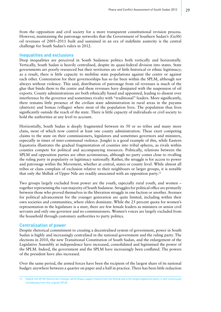from the opposition and civil society for a more transparent constitutional revision process. However, maintaining the patronage networks that the Government of Southern Sudan's (GoSS) oil revenues of 2005–2011 built and sustained in an era of indefinite austerity is the central challenge for South Sudan's rulers in 2012.

#### Inequalities and exclusions

Deep inequalities are perceived in South Sudanese politics both vertically and horizontally. Vertically, South Sudan is heavily centralised, despite its quasi-federal division into states. State governments are poorly resourced but their territories are of little historical or ethnic legitimacy; as a result, there is little capacity to mobilise state populations against the centre or against each other. Contestation for their governorships has so far been within the SPLM, although not always without violence. This said, distribution of patronage from oil revenues is much of the glue that binds them to the centre and these revenues have dissipated with the suspension of oil exports. County administrations are both ethnically based and appointed, leading to dissent over interference by the governor and sometimes rivalry with "traditional" leaders. More significantly, there remains little presence of the civilian state administration in rural areas in the payams (districts) and bomas (villages) where most of the population lives. The population thus lives significantly outside the reach of the state. There is little capacity of individuals or civil society to hold the authorities at any level to account.

Horizontally, South Sudan is deeply fragmented between its 50 or so tribes and many more clans, most of which now control at least one county administration. These exert competing claims to the state on their commissioners, legislators and sometimes governors and ministers, especially in times of inter-communal violence. Jonglei is a good example of this, while Eastern Equatoria illustrates the gradual fragmentation of counties into tribal spheres, as rivals within counties compete for political and accompanying resources. Politically, relations between the SPLM and opposition parties are often acrimonious, although no party comes close to rivalling the ruling party in popularity or legitimacy nationally. Rather, the struggle is for access to power and patronage within the Movement, whether at central, states or county level. While almost all tribes or clans complain of exclusion relative to their neighbours or larger groups, it is notable that only the Shilluk of Upper Nile are readily associated with an opposition party.12

Two groups largely excluded from power are the youth, especially rural youth, and women – together representing the vast majority of South Sudanese. Struggles for political office are primarily between those who proved themselves in the liberation struggle in one faction or another. Avenues for political advancement for the younger generation are quite limited, including within their own societies and communities, where elders dominate. While the 25 percent quota for women's representation in the legislature is a start, there are few female leaders as ministers or senior civil servants and only one governor and no commissioners. Women's voices are largely excluded from the household through customary authorities to party politics.

#### Centralisation of power

Despite rhetorical commitment to creating a decentralised system of government, power in South Sudan is highly and increasingly centralised in the national government and the ruling party. The elections in 2010, the new Transitional Constitution of South Sudan, and the enlargement of the Legislative Assembly at independence have increased, consolidated and legitimised the power of the SPLM. Indeed, the government and the SPLM have increasingly been conflated. The powers of the president have also increased.

Over the same period, the armed forces have been the recipient of the largest share of its national budget: anywhere between a quarter on paper and a half in practice. There has been little reduction

<sup>12</sup> Indeed, the SPLM-Democratic Change, which draws support mainly from the Shilluk and is the largest opposition party, is self-consciously a breakaway from the original SPLM.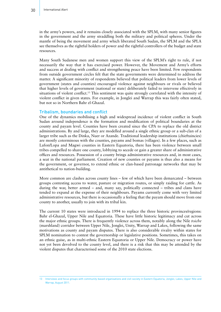in the army's powers, and it remains closely associated with the SPLM, with many senior figures in the government and the army straddling both the military and political spheres. Under the mantle of being the movement and army which liberated South Sudan, the SPLM and the SPLA see themselves as the rightful holders of power and the rightful controllers of the budget and state resources.

Many South Sudanese men and women support this view of the SPLM's right to rule, if not necessarily the way that it has exercised power. However, the Movement and Army's efforts and success at dealing with conflict and strengthening peace have been limited. Few respondents from outside government circles felt that the state governments were determined to address the matter. A significant minority of respondents believed that political leaders from lower levels of government (states and counties) encouraged violence against neighbours or rivals or believed that higher levels of government (national or state) deliberately failed to intervene effectively in situations of violent conflict.<sup>13</sup> This sentiment was quite strongly correlated with the intensity of violent conflict in given states. For example, in Jonglei and Warrap this was fairly often stated, but not so in Northern Bahr el-Ghazal.

#### Tribalism, boundaries and conflict

One of the dynamics mobilising a high and widespread incidence of violent conflict in South Sudan around independence is the formation and modification of political boundaries at the county and payam level. Counties have been created since the CPA to replace the old district administrations. By and large, they are modelled around a single ethnic group or a sub-clan of a larger tribe such as the Dinka, Nuer or Azande. Traditional leadership institutions (chieftaincies) are mostly coterminous with the counties, payams and bomas (villages). In a few places, such as Lafon/Lopa and Magwi counties in Eastern Equatoria, there has been violence between small tribes compelled to share one county, lobbying to secede or gain a greater share of administrative offices and resources. Possession of a county brings administrative resources and, in most cases, a seat in the national parliament. Creation of new counties or payams is thus also a means for the government, or governor, to extend ethnic or clan-based patronage networks that may be antithetical to nation-building.

More common are clashes across county lines – few of which have been demarcated – between groups contesting access to water, pasture or migration routes, or simply raiding for cattle. As during the war, better armed – and, many say, politically connected – tribes and clans have tended to expand at the expense of their neighbours. Payams currently come with very limited administrative resources, but there is occasionally a feeling that the payam should move from one county to another, usually to join with its tribal kin.

The current 10 states were introduced in 1994 to replace the three historic provinces/regions: Bahr el-Ghazal, Upper Nile and Equatoria. These have little historic legitimacy and cut across the major ethnic groups. There is frequently violence across them, notably along the Nile *toiche* (marshland) corridor between Upper Nile, Jonglei, Unity, Warrap and Lakes, following the same motivations as county and payam disputes. There is also considerable rivalry within states for SPLM nomination to contest the governorship or legislative positions. Sometimes, this takes on an ethnic guise, as in multi-ethnic Eastern Equatoria or Upper Nile. Democracy or power have not yet been devolved to the county level, and there is a risk that this may be attended by the violent disputes that characterised some of the 2010 state elections.

<sup>13</sup> Interviews and focus groups with community-based organisations and civil society in Eastern Equatoria, Jonglei, Lakes, Upper Nile and Warrap, August 2011.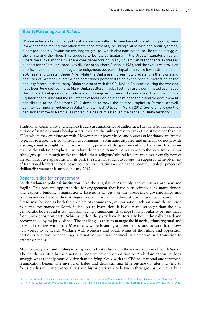### **Box 1: Patronage and** *Kokora*

While elected and appointed political posts universally go to members of local ethnic groups, there is a widespread feeling that other state appointments, including civil service and security forces, disproportionately favour the two largest groups, which also dominated the liberation struggle: the Dinka and the Nuer. This appears to be felt particularly in the Greater Equatoria region, where the Dinka and the Nuer are considered foreign. Many Equatorian respondents expressed support for *Kokora*, the three-way division of southern Sudan in 1983, and the exclusive provision of official positions in each region to indigenous peoples.14 Equatorians are few in Greater Bahr el-Ghazal and Greater Upper Nile, while the Dinka are increasingly prevalent in the towns and pastures of Greater Equatoria and sometimes perceived to enjoy the special protection of the security forces. Indeed, many Dinka relocated with the SPLM/A to Equatoria during the war and have been long settled there. Many Dinka settlers in Juba feel they are discriminated against by Bari chiefs, local government officials and foreign employers.<sup>15</sup> Tensions over the influx of non-Equatorians to Juba and the reluctance of local Bari chiefs to release their land for development contributed to the September 2011 decision to move the national capital to Ramciel as well as inter-communal violence in Juba that claimed 10 lives in March 2012. Some others see the decision to move to Ramciel as rooted in a desire to establish the capital in Dinka territory.

Traditional, community and religious leaders are another set of authorities. For many South Sudanese outside of state or county headquarters, they are the only representatives of the state other than the SPLA whom they ever interact with. However, their power bases and sources of legitimacy are limited (typically to a specific tribal or religious community), sometimes disputed, and generally do not provide a strong counter-weight to the overwhelming powers of the government and the army. Exceptions may be the Nilotic "prophets", who have been able to mobilise resistance to the state from clan or ethnic groups – although unlike the chiefs, these religious/cultural leaders are never formally part of the administrative apparatus. For its part, the state has sought to co-opt the support and involvement of traditional leaders in local peace councils or initiatives – such as the "community-led" process of civilian disarmament launched in early 2012.

#### Opportunities for engagement

**South Sudanese political institutions** like the Legislative Assembly and ministries **are new and fragile**. This presents opportunities for engagement that have been seized on by many donors and capacity-building organisations. Executive offices like the presidency, governorships and commissioners have rather stronger roots in wartime administrations and commands. The SPLM may be seen as both the problem of (dominance, militarisation, schisms) and the solution to better governance in South Sudan. As an institution, it is older and stronger than the new democratic bodies and is still far from facing a significant challenge to its popularity or legitimacy from any opposition party. Schisms within the party have historically been ethnically based and accompanied by major violence. The challenge is then to **manage the historic, ethno-regional and personal rivalries within the Movement, while fostering a more democratic culture** that allows new voices to be heard. Working with women's and youth wings of the ruling and opposition parties is one way to encourage alternative, post-war political participation in a transition to greater openness.

More broadly, **nation-building** is conspicuous by its absence in the reconstruction of South Sudan. The South has little historic national identity beyond opposition to Arab domination; its long struggle was arguably more divisive than unifying. Only with the CPA has national and territorial reunification begun. The myriad of tribes and clans still mix little outside of Juba and tend to focus on dissimilarities, inequalities and historic grievances between their groups, particularly in

<sup>14</sup> Interviews with civil society, community groups and traders in Torit and Kapoeta, August 2011; and in Juba, August and November 2011.

<sup>15</sup> Informal conversations with Juba residents, 2011. Comments from a Dinka academic in Northern Bahr el-Ghazal, by email, March 2012.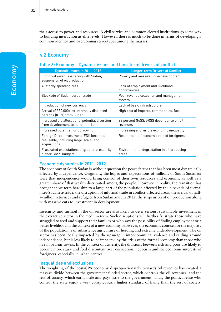their access to power and resources. A civil service and common elected institutions go some way to building interaction at elite levels. However, there is much to be done in terms of developing a common identity and overcoming stereotypes among the masses.

### 4.2 Economy

### Table 6: Economy – Dynamic issues and long-term drivers of conflict

| Dynamic Issues in 2011-2012                                                                       | <b>Longer-term Drivers of Conflict</b>              |
|---------------------------------------------------------------------------------------------------|-----------------------------------------------------|
| End of oil revenue-sharing with Sudan;<br>suspension of oil production                            | Poverty and massive underdevelopment                |
| Austerity spending cuts                                                                           | Lack of employment and livelihood<br>opportunities  |
| Blockade of Sudan border trade                                                                    | Poor revenue collection and management<br>system    |
| Introduction of new currency                                                                      | Lack of basic infrastructure                        |
| Arrival of 350,000+ ex-internally displaced<br>persons (IDPs) from Sudan                          | High cost of imports, commodities, fuel             |
| Increased aid allocations; potential diversion<br>from development to humanitarian                | 98 percent GoSS/GRSS dependence on oil<br>revenues  |
| Increased potential for borrowing                                                                 | Increasing and visible economic inequality          |
| Foreign Direct Investment (FDI) becomes<br>realisable, including large-scale land<br>acquisitions | Resentment of economic role of foreigners           |
| Frustrated expectations of greater prosperity,<br>higher GRSS budgets                             | Environmental degradation in oil producing<br>areas |

### Economic dynamics in 2011–2012

The economy of South Sudan is without question the peace factor that has been most dynamically affected by independence. Originally, the hopes and expectations of millions of South Sudanese were that independence would bring control of their own resources and economy, as well as a greater share of that wealth distributed among the people. However, in reality, the transition has brought short-term hardship to a large part of the population affected by the blockade of formal inter-Sudanese trade, the disruption of informal trade in conflict-affected areas, the arrival of halfa-million returnees and refugees from Sudan and, in 2012, the suspension of oil production along with massive cuts to investment in development.

Insecurity and turmoil in the oil sector are also likely to deter serious, sustainable investment in the extractive sector in the medium term. Such disruptions will further frustrate those who have struggled to feed and support their families or who saw the possibility of finding employment or a better livelihood in the context of a new economy. However, the economic context for the majority of the population is of subsistence agriculture or herding and extreme underdevelopment. The oil sector has been locally impacted by the upsurge in inter-communal violence and raiding around independence, but is less likely to be impacted by the crisis of the formal economy than those who live in or near towns. In the context of austerity, the divisions between rich and poor are likely to become more stark and feed discontent over corruption, nepotism and the economic interests of foreigners, especially in urban centres.

#### Inequalities and exclusions

The weighting of the post-CPA economy disproportionately towards oil revenues has created a massive divide between the government-funded sector, which controls the oil revenues, and the rest of society, which earns little and pays little to the government. Thus, the political elite who control the state enjoy a very conspicuously higher standard of living than the rest of society.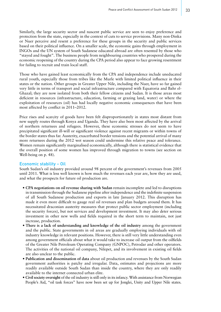Similarly, the large security sector and nascent public service are seen to enjoy preference and protection from the state, especially in the context of cuts to service provisions. Many non-Dinka or Nuer perceive and resent a preference for these groups in the security and public services based on their political influence. On a smaller scale, the economic gains through employment in INGOs and the UN system of South Sudanese educated abroad are often resented by those who "stayed and fought". The business people from neighbouring countries who prospered during the economic reopening of the country during the CPA period also appear to face growing resentment for failing to recruit and train local staff.

Those who have gained least economically from the CPA and independence include uneducated rural youth, especially those from tribes like the Murle with limited political influence in their states or the nation. Other groups in Greater Upper Nile, including the Nuer, have so far gained very little in terms of transport and social infrastructure compared with Equatoria and Bahr el-Ghazal; they are now isolated from both their fellow citizens and Sudan. It is those areas most deficient in resources (infrastructure, education, farming or grazing land, water) or where the exploitation of resources (oil) has had locally negative economic consequences that have been most affected by conflict in 2011–2012.

Price rises and scarcity of goods have been felt disproportionately in states most distant from new supply routes through Kenya and Uganda. They have also been most affected by the arrival of northern returnees and refugees. However, these economic stresses do not seem to have precipitated significant ill-will or significant violence against recent migrants or within towns of the border states thus far. Austerity, exacerbated border tensions and the potential arrival of many more returnees during the 2012 wet season could undermine this relative peace and tolerance. Women remain significantly marginalised economically, although there is statistical evidence that the overall position of some women has improved through migration to towns (see section on Well-being on p. 48).

#### Economic stability – Oil

South Sudan's oil industry provided around 98 percent of the government's revenues from 2005 until 2011. What is less well known is how much the revenues each year are, how they are used, and what the prospects for future oil production are.

- **CPA negotiations on oil revenue sharing with Sudan** remain incomplete and led to disruptions in transmission through the Sudanese pipeline after independence and the indefinite suspension of all South Sudanese production and exports in late January 2012. This disruption has made it even more difficult to gauge real oil revenues and plan budgets around them. It has necessitated draconian austerity measures that protect public sector employment (including the security forces), but not services and development investment. It may also deter serious investment in other new wells and fields required in the short term to maintain, not just increase, production.
- **There is a lack of understanding and knowledge of the oil industry** among the government and the public. State governments in oil areas are gradually employing individuals with oil industry knowledge in relevant positions. However, there is still very little understanding even among government officials about what it would take to increase oil output from the oilfields of the Greater Nile Petroleum Operating Company (GNPOC), Petrodar and other operators. The activities of the national oil company, Nilepet, and its involvement in existing oil fields are also unclear to the public.
- **Publication and dissemination of data** about oil production and revenues by the South Sudan government authorities is patchy and irregular. Data, estimates and projections are more readily available outside South Sudan than inside the country, where they are only readily available to the internet connected urban elite.
- **Civil society oversight** of the oil industry is still only in its infancy. With assistance from Norwegian People's Aid, "oil task forces" have now been set up for Jonglei, Unity and Upper Nile states.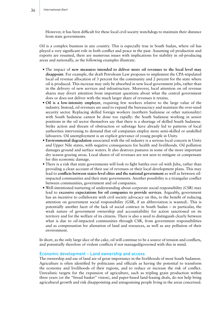However, it has been difficult for these local civil society watchdogs to maintain their distance from state governments.

Oil is a complex business in any country. This is especially true in South Sudan, where oil has played a very significant role in both conflict and peace in the past. Assuming oil production and exports are resumed, there are numerous issues with implications for stability in oil-producing areas and nationally, as the following examples illustrate.

- The impact of **new measures intended to deliver more oil revenues to the local level may disappoint**. For example, the draft Petroleum Law proposes to implement the CPA-stipulated local oil revenue allocation of 3 percent for the community and 2 percent for the state where oil is produced. This increase may only be absorbed in new local government jobs, rather than in the delivery of new services and infrastructure. Moreover, local attention on oil revenue shares may divert attention from important questions about what the central government does or does not deliver with the much larger share of revenues it retains.
- **Oil is a low-intensity employer**, requiring few workers relative to the large value of the industry. Instead, oil revenues are used to expand the bureaucracy and maintain the over-sized security sector. Replacing skilled foreign workers (northern Sudanese or other nationality) with South Sudanese cannot be done too rapidly: the South Sudanese working in senior positions in the oil sector themselves say that there is a shortage of skilled South Sudanese. Strike action and threats of obstruction or sabotage have already led to patterns of local authorities intervening to demand that oil companies employ more semi-skilled or unskilled labourers. Oil unemployment is an explicit grievance of young people in Unity.
- **Environmental degradation** associated with the oil industry is a serious local concern in Unity and Upper Nile states, with negative consequences for health and livelihoods. Oil pollution damages ground and surface waters. It also destroys pastures in some of the more important dry season grazing areas. Local shares of oil revenues are not seen to mitigate or compensate for this economic damage.
- There is a risk that state governments will look to fight battles over oil with Juba, rather than providing a clean account of their use of revenues or their local development plans. This may lead to **conflicts between states-level elites and the national government** as well as between oilimpacted communities and their state governments. Another possibility is a triangular conflict between communities, government and oil companies.
- Well-intentioned nurturing of understanding about corporate social responsibility (CSR) may lead to **excessive expectations for oil companies to provide services**. Arguably, government has an incentive to collaborate with civil society advocacy on this, to the benefit of reducing attention on government social responsibility (GSR, if an abbreviation is wanted). This is potentially another facet of the lack of social contract in South Sudan – in particular, the weak nature of government ownership and accountability for action sanctioned on its territory and for the welfare of its citizens. There is also a need to distinguish clearly between what is due to oil-impacted communities through CSR, from government responsibilities and as compensation for alienation of land and resources, as well as any pollution of their environment.

In short, as the only large slice of the cake, oil will continue to be a source of tension and conflicts, and potentially therefore of violent conflicts if not managed/governed with this in mind.

#### Economic development – Land ownership and access

The ownership and use of land are of great importance in the livelihoods of most South Sudanese. Agriculture is often identified by politicians and officials as having the potential to transform the economy and livelihoods of their regions, and to reduce or increase the risk of conflict. Unrealistic targets for the expansion of agriculture, such as tripling grain production within three years (or the "bread basket" vision), and paper-based land-leasing deals, do not help bring agricultural growth and risk disappointing and antagonising people living in the areas concerned.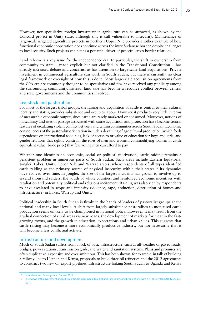However, non-speculative foreign investment in agriculture can be attracted, as shown by the Concord project in Unity state, although this is still vulnerable to insecurity. Maintenance of large-scale irrigated agriculture projects in northern Upper Nile provides another example of how functional economic cooperation does continue across the inter-Sudanese border, despite challenges to local security. Such projects can act as a potential driver of peaceful cross-border relations.

Land reform is a key issue for the independence era. In particular, the shift in ownership from community to state – made explicit but not clarified in the Transitional Constitution – has already increased debate and concerns, as has attention to large-scale land acquisitions. Private investment in commercial agriculture can work in South Sudan, but there is currently no clear legal framework or oversight of how this is done. Most large-scale acquisition agreements from the CPA era are commonly thought to be speculative and few have received any publicity among the surrounding community. Instead, land sale has become a resource conflict between central and state governments and the communities involved.

#### Livestock and pastoralism

For most of the largest tribal groups, the raising and acquisition of cattle is central to their cultural identity and status, provides subsistence and occupies labour. However, it produces very little in terms of measurable economic output, since cattle are rarely marketed or consumed. Moreover, notions of masculinity and rites of passage associated with cattle acquisition and protection have become central features of escalating violent conflict between and within communities across South Sudan. Economic consequences of the pastoralist orientation include a devaluing of agricultural production (which feeds dependence on international food aid), lack of access to or value of education for boys and girls, and gender relations that tightly constrain the roles of men and women, commodifying women in cattle equivalent value (bride price) that few young men can afford to pay.

Whether one identifies an economic, social or political motivation, cattle raiding remains a persistent problem in numerous parts of South Sudan. Such areas include Eastern Equatoria, Jonglei, Lakes, Unity, Upper Nile and Warrap states, where respondents of all types identified cattle raiding as the primary source of physical insecurity within their states.16 Its dynamics have evolved over time. In Jonglei, the size of the largest incidents has grown to involve up to several thousand raiders, the youth of whole counties, and reinforced economic incentives with retaliation and potentially political and religious incitement. Raiding was also seen by respondents to have escalated in scope and intensity (violence, rape, abduction, destruction of homes and infrastructure) in Lakes, Warrap and Unity.17

Political leadership in South Sudan is firmly in the hands of leaders of pastoralist groups at the national and many local levels. A shift from largely subsistence pastoralism to monetised cattle production seems unlikely to be championed in national policy. However, it may result from the gradual connection of rural areas via new roads, the development of markets for meat in the fastgrowing towns, and the growth in education, expectations and urban values. This suggests that cattle raising may become a more economically productive industry, but not necessarily that it will become a less conflictual activity.

#### Infrastructure and development

Much of South Sudan suffers from a lack of basic infrastructure, such as all-weather or paved roads, bridges, power stations, transmission grids, and water and sanitation systems. Plans and promises are often duplicative, expensive and over-ambitious. This has been shown, for example, in talk of building a railway line to Uganda and Kenya, proposals to build three oil refineries and the 2012 agreements to construct two new oil export pipelines. Infrastructure linking South Sudan to Uganda and Kenya

<sup>16</sup> Interviews and focus groups, August 2011.

<sup>17</sup> Interviews with government and judicial officials in Rumbek, Cueibet and Tonj South, and by telephone with civil society from Unity, August 2011.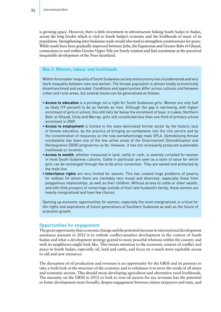is growing apace. However, there is little investment in infrastructure linking South Sudan to Sudan, across the long border which is vital to South Sudan's economy and the livelihoods of many of its population. Strengthening inter-Sudanese trade would also tend to strengthen constituencies for peace. While roads have been gradually improved between Juba, the Equatorias and Greater Bahr el-Ghazal, connections to and within Greater Upper Nile are barely existent and fuel resentment at the perceived inequitable development of the Nuer heartland.

### Box 2: Women, labour and livelihoods

Within the broader inequality of South Sudanese society and economy lies a fundamental and very stark inequality between men and women. The female population is almost totally economically disenfranchised and excluded. Conditions and opportunities differ across cultures and between urban and rural areas, but several issues can be generalised as follows.

- **Access to education** is a privilege not a right for South Sudanese girls. Women are only half as likely (19 percent) to be as literate as men. Although the gap is narrowing, with higher enrolment of girls in school, this still falls far below the enrolment of boys. In Lakes, Northern Bahr el-Ghazal, Unity and Warrap, girls still constituted less than one third of primary school enrolment in 2009.
- **Access to employment** is limited in the state-dominated formal sector by the historic lack of female education, by the practice of bringing ex-combatants into the civil service and by the concentration of resources on the now overwhelmingly male SPLA. Demobilising female combatants has been one of the few active areas of the Disarmament Demobilisation and Reintegration (DDR) programme so far. However, it has not necessarily produced sustainable livelihoods or incomes.
- **Access to wealth**, whether measured in land, cattle or cash, is severely curtailed for women in most South Sudanese cultures. Cattle in particular are seen as a store of value for which girls can be exchanged through the bride price convention. They are owned and protected by the male line.
- **Inheritance rights** are very limited for women. This has created huge problems of poverty for widows (of whom there are inevitably very many) and divorcees, especially those from polygamous relationships, as well as their children. Without access to cattle or other wealth, and with little prospect of remarriage outside of their late husband's family, these women are heavily marginalised and have few choices.

Opening up economic opportunities for women, especially the most marginalised, is critical for the rights and aspirations of future generations of Southern Sudanese as well as the future of economic growth.

#### Opportunities for engagement

The great opportunity that economic change and the potential increase in international development assistance presents in 2012 is to rethink conflict-sensitive development in the context of South Sudan and what a development strategy geared to more peaceful relations within the country and with its neighbours might look like. This means attention to the economic context of conflict and peace in South Sudan, especially oil, land and cattle, and focus on a much more equitable access to old and new resources.

The disruption of oil production and revenues is an opportunity for the GRSS and its partners to take a fresh look at the structure of the economy and to rebalance it to serve the needs of all states and economic sectors. This should mean developing agriculture and alternative rural livelihoods. The necessity on the GRSS in 2012 to look to non-oil sectors for tax revenues has the potential to foster development more broadly, deepen engagement between citizen taxpayers and state, and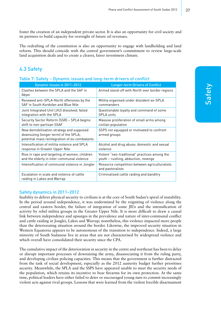foster the creation of an independent private sector. It is also an opportunity for civil society and its partners to build capacity for oversight of future oil revenues.

The redrafting of the constitution is also an opportunity to engage with landholding and land reform. This should coincide with the central government's commitment to review large-scale land acquisition deals and to create a clearer, fairer investment climate.

# 4.3 Safety

#### Table 7: Safety – Dynamic issues and long-term drivers of conflict

| Dynamic Issues in 2011-2012                                                                                                        | <b>Longer-term Drivers of Conflict</b>                            |
|------------------------------------------------------------------------------------------------------------------------------------|-------------------------------------------------------------------|
| Clashes between the SPLA and the SAF in<br>Abyei                                                                                   | Armed stand-off with North over border regions                    |
| Renewed anti-SPLA-North offensives by the                                                                                          | Militia organised under dissident ex-SPLA                         |
| SAF in South Kordofan and Blue Nile                                                                                                | commanders                                                        |
| Joint Integrated Unit (JIU) dissolved; failed                                                                                      | Questionable loyalty and command of some                          |
| integration with the SPLA                                                                                                          | <b>SPLA units</b>                                                 |
| Security Sector Reform (SSR) - SPLA begins                                                                                         | Massive proliferation of small arms among                         |
| shift to non-partisan SSAF                                                                                                         | civilian population                                               |
| New demobilisation strategy and supposed<br>downsizing (longer term) of the SPLA;<br>potential mass reintegration of ex-combatants | SSPS not equipped or motivated to confront<br>armed groups        |
| Intensification of militia violence and SPLA                                                                                       | Alcohol and drug abuse; domestic and sexual                       |
| response in Greater Upper Nile                                                                                                     | violence                                                          |
| Rise in rape and targeting of women, children                                                                                      | Violent "neo-traditional" practices among the                     |
| and the elderly in inter-communal violence                                                                                         | youth - rustling, abduction, revenge                              |
| Intensification of communal violence in Jonglei                                                                                    | Resource competition between agriculturalists<br>and pastoralists |
| Escalation in scale and violence of cattle<br>raiding in Lakes and Warrap                                                          | Criminalised cattle raiding and banditry                          |

#### Safety dynamics in 2011–2012

Inability to deliver physical security to civilians is at the core of South Sudan's spiral of instability. In the period around independence, it was undermined by the reigniting of violence along the central and eastern border, the failure of integration of some JIUs and the intensification of activity by rebel militia groups in the Greater Upper Nile. It is more difficult to draw a causal link between independence and upsurges in the prevalence and nature of inter-communal conflict and cattle raiding in Jonglei, Lakes and Warrap; nonetheless, this violence impacted more people than the deteriorating situation around the border. Likewise, the improved security situation in Western Equatoria appears to be autonomous of the transition to independence. Indeed, a large minority of South Sudanese live in areas that are not characterised by widespread violence and which overall have consolidated their security since the CPA.

The cumulative impact of the deterioration in security in the centre and northeast has been to delay or disrupt important processes of downsizing the army, disassociating it from the ruling party, and developing civilian policing capacities. This means that the government is further distracted from the task of social development, especially as the 2012 austerity budget further prioritises security. Meanwhile, the SPLA and the SSPS have appeared unable to meet the security needs of the population, which retains its incentive to bear firearms for its own protection. At the same time, political leaders have either failed to deter or encouraged young men to commit increasingly violent acts against rival groups. Lessons that were learned from the violent forcible disarmament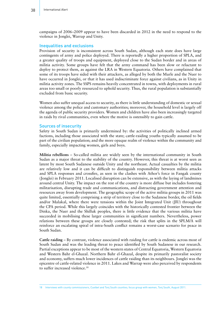campaigns of 2006–2009 appear to have been discarded in 2012 in the need to respond to the violence in Jonglei, Warrap and Unity.

#### Inequalities and exclusions

Provision of security is inconsistent across South Sudan, although each state does have large contingents of army and police deployed. There is reportedly a higher proportion of SPLA, and a greater quality of troops and equipment, deployed close to the Sudan border and in areas of militia activity. Some groups have felt that the army command has been slow or reluctant to deploy to protect them, as against the LRA in Western Equatoria. Others have complained that some of its troops have sided with their attackers, as alleged by both the Murle and the Nuer to have occurred in Jonglei, or that it has used indiscriminate force against civilians, as in Unity in militia activity zones. The SSPS remains heavily concentrated in towns, with deployments in rural areas too small or poorly resourced to uphold security. Thus, the rural population is substantially excluded from basic security.

Women also suffer unequal access to security, as there is little understanding of domestic or sexual violence among the police and customary authorities; moreover, the household level is largely off the agenda of public security providers. Women and children have also been increasingly targeted in raids by rival communities, even where the motive is ostensibly to gain cattle.

#### Sources of insecurity

Safety in South Sudan is primarily undermined by: the activities of politically inclined armed factions, including those associated with the state; cattle-raiding youths typically assumed to be part of the civilian population; and the more opaque realm of violence within the community and family, especially impacting women, girls and boys.

**Militia rebellions** – So-called militia are widely seen by the international community in South Sudan as a major threat to the stability of the country. However, this threat is at worst seen as latent by most South Sudanese outside Unity and the northeast. Actual casualties by the militia are relatively low and it can be difficult to distinguish responsibility between militia attacks and SPLA responses and crossfire, as seen in the clashes with Athor's force in Fangak county (Jonglei) in February 2011. Localised disruption can be extensive, as with the laying of landmines around central Unity. The impact on the rest of the country is more diffuse but includes fostering militarisation, disrupting trade and communications, and distracting government attention and resources away from development. The geographic scope of the active militia groups in 2011 was quite limited, essentially comprising a strip of territory close to the Sudanese border, the oil fields and/or Malakal, where there were tensions within the Joint Integrated Unit (JIU) throughout the CPA period. While this largely coincides with the historically contested frontier between the Dinka, the Nuer and the Shilluk peoples, there is little evidence that the various militia have succeeded in mobilising these larger communities in significant numbers. Nevertheless, power relations between these groups are closely contested; the risk that splits in the SPLM/A will reinforce an escalating spiral of intra-South conflict remains a worst-case scenario for peace in South Sudan.

**Cattle raiding** – By contrast, violence associated with raiding for cattle is endemic across most of South Sudan and was the leading threat to peace identified by South Sudanese in our research. Partial exceptions appear to be most of the western states of Central Equatoria, Western Equatoria and Western Bahr el-Ghazal. Northern Bahr el-Ghazal, despite its primarily pastoralist society and economy, suffers much lower incidences of cattle raiding than its neighbours. Jonglei was the epicentre of cattle-related violence in 2011. Lakes and Warrap were also perceived by respondents to suffer increased violence.<sup>18</sup>

<sup>18</sup> Interviews with county commissioners, Cueibet and Tonj South counties; focus group with women, Tonj South, August 2011.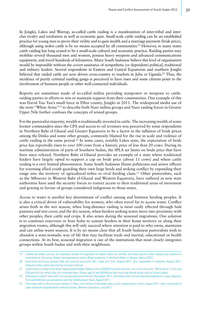In Jonglei, Lakes and Warrap, so-called cattle raiding is a manifestation of inter-tribal and interclan rivalry and retaliation as well as economic gain. Small-scale cattle raiding can be an established practice for young men to prove their virility and to gain wealth and a marriage payment (bride price), although using stolen cattle is by no means accepted by all communities.19 However, in many states cattle raiding has long ceased to be a small-scale cultural and economic practice. Raiding parties may mobilise several thousand men and women, possess heavy weapons and advanced communications equipment, and travel hundreds of kilometres. Many South Sudanese believe this level of organisation would be impossible without the covert assistance of sympathetic (or dependent) political, traditional and military leaders. Several respondents in Eastern and Central Equatorias and southern Jonglei believed that raided cattle are now driven cross-country to markets in Juba or Uganda.<sup>20</sup> Thus, the incidence of purely criminal rustling gangs is perceived to have risen and some citizens point to the involvement of business people or other well-connected individuals.

Reports are sometimes made of so-called militia providing manpower or weapons to cattleraiding parties in efforts to win or maintain support from their communities. One example of this was David Yau Yau's small force in Pibor county, Jonglei in 2011. The widespread media use of the term "White Army"21 to describe both Nuer militia groups and Nuer raiding forces in Greater Upper Nile further confuses the concepts of armed groups.

For the pastoralist majority, wealth is traditionally invested in cattle. The increasing wealth of some former commanders since the CPA and access to oil revenues was perceived by some respondents in Northern Bahr el-Ghazal and Greater Equatoria to be a factor in the inflation of bride prices among the Dinka and some other groups, commonly blamed for the rise in scale and violence of cattle raiding in the same period.<sup>22</sup> In some cases, notably Lakes state, the expectation of bride price has reportedly risen to over 100 cows from a historic price of less than 20 cows. During its wartime administration of parts of Southern Sudan, the SPLA set limits on bride price that have been since relaxed. Northern Bahr el-Ghazal provides an example of a state where traditional leaders have largely opted to support a cap on bride price (about 11 cows) and where cattle raiding is a very limited phenomenon. Some South Sudanese blame politicians and senior officers for rearming allied youth guarding their own large herds and stoking conflict by expanding their range into the territory of agricultural tribes or rival herding clans.<sup>23</sup> Other pastoralists, such as the Mbororo in Western Bahr el-Ghazal and Western Equatoria, have suffered as new state authorities have used the security forces to restrict access to their traditional areas of movement and grazing in favour of groups considered indigenous to those states.

Access to water is another key determinant of conflict among and between herding peoples. It is also a critical driver of vulnerability for women, who often travel far to access water. Conflict arises both in the wet season, when long-distance raiding is most easily effected through lush pastures and tree cover, and the dry season, when herders seeking water move into proximity with other peoples, their cattle and crops. It also arises during the seasonal migrations. One solution is to construct reservoirs or bore holes to sustain herders in their home territory or along their migration routes, although this will only succeed where attention is paid to who owns, maintains and can utilise water sources. It is by no means clear that all South Sudanese pastoralists wish to abandon a semi-nomadic way of life that may facilitate trade and marital, educational or health connections. At its best, seasonal migration is one of the institutions that most closely integrates groups within South Sudan and with their neighbours.

<sup>19</sup> Traditional Dinka culture, for example, forbids the payment of stolen cattle for a bride, but does permit cattle raiding and violence in retaliation for the same. Email correspondence with a Dinka academic in Northern Bahr el-Ghazal, March 2012.

<sup>20</sup> Interviews and focus groups with civil society and youth, Bor, Juba and Torit, August 2011. One respondent in Kapoeta, August 2011, believed stolen cattle were being trucked to Kenya.

<sup>21</sup> Used mainly to refer to the Nuer-based South Sudan Defence Force (SSDF) from the civil war, the rise of the term "White Army" in the late CPA period may reflect fear of a renewed Nuer-Dinka split in the SPLM/A as the most vital threat to the unity of South Sudan.

<sup>22</sup> Interviews in Aweil Town with civil society and court officials, November 2011; interviews with civil society and academics in Juba, Kapoeta, Torit and informal conversations with the community in Budi, August 2011.

<sup>23</sup> Interviews with a church peace worker in Wau, civil society in Rumbek, and a youth organisation in Bor, August 2011. Also, University of Juba research (unpublished) in Mvolo County, Western Equatoria, July 2011.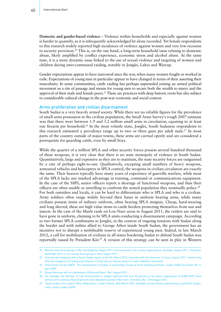**Domestic and gender-based violence** – Violence within households and especially against women is harder to quantify, as it is infrequently acknowledged let alone recorded. Yet female respondents to this research widely reported high incidences of violence against women and very low recourse to security provision.24 This is, on the one hand, a long-term household issue relating to domestic abuse, likely amplified by conflict experience, economic stress and alcohol abuse. At the same time, it is a more dynamic issue linked to the use of sexual violence and targeting of women and children during inter-communal raiding, notably in Jonglei, Lakes and Warrap.

Gender expectations appear to have narrowed since the war, when many women fought or worked in exile. Expectations of young men in particular appear to have changed in terms of their asserting their masculinity. In some communities, cattle raiding has perhaps superseded joining an armed political movement as a rite of passage and means for young men to secure both the wealth to marry and the approval of their male and female peers.<sup>25</sup> These are practices with deep historic roots but also subject to considerable cultural change in the post-war economic and social context.

#### Arms proliferation and civilian disarmament

South Sudan is a very heavily armed society. While there are no reliable figures for the prevalence of small arms possession in the civilian population, the Small Arms Survey's rough 2007 estimate was that there were between 1.9 and 3.2 million small arms in circulation, equating to at least one firearm per household.26 In the most volatile state, Jonglei, South Sudanese respondents to this research estimated a prevalence range up to two or three guns per adult male.27 In most parts of the country outside of major towns, these arms are carried openly and are considered a prerequisite for guarding cattle, even by small boys.

While the quarter of a million SPLA and other security forces possess several hundred thousand of these weapons, it is very clear that there is no state monopoly of violence in South Sudan. Quantitatively, large and expensive as they are to maintain, the state security forces are outgunned by a rate of perhaps eight-to-one. Qualitatively, excepting small numbers of heavy weapons, armoured vehicles and helicopters in SPLA control, the weapons in civilian circulation are exactly the same. Their bearers typically have many years of experience of guerrilla warfare, while most of the SPLA lacks any marked advantage in training, command or communications equipment. In the case of the SSPS, senior officers report a shortage of functional weapons, and thus their officers are often unable or unwilling to confront the armed population they nominally police.28 For both outsiders and locals, it can be hard to differentiate who is SPLA and who is a civilian. Army soldiers often range widely beyond their bases in uniform bearing arms, while many civilians possess items of military uniform, often bearing SPLA insignia. Cheap, hard-wearing and long sleeved, these are high value items to cattle herders protecting themselves from sun and insects. In the case of the Murle raids on Lou-Nuer areas in August 2011, the raiders are said to have gone in uniform, claiming to be SPLA units conducting a disarmament campaign. According to two former SPLA combatants in Jonglei, in the context of ongoing tensions with Sudan along the border and with militia allied to George Athor inside South Sudan, the government has an incentive *not* to disrupt a mobilisable reserve of experienced young men. Indeed, in late March 2012, a call for mobilisation of civilians in all states bordering Sudan to defend South Sudan was reportedly issued by President Kiir.29 A version of this strategy can be seen in play in Western

<sup>24</sup> Women-only focus groups in Bor and Kapoeta, August 2011; interviews with civil society organisations, Rumbek, August 2011, and Aweil, November 2011; a civil society focus group in Torit, August 2011.

<sup>25</sup> Interview by telephone with a South Sudan expert in the US, March 2012; interview with the Governor of Lakes, August 2011; women may often be instigators of raiding and violence, inciting men to restore honour or seek retaliation and cattle.

<sup>26</sup> Small Arms Survey (2007). 'The militarization of Sudan: A preliminary review of arms holding and flows', *Sudan HSBA Issue Brief*, No. 6, April 2007.

<sup>27</sup> Group interview with ex-combatants (Dinka and Nuer), Bor, August 2011.

<sup>28</sup> For example, the Minister of Law Enforcement in Jonglei reported that over 60 percent of his state's deployment of 8,000 SSPS were without arms and less than 40 percent were deployed outside of Bor town. Interview, Bor, 23rd August 2011.

<sup>29 &#</sup>x27;South Sudan's Kiir orders Public Mobilization, *Sudan Tribune*, 30th March 2012. Available at [http://www.sudantribune.com/South-Sudan](http://www.sudantribune.com/South-Sudan-s-Kiir-orders-public,42090)[s-Kiir-orders-public,42090](http://www.sudantribune.com/South-Sudan-s-Kiir-orders-public,42090).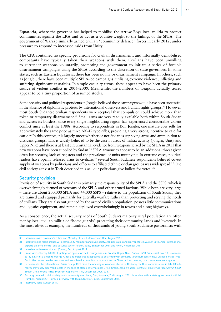Equatoria, where the governor has helped to mobilise the Arrow Boys local militia to protect communities against the LRA and to act as a counter-weight to the failings of the SPLA. The government of Warrap similarly armed civilian "community defence" forces in early 2012, under pressure to respond to increased raids from Unity.

The CPA contained no specific provisions for civilian disarmament, and informally demobilised combatants have typically taken their weapons with them. Civilians have been unwilling to surrender weapons voluntarily, prompting the government to initiate a series of forcible disarmament campaigns using the SPLA according to the discretion of state governors. In some states, such as Eastern Equatoria, there has been no major disarmament campaign. In others, such as Jonglei, there have been multiple SPLA-led campaigns, utilising extreme violence, inflicting and suffering significant casualties. In simple casualty terms, these appear to have been the primary source of violent conflict in 2006–2009. Meanwhile, the numbers of weapons actually seized appear to be a tiny proportion of assumed stocks.

Some security and political respondents in Jonglei believed these campaigns would have been successful in the absence of diplomatic protests by international observers and human rights groups.<sup>30</sup> However, most South Sudanese civilian respondents were sceptical that compulsion could achieve more than token or temporary disarmament.<sup>31</sup> Small arms are very readily available both within South Sudan and across its borders, since every single neighbouring region has experienced considerable violent conflict since at least the 1980s. According to respondents in Bor, Jonglei, one mature cow sells for approximately the same price as three AK-47 type rifles, providing a very strong incentive to raid for cattle.32 In this context, it is largely moot whether or not Sudan is supplying arms and ammunition to dissident groups. This is widely believed to be the case in areas of militia activity (Jonglei, Unity and Upper Nile) and there is at least circumstantial evidence from weapons seized by the SPLA in 2011 that new weapons have been supplied by Sudan.<sup>33</sup> SPLA armouries appear to be an additional threat given often lax security, lack of registers and the prevalence of units mutinying. In extreme cases, political leaders have openly released arms to civilians;<sup>34</sup> several South Sudanese respondents believed covert supply of weapons by politicians and officers to affiliated ethnic or clan groups was widespread.<sup>35</sup> One civil society activist in Torit described this as, 'our politicians give bullets for votes'.36

#### Security provision

Provision of security in South Sudan is primarily the responsibility of the SPLA and the SSPS, which is overwhelmingly formed of veterans of the SPLA and other armed factions. While both are very large – there are about 200,000 SPLA and 44,000 SSPS – relative to the population of South Sudan, they are trained and equipped primarily for guerrilla warfare rather than protecting and serving the needs of civilians. They are also out-gunned by the armed civilian population, possess little communications and logistics equipment, and remain deployed overwhelmingly in towns and along highways.

As a consequence, the actual security needs of South Sudan's majority rural population are often met by local civilian militia or "home guards" protecting their community, lands and livestock. In the most obvious example, the hundreds of thousands of young South Sudanese pastoralists with

<sup>30</sup> Interviews with Governor's Office and Ministry of Law Enforcement, Bor, August 2011.

<sup>31</sup> Interviews and focus groups with community members and civil society, Jonglei, Lakes and Warrap states, August 2011. Also, international experts on arms control and security sector reform, Juba, September 2011 and Aweil, November 2011.

<sup>32</sup> Interview with ex-combatant (Dinka), Bor, August 2011.

<sup>33</sup> Small Arms Survey (2011). 'Fighting for Spoils, Armed Insurgencies in Greater Upper Nile', *Sudan HSBA Issue Brief*, No. 18, November 2011, p.8. Militia allied to George Athor and Peter Gadet appeared to be armed with similarly large numbers of new Chinese-made Type-56-1 rifles, some heavier weapons and associated ammunition manufactured in China or Iran, pointing to a common recent supplier.

<sup>34</sup> For example, the International Crisis Group (ICG) cites the opening of weapons stores in Akobo by the then commissioner in late 2006 to rearm previously disarmed locals in the face of attack. International Crisis Group, *Jonglei's Tribal Conflicts: Countering Insecurity in South Sudan,* Crisis Group Africa Program Report No. 154, December 2009, p. 3.

<sup>35</sup> Focus groups with civil society and community members, Bor, Kapoeta, Torit, August 2011; interview with a state government official, Rumbek, August 2011; group interview with local NGO staff, Juba, September 2011.

<sup>36</sup> Interview, Torit, August 2011.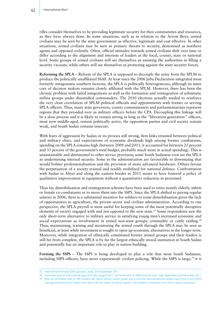rifles consider themselves to be providing legitimate security for their communities and resources, as they have always done. In some situations, such as in relation to the Arrow Boys, armed civilians may be seen by the state government as effective, legitimate and cost effective. In other situations, armed civilians may be seen as primary threats to security, demonised as northern agents and opposed violently. Often, official attitudes towards armed civilians shift over time or differ according to the alignment and interests of leaders at the local, county, state or national level. Some groups of armed civilians will see themselves as assisting the authorities in filling a security vacuum, while others will see themselves as protecting against the state security forces.

**Reforming the SPLA** – Reform of the SPLA is supposed to decouple the army from the SPLM to produce the politically unaffiliated SSAF. At least since the 2006 Juba Declaration integrated most formerly antagonistic southern factions, the SPLA is politically heterogeneous, although its inner core of decision makers remains closely affiliated with the SPLM. However, there has been the chronic problem with failed integrations as well as the formation and reintegration of schismatic militia groups under dissatisfied commanders. The 2010 elections actually tended to reinforce the very close correlation of SPLM political officials and appointments with former or serving SPLA officers. Thus, many state governors, county commissioners and parliamentarians represent regions that they presided over as military officers before the CPA. Decoupling this linkage will be a slow process and it is likely to remain strong as long as the "liberation generation" officers, most now middle-aged, remain politically active, the opposition parties and civil society remain weak, and South Sudan remains insecure.

With fears of aggression by Sudan or its proxies still strong, firm links retained between political and military elites, and expectations of economic dividends high among former combatants, spending on the SPLA remains high (between 2009 and 2011, it accounted for between 25 percent and 33 percent of the government's total budget, probably much more in actual spending). This is unsustainable and detrimental to other service provision; some South Sudanese even see the SPLA as undermining internal security. Some in the administration are favourable to downsizing that would bolster professionalisation and the provision of more advanced hardware. Others favour the perpetuation of a society trained and readily mobilised for national defence. Confrontation with Sudan in Abyei and along the eastern border in 2011 seems to have fostered a policy of qualitative improvement in equipment without a quantitative reduction in personnel.

Thus far, demobilisation and reintegration schemes have been used to retire mainly elderly, infirm or female ex-combatants or to move them into the SSPS. Since the SPLA shifted to paying regular salaries in 2006, there is a substantial incentive for soldiers to resist demobilisation given the lack of opportunities in agriculture, the private sector and civilian administration. According to one perspective, the SPLA payroll is most useful for keeping some of the most potentially disruptive elements of society engaged with and not opposed to the new state.<sup>37</sup> Some respondents saw the only short-term alternative to military service in satisfying young men's increased economic and social expectations as involvement in armed non-state groups, criminality or cattle raiding.<sup>38</sup> Thus, maintaining, training and monitoring the armed youth through the SPLA may be seen as beneficial, at least while investment is sought to open up economic alternatives in the longer term. Moreover, while integration of ethnically constituted former armed groups and their leaders is still far from complete, the SPLA is by far the largest ethnically mixed institution in South Sudan and potentially has an important role to play in nation-building.

**Forming the SSPS** – The SSPS is being developed to play a role that most South Sudanese, including SSPS officers, have never experienced: civilian policing. While the SSPS is large,<sup>39</sup> it is

<sup>37</sup> Interview with foreign SSR specialist, Juba, 2nd September 2011.

<sup>38</sup> Interviews with an international specialist, Bor, August 2011; interviews with an INGO and UN staff, Juba, September and November 2011.

<sup>39</sup> With an estimated ratio of 200 civilians per police officer, South Sudan has a nominal policing density almost twice that of the OECD average and many times higher than that of African states of similar wealth. The problem is therefore not a *lack* of police personnel.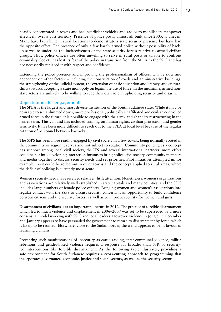heavily concentrated in towns and has insufficient vehicles and radios to mobilise its manpower effectively over a vast territory. Presence of police posts, almost all built since 2005, is uneven. Many have been built in rural locations to demonstrate a state security presence but have had the opposite effect. The presence of only a few barely armed police without possibility of backup serves to underline the ineffectiveness of the state security forces relative to armed civilian groups. Thus, police officers are often unwilling to serve in rural posts or unable to confront criminality. Society has lost its fear of the police in transition from the SPLA to the SSPS and has not necessarily replaced it with respect and confidence.

Extending the police presence and improving the professionalism of officers will be slow and dependent on other factors – including the construction of roads and administrative buildings, the strengthening of the judicial system, the extension of basic education and literacy, and cultural shifts towards accepting a state monopoly on legitimate use of force. In the meantime, armed nonstate actors are unlikely to be willing to cede their own role in upholding security and disarm.

#### Opportunities for engagement

The SPLA is the largest and most diverse institution of the South Sudanese state. While it may be desirable to see a slimmed down, more professional, politically unaffiliated and civilian controlled armed force in the future, it is possible to engage with the army and shape its restructuring in the nearer term. This can and has included training on human rights, civilian protection and gender sensitivity. It has been more difficult to reach out to the SPLA at local level because of the regular rotation of personnel between barracks.

The SSPS has been more readily engaged by civil society in a few towns, being normally rooted in the community or region it serves and not subject to rotation. **Community policing** as a concept has support among local civil society, the UN and several international partners; more effort could be put into developing **interaction forums** to bring police, civil society, community members and media together to discuss security needs and set priorities. Pilot initiatives attempted in, for example, Torit could be rolled out in other towns and the concept applied to rural areas, where the deficit of policing is currently most acute.

**Women's security** needs have received relatively little attention. Nonetheless, women's organisations and associations are relatively well established in state capitals and many counties, and the SSPS includes large numbers of female police officers. Bringing women and women's associations into regular contact with the SSPS to discuss security concerns is an opportunity to build confidence between citizens and the security forces, as well as to improve security for women and girls.

**Disarmament of civilians** is at an important juncture in 2012. The practice of forcible disarmament which led to much violence and displacement in 2006–2009 was set to be superseded by a more consensual model working with SSPS and local leaders. However, violence in Jonglei in December and January appears to have persuaded the government to return to disarmament by force, which is likely to be resisted. Elsewhere, close to the Sudan border, the trend appears to be in favour of rearming civilians.

Preventing such manifestations of insecurity as cattle raiding, inter-communal violence, militia rebellions and gender-based violence requires a response far broader than SSR or securityled interventions like forcible disarmament. As the following table illustrates, **providing a safe environment for South Sudanese requires a cross-cutting approach to programming that incorporates governance, economic, justice and social sectors, as well as the security sector**.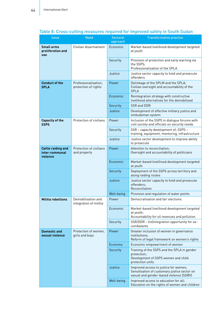| <b>Issue</b>                                             | <b>Need</b>                                  | <b>Sectoral</b><br>approach | <b>Transformative practice</b>                                                                                                   |
|----------------------------------------------------------|----------------------------------------------|-----------------------------|----------------------------------------------------------------------------------------------------------------------------------|
| <b>Small arms</b><br>proliferation and                   | Civilian disarmament                         | Economic                    | Market-based livelihood development targeted                                                                                     |
| use                                                      |                                              |                             | at youth                                                                                                                         |
|                                                          |                                              | Security                    | Provision of protection and early warning via<br>the SSPS;<br>Professionalisation of the SPLA                                    |
|                                                          |                                              | Justice                     | Justice sector capacity to hold and prosecute<br>offenders                                                                       |
| <b>Conduct of the</b><br><b>SPLA</b>                     | Professionalisation;<br>protection of rights | Power                       | Delinkage of the SPLM and the SPLA;<br>Civilian oversight and accountability of the<br><b>SPLA</b>                               |
|                                                          |                                              | Economic                    | Reintegration strategy with constructive<br>livelihood alternatives for the demobilised                                          |
|                                                          |                                              | Security                    | SSR and DDR                                                                                                                      |
|                                                          |                                              | Justice                     | Development of effective military justice and<br>ombudsman system                                                                |
| <b>Capacity of the</b><br><b>SSPS</b>                    | Protection of civilians                      | Power                       | Inclusion of the SSPS in dialogue forums with<br>civil society and officials on security needs                                   |
|                                                          |                                              | Security                    | SSR - capacity development of; SSPS -<br>training, equipment, mentoring, infrastructure                                          |
|                                                          |                                              | Justice                     | Justice sector development to improve ability<br>to prosecute                                                                    |
| <b>Cattle raiding and</b><br>inter-communal<br>violence  | Protection of civilians<br>and property      | Power                       | Attention to reconciliation;<br>Oversight and accountability of politicians                                                      |
|                                                          |                                              | Economic                    | Market-based livelihood development targeted<br>at youth                                                                         |
|                                                          |                                              | Security                    | Deployment of the SSPS across territory and<br>along raiding routes                                                              |
|                                                          |                                              | Justice                     | Justice sector capacity to hold and prosecute<br>offenders:<br>Reconciliation                                                    |
|                                                          |                                              | Well-being                  | Provision and regulation of water points                                                                                         |
| <b>Militia rebellions</b>                                | Demobilisation and<br>integration of militia | Power                       | Democratisation and fair elections                                                                                               |
|                                                          |                                              | Economic                    | Market-based livelihood development targeted<br>at youth;<br>Accountability for oil revenues and pollution                       |
|                                                          |                                              | Security                    | SSR/DDR - (re)integration opportunity for ex-<br>combatants                                                                      |
| <b>Domestic and</b><br>sexual violence<br>girls and boys | Protection of women,                         | Power                       | Greater inclusion of women in governance<br>institutions;<br>Reform of legal framework on women's rights                         |
|                                                          |                                              | Economy                     | Economic empowerment of women                                                                                                    |
|                                                          |                                              | Security                    | Training of the SSPS and the SPLA in gender<br>protection;<br>Development of SSPS women and child<br>protection units            |
|                                                          |                                              | Justice                     | Improved access to justice for women;<br>Sensitisation of customary justice sector on<br>sexual and gender-based violence (SGBV) |
|                                                          |                                              | Well-being                  | Improved access to education for all;<br>Education on the rights of women and children                                           |

# Table 8: Cross-cutting measures required for improved safety in South Sudan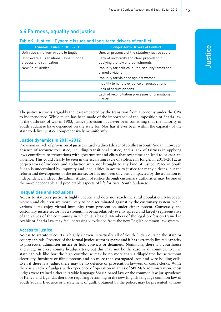# 4.4 Fairness, equality and justice

## Table 9: Justice – Dynamic issues and long-term drivers of conflict

| Dynamic Issues in 2011-2012                                                  | <b>Longer-term Drivers of Conflict</b>                                        |
|------------------------------------------------------------------------------|-------------------------------------------------------------------------------|
| Definitive shift from Arabic to English                                      | Uneven presence of the statutory justice sector                               |
| <b>Controversial Transitional Constitutional</b><br>process and ratification | Lack of uniformity and clear precedent in<br>applying the law and punishments |
| New Chief Justice                                                            | Impunity for political elites, security forces and<br>armed civilians         |
|                                                                              | Impunity for violence against women                                           |
|                                                                              | Inability to handle evidence or prosecutions                                  |
|                                                                              | Lack of secure prisons                                                        |
|                                                                              | Lack of reconciliation processes or transitional<br>justice                   |

The justice sector is arguably the least impacted by the transition from autonomy under the CPA to independence. While much has been made of the importance of the imposition of Sharia law in the outbreak of war in 1983, justice provision has never been something that the majority of South Sudanese have depended on the state for. Nor has it ever been within the capacity of the state to deliver justice comprehensively or uniformly.

## Justice dynamics in 2011–2012

Provision or lack of provision of justice is rarely a direct driver of conflict in South Sudan. However, absence of recourse to justice, including transitional justice, and a lack of fairness in applying laws contribute to frustrations with government and elites that over time can lead to or escalate violence. This could clearly be seen in the escalating cycle of violence in Jonglei in 2011–2012, as perpetrators of violence and abduction were not brought to any kind of justice. Peace in South Sudan is undermined by impunity and inequalities in access to justice for many citizens, but the reform and development of the justice sector has not been obviously impacted by the transition to independence. Indeed, the administration of justice through customary authorities may be one of the more dependable and predictable aspects of life for rural South Sudanese.

#### Inequalities and exclusions

Access to statutory justice is highly uneven and does not reach the rural population. Moreover, women and children are more likely to be discriminated against by the customary system, while various elites enjoy virtual immunity from prosecution under either system. Conversely, the customary justice sector has a strength in being relatively evenly spread and largely representative of the values of the community in which it is based. Members of the legal profession trained in Arabic or Sharia law may feel increasingly excluded from the new English common law system.

## Access to justice

Access to statutory courts is highly uneven in virtually all of South Sudan outside the state or county capitals. Presence of the formal justice sector is sparse and it has extremely limited capacity to prosecute, administer justice or hold convicts or detainees. Nominally, there is a courthouse and judge in every county headquarters, but this may not be the case in all counties. Even in state capitals like Bor, the high courthouse may be no more than a dilapidated house without electricity, furniture or filing systems and no more than corrugated iron and wire holding cells. Even if there is a judge, there may be no defence or prosecution lawyers or court clerks. While there is a cadre of judges with experience of operation in areas of SPLM/A administration, most judges were trained either in Arabic language Sharia-based law or the common law jurisprudence of Kenya and Uganda, therefore requiring retraining in the new English language common law of South Sudan. Evidence or a statement of guilt, obtained by the police, may be presented without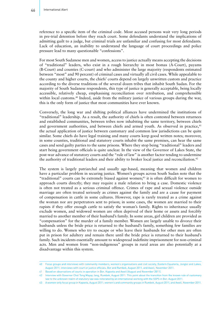reference to a specific item of the criminal code. Most accused persons wait very long periods in pre-trial detention before they reach court. Some defendants understand the implications of admitting guilt to a judge, but criminal trials are unfamiliar and confusing for most defendants. Lack of education, an inability to understand the language of court proceedings and police pressure lead to many questionable "confessions".

For most South Sudanese men and women, access to justice actually means accepting the decisions of "traditional" leaders, who exist in a rough hierarchy in most bomas (A-Court), payams (B-Court) and counties (C-court) and who administer the large majority (respondents estimated between "most" and 90 percent) of criminal cases and virtually all civil cases. While appealable to the county and higher courts, the chiefs' courts depend on largely unwritten custom and practice according to the diverse traditions of the several dozen tribes that inhabit South Sudan. For the majority of South Sudanese respondents, this type of justice is generally acceptable, being locally accessible, relatively cheap, emphasising reconciliation over retribution, and comprehensible within local customs.<sup>40</sup> Indeed, aside from the military justice of various groups during the war, this is the only form of justice that most communities have ever known.

Conversely, the long war and shifting political alliances have undermined the institutions of "traditional" leadership. As a result, the authority of chiefs is often contested between returnees and established communities, between tribes now inhabiting the same territory, between chiefs and government authorities, and between chiefs and armed youth. As observed in practice, $41$ the actual application of justice between customary and common law jurisdictions can be quite similar. Some chiefs do have legal training and many courts keep good written notes; moreover, in some counties, traditional and statutory courts inhabit the same premises, can hear the same cases and send guilty parties to the same prisons. Where they stop being "traditional" leaders and start being government officials is quite unclear. In the view of the Governor of Lakes State, the post-war advance of statutory courts and the "rule of law" is another factor tending to undermine the authority of traditional leaders and their ability to broker local justice and reconciliation.42

The system is largely patriarchal and usually age-based, meaning that women and children have a particular problem in securing justice. Women's groups across South Sudan note that the "traditional" courts can be extremely biased against women;<sup>43</sup> it is often difficult for women to approach courts directly; they may require a male relation to bring a case. Domestic violence is often not treated as a serious criminal offence. Crimes of rape and sexual violence outside marriage are often treated seriously as crimes against the family and are a cause for payment of compensation in cattle in some cultures. However, rape is rarely treated as a crime against the woman nor are perpetrators sent to prison; in some cases, the women are married to their rapists if they offer enough cattle to satisfy the woman's family. Rights to inheritance usually exclude women, and widowed women are often deprived of their home or assets and forcibly married to another member of their husband's family. In some areas, girl children are provided as "compensation" for the murder of a family member. Women are largely unable to divorce their husbands unless the bride price is returned to the husband's family, something few families are willing to do. Women who try to escape or who leave their husbands for other men are often put in prison for adultery and remain there until the bride price is returned to their husband's family. Such incidents essentially amount to widespread indefinite imprisonment for non-criminal acts. Men and women from "non-indigenous" groups in rural areas are also potentially at a disadvantage within this system.

<sup>40</sup> Focus groups and interviews with community members, women's organisations and civil society, Eastern Equatoria, Jonglei and Lakes, August 2011; interviews with court or justice officials, Bor and Rumbek, August 2011, and Aweil, November 2011.

<sup>41</sup> Based on observations of courts in operation in Bor, Kapoeta and Aweil (August and November 2011).

<sup>42</sup> Interview with Governor Chol Tong Mayay Jang, Rumbek, August 2011. This point about the transition from the known rule of customary law to the unknown realm of statutory law was reiterated by an international working with the SSPS in Bor, August 2011.

<sup>43</sup> A women-only focus group in Kapoeta, August 2011; women's and community groups in Rumbek, August 2011, and Aweil, November 2011.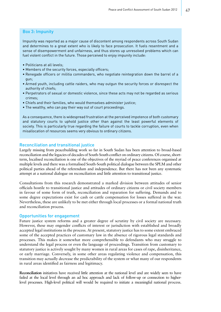## Box 3: Impunity

Impunity was reported as a major cause of discontent among respondents across South Sudan and determines to a great extent who is likely to face prosecution. It fuels resentment and a sense of disempowerment and unfairness, and thus stores up unresolved problems which can fuel violent conflict in the future. Those perceived to enjoy impunity include:

- Politicians at all levels;
- Members of the security forces, especially officers;
- Renegade officers or militia commanders, who negotiate reintegration down the barrel of a gun;
- Armed youth, including cattle raiders, who may outgun the security forces or disrespect the authority of chiefs;
- Perpetrators of sexual or domestic violence, since these acts may not be regarded as serious crimes;
- Chiefs and their families, who would themselves administer justice;
- The wealthy, who can pay their way out of court proceedings.

As a consequence, there is widespread frustration at the perceived impotence of both customary and statutory courts to uphold justice other than against the least powerful elements of society. This is particularly true regarding the failure of courts to tackle corruption, even when misallocation of resources seems very obvious to ordinary citizens.

### Reconciliation and transitional justice

Largely missing from peacebuilding work so far in South Sudan has been attention to broad-based reconciliation and the legacies of decades of South-South conflict on ordinary citizens. Of course, shortterm, localised reconciliation is one of the objectives of the myriad of peace conferences organised at multiple levels and there was a formalised South-South political dialogue between the SPLM and other political parties ahead of the referendum and independence. But there has not been any systematic attempt at a national dialogue on reconciliation and little attention to transitional justice.

Consultations from this research demonstrated a marked division between attitudes of senior officials hostile to transitional justice and attitudes of ordinary citizens or civil society members in favour of some form of truth, reconciliation and reparation for suffering. Demands and to some degree expectations exist for cash or cattle compensation for losses suffered in the war. Nevertheless, these are unlikely to be met either through local processes or a formal national truth and reconciliation process.

#### Opportunities for engagement

Future justice system reforms and a greater degree of scrutiny by civil society are necessary. However, these may engender conflicts of interest or jurisdiction with established and broadly accepted legal institutions in the process. At present, statutory justice has to some extent embraced some of the accepted practices of customary law in the absence of rigorous legal standards and processes. This makes it somewhat more comprehensible to defendants who may struggle to understand the legal process or even the language of proceedings. Transition from customary to statutory justice is actively sought by many women in rural areas for cases of rape, disinheritance, or early marriage. Conversely, in some other areas regulating violence and compensation, this transition may actually decrease the predictability of the system or what many of our respondents in rural areas identified as fairness and legitimacy.

**Reconciliation** initiatives have received little attention at the national level and are widely seen to have failed at the local level through an ad hoc approach and lack of follow-up or connection to higherlevel processes. High-level political will would be required to initiate a meaningful national process.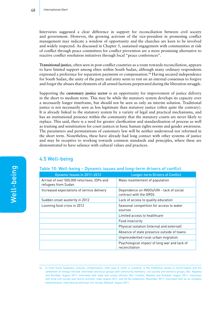Interviews suggested a clear difference in support for reconciliation between civil society and government. However, the growing activism of the vice-president in promoting conflict management may indicate a window of opportunity and the churches are keen to be involved and widely respected. As discussed in Chapter 5, sustained engagement with communities at risk of conflict through peace committees for conflict prevention are a more promising alternative to reactive conflict resolution initiatives through local "peace conferences".

**Transitional justice**, often seen in post-conflict countries as a route towards reconciliation, appears to have limited support among elites within South Sudan, although many ordinary respondents expressed a preference for reparation payments or compensation.<sup>44</sup> Having secured independence for South Sudan, the unity of the party and army seem to rest on an internal consensus to forgive and forget the abuses that elements of all armed factions perpetrated during the liberation struggle.

Supporting the **customary justice sector** is an opportunity for improvement of justice delivery in the short to medium term. This may be while the statutory system develops its capacity over a necessarily longer timeframe, but should not be seen as only an interim solution. Traditional justice is not necessarily seen as less legitimate than statutory justice (often quite the contrary). It is already linked to the statutory system by a variety of legal and practical mechanisms, and has an institutional presence within the community that the statutory courts are never likely to replace. This said, there is a need for greater clarification and standardisation of process as well as training and sensitisation for court justices in basic human rights norms and gender awareness. The parameters and permutations of customary law will be neither understood nor reformed in the short term. Nonetheless, these have already had long contact with other systems of justice and may be receptive to working towards common standards and principles, where these are demonstrated to have salience with cultural values and practices.

# 4.5 Well-being

#### Table 10: Well-being – Dynamic issues and long-term drivers of conflict

| Dynamic Issues in 2011-2012                                        | <b>Longer-term Drivers of Conflict</b>                            |
|--------------------------------------------------------------------|-------------------------------------------------------------------|
| Arrival of over 500,000 returnees, IDPs and<br>refugees from Sudan | Mass resettlement of population                                   |
| Increased expectations of service delivery                         | Dependence on INGOs/UN - lack of social<br>contract with the GRSS |
| Sudden onset austerity in 2012                                     | Lack of access to quality education                               |
| Looming food crisis in 2012                                        | Seasonal competition for access to water<br>sources               |
|                                                                    | Limited access to healthcare                                      |
|                                                                    | Food insecurity                                                   |
|                                                                    | Physical isolation (internal and external)                        |
|                                                                    | Absence of state presence outside of towns                        |
|                                                                    | Unprecedented rural-urban migration                               |
|                                                                    | Psychological impact of long war and lack of<br>reconciliation    |

<sup>44</sup> In most South Sudanese cultures, compensation, often paid in cattle or livestock, is the traditional means to reconciliation and the settlement of wrongs inflicted. Interviews and focus groups with community members, civil society and women's groups, Bor, Kapoeta and Rumbek, August 2011; interviews with state and county officials, Bor, Cueibet, Malakal and Rumbek, August 2011; interviews with local civil society and church activists, Juba, August 2011, and Yei (by telephone), November 2011; interviews with an oil company representative, international and local civil society, Malakal, August 2011.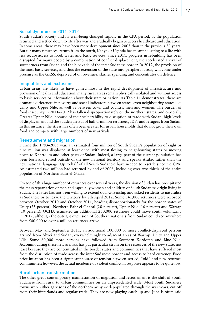### Social dynamics in 2011–2012

South Sudan's society and its well-being changed rapidly in the CPA period, as the population returned and settled down to life after war and gradually began to access healthcare and education. In some areas, there may have been more development since 2005 than in the previous 50 years. But for many returnees, return from the north, Kenya or Uganda has meant adjusting to a life with less secure access to food, water and basic services. Since 2011, progress in rebuilding has been disrupted for many people by a combination of conflict displacement, the accelerated arrival of southerners from Sudan and the blockade of the inter-Sudanese border. In 2012, the provision of the most basic services, and thus the extension of the state into peripheral areas, will come under pressure as the GRSS, deprived of oil revenues, slashes spending and concentrates on defence.

### Inequalities and exclusions

Urban areas are likely to have gained most in the rapid development of infrastructure and provision of health and education; many rural areas remain physically isolated and without access to basic services or information about their state or nation. As Table 11 demonstrates, there are dramatic differences in poverty and social indicators between states, even neighbouring states like Unity and Upper Nile, as well as between town and country, men and women. The burden of food insecurity in 2011–2012 has fallen disproportionately on the northern states, and especially Greater Upper Nile, because of their vulnerability to disruption of trade with Sudan, high levels of displacement and the sudden arrival of half-a-million returnees, IDPs and refugees from Sudan. In this instance, the stress has often been greater for urban households that do not grow their own food and compete with large numbers of new arrivals.

#### Resettlement and migration

During the 1983–2005 war, an estimated four million of South Sudan's population of eight or nine million was displaced at least once, with most fleeing to neighbouring states or moving north to Khartoum and other parts of Sudan. Indeed, a large part of the current population has been born and raised outside of the new national territory and speaks Arabic rather than the new national language. Up to half of all South Sudanese have needed to resettle since the CPA. An estimated two million had returned by end of 2008, including over two thirds of the entire population of Northern Bahr el-Ghazal.

On top of this huge number of returnees over several years, the division of Sudan has precipitated the mass repatriation of men and especially women and children of South Sudanese origin living in Sudan. The latter has not been willing to extend dual citizenship and asked residents to naturalise as Sudanese or to leave the territory by 8th April 2012. Some 341,000 returnees were recorded between October 2010 and October 2011, heading disproportionately for the border states of Unity (25 percent), Northern Bahr el-Ghazal (20 percent), Upper Nile (16 percent) and Warrap (10 percent). OCHA estimated an additional 250,000 returnees could move south voluntarily in 2012, although the outright expulsion of Southern nationals from Sudan could see anywhere from 500,000 to over a million returnees arrive.

Between May and September 2011, an additional 100,000 or more conflict-displaced persons arrived from Abyei and Sudan, overwhelmingly to adjacent areas of Warrap, Unity and Upper Nile. Some 80,000 more persons have followed from Southern Kordofan and Blue Nile. Accommodating these new arrivals has put particular strain on the resources of the new state, not least because they are concentrated in the border states and communities that have suffered most from the disruption of trade across the inter-Sudanese border and access to hard currency. Food price inflation has been a significant source of tension between settled, "old" and new returnee communities; however, the actual incidence of violent conflict in response appears to be quite low.

#### Rural-urban transformation

The other great contemporary manifestation of migration and resettlement is the shift of South Sudanese from rural to urban communities on an unprecedented scale. Most South Sudanese towns were either garrisons of the northern army or depopulated through the war years, cut off from their hinterlands and regular trade. They are now playing catch up and Juba is often said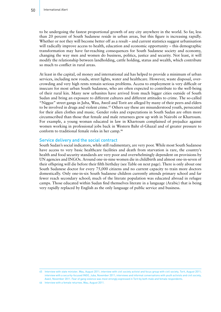to be undergoing the fastest proportional growth of any city anywhere in the world. So far, less than 20 percent of South Sudanese reside in urban areas, but this figure is increasing rapidly. Whether or not they will become better off as a result – and current statistics suggest urbanisation will radically improve access to health, education and economic opportunity – this demographic transformation may have far-reaching consequences for South Sudanese society and economy, changing the way men and women do business, politics, justice and security. Not least, it will modify the relationship between landholding, cattle holding, status and wealth, which contribute so much to conflict in rural areas.

At least in the capital, oil money and international aid has helped to provide a minimum of urban services, including new roads, street lights, water and healthcare. However, waste disposal, overcrowding and very high rents remain serious problems. Access to employment is very difficult or insecure for most urban South Sudanese, who are often expected to contribute to the well-being of their rural kin. Many new urbanites have arrived from much bigger cities outside of South Sudan and bring an exposure to different cultures and different attitudes to crime. The so-called "Niggaz" street gangs in Juba, Wau, Aweil and Torit are alleged by many of their peers and elders to be involved in drugs and violent crime.45 Others say these are misunderstood youth, persecuted for their alien clothes and music. Gender roles and expectations in South Sudan are often more circumscribed than those that female and male returnees grew up with in Nairobi or Khartoum. For example, a young woman educated in law in Khartoum complained of prejudice against women working in professional jobs back in Western Bahr el-Ghazal and of greater pressure to conform to traditional female roles in her camp.46

#### Service delivery and the social contract

South Sudan's social indicators, while still rudimentary, are very poor. While most South Sudanese have access to very basic healthcare facilities and death from starvation is rare, the country's health and food security standards are very poor and overwhelmingly dependent on provisions by UN agencies and INGOs. Around one-in-nine women die in childbirth and almost one-in-seven of their offspring will die before their fifth birthday (see Table on next page). There is only about one South Sudanese doctor for every 75,000 citizens and no current capacity to train more doctors domestically. Only one-in-six South Sudanese children currently attends primary school and far fewer reach secondary school; much of the literate population was educated abroad in refugee camps. Those educated within Sudan find themselves literate in a language (Arabic) that is being very rapidly replaced by English as the only language of public service and business.

<sup>45</sup> Interview with state minister, Wau, August 2011; interview with civil society activist and focus group with civil society, Torit, August 2011; interview with a security-focused INGO, Juba, November 2011; interviews and informal conversations with youth activists and civil society, Aweil, November 2011. Fear of gang violence was most strongly expressed in Torit by both male and female respondents.

<sup>46</sup> Interview with a female returnee, Wau, August 2011.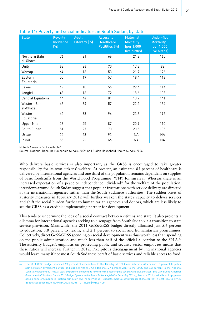| <b>State</b>               | <b>Poverty</b><br><b>Incidence</b><br>(%) | <b>Adult</b><br>Literacy (%) | <b>Access to</b><br><b>Healthcare</b><br>Facilities (%) | <b>Maternal</b><br><b>Mortality</b><br>(per 1,000<br>live births) | <b>Under-five</b><br><b>Mortality</b><br>(per 1,000<br>live births) |
|----------------------------|-------------------------------------------|------------------------------|---------------------------------------------------------|-------------------------------------------------------------------|---------------------------------------------------------------------|
| Northern Bahr<br>el-Ghazal | 76                                        | 21                           | 66                                                      | 21.8                                                              | 165                                                                 |
| Unity                      | 68                                        | 26                           | 70                                                      | 17.3                                                              | 82                                                                  |
| Warrap                     | 64                                        | 16                           | 53                                                      | 21.7                                                              | 176                                                                 |
| Eastern<br>Equatoria       | 50                                        | 19                           | 57                                                      | 18.4                                                              | 118                                                                 |
| Lakes                      | 49                                        | 18                           | 56                                                      | 22.4                                                              | 114                                                                 |
| Jonglei                    | 48                                        | 16                           | 72                                                      | 18.6                                                              | 108                                                                 |
| Central Equatoria          | 44                                        | 44                           | 81                                                      | 18.7                                                              | 141                                                                 |
| Western Bahr<br>el-Ghazal  | 43                                        | 34                           | 57                                                      | 22.2                                                              | 134                                                                 |
| Western<br>Equatoria       | 42                                        | 33                           | 96                                                      | 23.3                                                              | 192                                                                 |
| <b>Upper Nile</b>          | 26                                        | 45                           | 87                                                      | 20.9                                                              | 110                                                                 |
| South Sudan                | 51                                        | 27                           | 70                                                      | 20.5                                                              | 135                                                                 |
| Urban                      | 24                                        | 53                           | 93                                                      | NА                                                                | ΝA                                                                  |
| Rural                      | 55                                        | 22                           | 66                                                      | NА                                                                | ΝA                                                                  |

Table 11: Poverty and social indicators in South Sudan, by state

Note: NA means "not available"

Source: National Baseline Household Survey, 2009, and Sudan Household Health Survey, 2006

Who delivers basic services is also important, as the GRSS is encouraged to take greater responsibility for its own citizens' welfare. At present, an estimated 85 percent of healthcare is delivered by international agencies and one third of the population remains dependent on supplies of basic foodstuffs from the World Food Programme (WFP) for survival. Whereas there is an increased expectation of a peace or independence "dividend" for the welfare of the population, interviews around South Sudan suggest that popular frustrations with service delivery are directed at the international agencies rather than the South Sudanese authorities. The sudden onset of austerity measures in February 2012 will further weaken the state's capacity to deliver services and shift the social burden further to humanitarian agencies and donors, which are less likely to see the GRSS as a credible implementing partner for development.

This tends to undermine the idea of a social contract between citizens and state. It also presents a dilemma for international agencies seeking to disengage from South Sudan via a transition to state service provision. Meanwhile, the 2011 GoSS/GRSS budget directly allocated just 5.6 percent to education, 3.8 percent to health, and 2.1 percent to social and humanitarian programmes. Collectively, direct GoSS/GRSS spending on social development was thus worth less than spending on the public administration and much less than half of the official allocation to the SPLA.<sup>47</sup> The austerity budget's emphasis on protecting public and security sector employees means that these ratios will increase further in 2012. Precipitous disengagement by international agencies would leave many if not most South Sudanese bereft of basic services and reliable access to food.

<sup>47</sup> The 2011 GoSS budget allocated 28 percent of expenditure to the Ministry of SPLA and Veterans' Affairs and 13 percent to public administration (President's Office and Cabinet Affairs). An additional 4.7 percent went to the SPSS and 4.3 percent to the National Legislative Assembly. Thus, at least 50 percent of expenditure went to maintaining the security and civil services. See David Deng Athorbei, *Government of Southern Sudan 2011 Budget Speech to the South Sudan Legislative Assembly (SSLA)*, January 2011, available at [http://www.](http://www.goss-online.org/magnoliaPublic/en/ministries/Finance/Annual-Budgets/mainColumnParagraphs/0/content_files/file14/2011 Budget Speech - FINAL - 11-01-31.pdf) [goss-online.org/magnoliaPublic/en/ministries/Finance/Annual-Budgets/mainColumnParagraphs/0/content\\_files/file14/2011%20](http://www.goss-online.org/magnoliaPublic/en/ministries/Finance/Annual-Budgets/mainColumnParagraphs/0/content_files/file14/2011 Budget Speech - FINAL - 11-01-31.pdf) [Budget%20Speech%20-%20FINAL%20-%2011-01-31.pdf](http://www.goss-online.org/magnoliaPublic/en/ministries/Finance/Annual-Budgets/mainColumnParagraphs/0/content_files/file14/2011 Budget Speech - FINAL - 11-01-31.pdf) (408Kb PDF).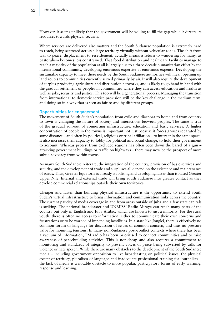However, it seems unlikely that the government will be willing to fill the gap while it directs its resources towards physical security.

Where services are delivered also matters and the South Sudanese population is extremely hard to reach, being scattered across a large territory virtually without vehicular roads. The shift from war to peace, displacement to resettlement, actually means a return to wandering for many, as pastoralism becomes less constrained. That food distribution and healthcare facilities manage to reach a majority of the population at all is largely due to a three-decade humanitarian effort by the international community, developing enormous expertise at enormous expense. Developing the sustainable capacity to meet these needs by the South Sudanese authorities will mean opening up land routes to communities currently served primarily by air. It will also require the development of surplus-producing agriculture and distribution networks, and is likely to go hand in hand with the gradual settlement of peoples in communities where they can access education and health as well as jobs, security and justice. This too will be a generational process. Managing the transition from international to domestic service provision will be the key challenge in the medium term, and doing so in a way that is seen as fair to and by different groups.

#### Opportunities for engagement

The movement of South Sudan's population from exile and diaspora to home and from country to town is changing the nature of society and interactions between peoples. The same is true of the gradual roll-out of connecting infrastructure, education and basic services. A higher concentration of people in the towns is important not just because it forces groups separated by some distance – and often by political, religious or tribal affiliation – to interact in the same space. It also increases their capacity to lobby for political and social change, to hold their government to account. Whereas protest from excluded regions has often been down the barrel of a gun – attacking government buildings or traffic on highways – there may now be the prospect of more subtle advocacy from within towns.

As many South Sudanese reiterate, the integration of the country, provision of basic services and security, and the development of trade and surpluses all depend on the existence and maintenance of **roads**. Thus, Greater Equatoria is already stabilising and developing faster than isolated Greater Upper Nile. Internal and external trade will bring South Sudanese into greater contact as they develop commercial relationships outside their own territories.

Cheaper and faster than building physical infrastructure is the opportunity to extend South Sudan's virtual infrastructure to bring **information and communication links** across the country. The current paucity of media coverage in and from areas outside of Juba and a few state capitals is striking. The national broadcaster and UNMISS' Radio Miraya can reach many parts of the country but only in English and Juba Arabic, which are known to just a minority. For the rural youth, there is often no access to information, either to communicate their own concerns and frustrations or to be warned of impending hostilities. In a state like Jonglei, there is effectively no common forum or language for discussion of issues of common concern, and thus no pressure valve for mounting tensions. In many non-Sudanese post-conflict contexts where there has been a vacuum of information, FM radio has been prioritised to connect communities and to raise awareness of peacebuilding activities. This is not cheap and also requires a commitment to monitoring and standards of integrity to prevent voices of peace being subverted by calls for violence or hate speech. While there are many obstacles to the development of the South Sudanese media – including government opposition to live broadcasting on political issues, the physical extent of territory, pluralism of language and inadequate professional training for journalists – the lack of media is a notable obstacle to more popular, participatory forms of early warning, response and learning.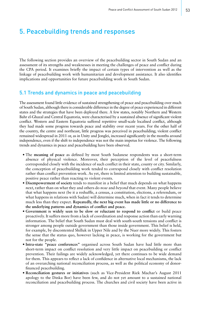# 5. Peacebuilding trends and responses

The following section provides an overview of the peacebuilding sector in South Sudan and an assessment of its strengths and weaknesses in meeting the challenges of peace and conflict during the CPA period. It examines briefly the impact of certain types of intervention as well as the linkage of peacebuilding work with humanitarian and development assistance. It also identifies implications and opportunities for future peacebuilding work in South Sudan.

# 5.1 Trends and dynamics in peace and peacebuilding

The assessment found little evidence of sustained strengthening of peace and peacebuilding over much of South Sudan, although there is considerable difference in the degree of peace experienced in different states and the strategies that have been deployed there. A few states, notably Northern and Western Bahr el-Ghazal and Central Equatoria, were characterised by a sustained absence of significant violent conflict. Western and Eastern Equatoria suffered repetitive small-scale localised conflict, although they had made some progress towards peace and stability over recent years. For the other half of the country, the centre and northeast, little progress was perceived in peacebuilding; violent conflict remained widespread in 2011 or, as in Unity and Jonglei, increased significantly in the months around independence, even if the shift to independence was not the main impetus for violence. The following trends and dynamics in peace and peacebuilding have been observed.

- The **meaning of peace** as defined by most South Sudanese respondents was a short-term absence of physical violence. Moreover, their perception of the level of peacefulness corresponded closely with the incidence of such conflict in their state, county or city. Similarly, the conception of peacebuilding work tended to correspond closely with conflict resolution rather than conflict prevention work. As yet, there is limited attention to building sustainable, positive peace rather than reacting to violent events.
- **Disempowerment of society** tends to manifest in a belief that much depends on what happens *next*, rather than on what they and others do *now* and *beyond* that event. Many people believe that what happens next (be it a reshuffle, a census, a constitution, elections, a referendum, or what happens in relations with Sudan) will determine much, when in fact it tends to determine much less than they expect. **Repeatedly, the next big event has made little or no difference to the underlying patterns and dynamics of conflict and peace.**
- **Government is widely seen to be slow or reluctant to respond to conflict** or build peace proactively. It suffers more from a lack of coordination and response action than early warning information. The belief that South Sudan must deal with south-south tensions and conflict is stronger among people outside government than those inside government. This belief is held, for example, by discontented Shilluk in Upper Nile and by the Nuer more widely. This fosters the sense that the status quo, however lacking in peace, is working for the government but not for the people.
- **Intra-state "peace conferences"** organised across South Sudan have had little more than short-term impact on conflict resolution and very little impact on peacebuilding or conflict prevention. Their failings are widely acknowledged, yet there continues to be wide demand for them. This appears to reflect a lack of confidence in alternative local mechanisms, the lack of an overarching national reconciliation process, as well as the political economy of donorfinanced peacebuilding.
- **Reconciliation gestures or initiatives** (such as Vice-President Riek Machar's August 2011 apology to the Dinka Bor) have been few, and do not yet amount to a sustained national reconciliation and peacebuilding process. The churches and civil society have been active in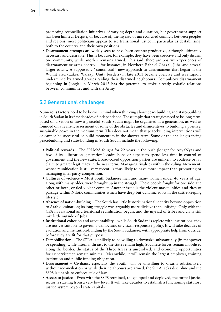promoting reconciliation initiatives of varying depth and duration, but government support has been limited. Despite, or because of, the myriad of unreconciled conflicts between peoples and regions, most politicians appear to see transitional justice in particular as destabilising, both to the country and their own positions.

• **Disarmament attempts are widely seen to have been counter-productive**, although ultimately necessary and desirable. This is because, for example, they have been coercive and only disarm one community, while another remains armed. This said, there are positive experiences of disarmament or arms control – for instance, in Northern Bahr el-Ghazal, Juba and several larger towns. A supposedly "consensual" new approach to disarmament that began in the Wunlit area (Lakes, Warrap, Unity borders) in late 2011 became coercive and was rapidly undermined by armed groups raiding their disarmed neighbours. Compulsory disarmament beginning in Jonglei in March 2012 has the potential to stoke already volatile relations between communities and with the Army.

# 5.2 Generational challenges

Numerous factors need to be borne in mind when thinking about peacebuilding and state-building in South Sudan in its first decades of independence. These imply that strategies need to be long term, based on a vision of how a peaceful South Sudan might be organised in a generation, as well as founded on a realistic assessment of some of the obstacles and disincentives to building a positive, sustainable peace in the medium term. This does not mean that peacebuilding interventions will or cannot be successful or build momentum in the shorter term. Some of the challenges facing peacebuilding and state-building in South Sudan include the following.

- **Political rewards** The SPLM/A fought for 22 years in the bush (longer for AnyaNya) and few of its "liberation generation" cadre hope or expect to spend less time in control of government and the new state. Broad-based opposition parties are unlikely to coalesce or lay claim to greater legitimacy in the near term. Managing rivalries within the ruling Movement, whose reunification is still very recent, is thus likely to have more impact than promoting or managing inter-party competition.
- **Cultures of violence**  Most South Sudanese men and many women under 40 years of age, along with many older, were brought up in the struggle. These people fought for one side, the other or both, or fled violent conflict. Another issue is the violent masculinities and rites of passage within Nilotic communities which have deep but dynamic roots in the cattle-keeping lifestyle.
- **Absence of nation-building**  The South has little historic national identity beyond opposition to Arab domination; its long struggle was arguably more divisive than unifying. Only with the CPA has national and territorial reunification begun, and the myriad of tribes and clans still mix little outside of Juba.
- **Institutional cohesion and accountability**  while South Sudan is replete with institutions, they are not yet suitable to govern a democratic or citizen-responsive polity. It will take decades of evolution and institution-building by the South Sudanese, with appropriate help from outside, before they are fit for that purpose.
- **Demobilisation** The SPLA is unlikely to be willing to downsize substantially (in manpower or spending) while internal threats to the state remain high, Sudanese forces remain mobilised along the border, the status of the Three Areas is unresolved, and economic opportunities for ex-servicemen remain minimal. Meanwhile, it will remain the largest employer, training institution and public funding obligation.
- **Disarmament** Civilians, especially the youth, will be unwilling to disarm substantively without reconciliation or while their neighbours are armed, the SPLA lacks discipline and the SSPS is unable to enforce rule of law.
- **Access to justice** Even with the SSPS retrained, re-equipped and deployed, the formal justice sector is starting from a very low level. It will take decades to establish a functioning statutory justice system beyond state capitals.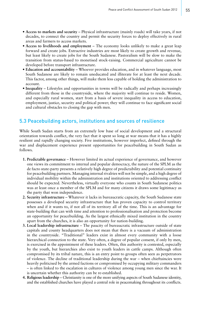- **Access to markets and security** Physical infrastructure (mainly roads) will take years, if not decades, to connect the country and permit the security forces to deploy effectively in rural areas and farmers to access markets.
- **Access to livelihoods and employment**  The economy looks unlikely to make a great leap forward and create jobs. Extractive industries are most likely to create growth and revenue, but least likely to create jobs for the South Sudanese. Pastoralism will be slow to make the transition from status-based to monetised stock-raising. Commercial agriculture cannot be developed before transport infrastructure.
- **Education and accountability** Whoever provides education, and in whatever language, most South Sudanese are likely to remain uneducated and illiterate for at least the next decade. This factor, among other things, will make them less capable of holding the administration to account.
- **Inequality**  Lifestyles and opportunities in towns will be radically and perhaps increasingly different from those in the countryside, where the majority will continue to reside. Women, and especially rural women, start from a basis of severe inequality in access to education, employment, justice, security and political power; they will continue to face significant social and cultural obstacles to closing the gap with men.

# 5.3 Peacebuilding actors, institutions and sources of resilience

While South Sudan starts from an extremely low base of social development and a structural orientation towards conflict, the very fact that it spent so long at war means that it has a highly resilient and rapidly changing society. Five institutions, however imperfect, defined through the war and displacement experience present opportunities for peacebuilding in South Sudan as follows.

- **1. Predictable governance** However limited its actual experience of governance, and however one views its commitment to internal and popular democracy, the nature of the SPLM as the de facto state-party presents a relatively high degree of predictability and potential continuity for peacebuilding partners. Managing internal rivalries will not be simple, and a high degree of individual mobility within the administration and institutions oriented to addressing conflict should be expected. Nevertheless, virtually everyone who counts in South Sudanese politics was at least once a member of the SPLM and for many citizens it draws some legitimacy as the party that won independence.
- **2. Security infrastructure** Whatever it lacks in bureaucratic capacity, the South Sudanese state possesses a developed security infrastructure that has proven capacity to control territory when and if it wants to, if not all of its territory all of the time. This is an advantage for state-building that can with time and attention to professionalisation and protection become an opportunity for peacebuilding. As the largest ethnically mixed institution in the country apart from the churches, it is also an opportunity for nation-building.
- **3. Local leadership infrastructure** The paucity of bureaucratic infrastructure outside of state capitals and county headquarters does not mean that there is a vacuum of administration in the countryside. "Traditional" leaders exist in almost every community with a loose hierarchical connection to the state. Very often, a degree of popular consent, if only by men, is exercised in the appointment of these leaders. Often, this authority is contested, especially by the youth, but hierarchies also exist to youth leaders in cattle camps. Although often compromised by its tribal nature, this is an entry point to groups often seen as perpetrators of violence. The decline of traditional leadership during the war – when chieftaincies were heavily politicised by the armed factions or compromised by occupying military commanders – is often linked to the escalation in cultures of violence among young men since the war. It is uncertain whether this authority can be re-established.
- **4. Religious leadership** Christianity is one of the more unifying aspects of South Sudanese identity, and the established churches have played a central role in peacemaking throughout its conflicts.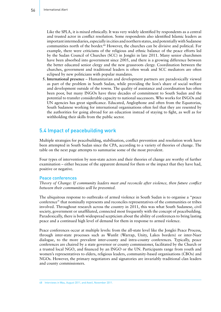Like the SPLA, it is mixed ethnically. It was very widely identified by respondents as a central and trusted actor in conflict resolution. Some respondents also identified Islamic leaders as important intermediaries, especially in cities and northern states, and potentially with Sudanese communities north of the border.<sup>48</sup> However, the churches can be divisive and political. For example, there were criticisms of the religious and ethnic balance of the peace efforts led by the Sudan Council of Churches (SCC) in Jonglei in late 2011. Many senior churchmen have been absorbed into government since 2005, and there is a growing difference between the better educated senior clergy and the new grassroots clergy. Coordination between the churches, government and traditional leaders is often weak and SCC mediators are often eclipsed by new politicians with popular mandates.

**5. International presence** – Humanitarian and development partners are paradoxically viewed as part of the problem in South Sudan, while providing the lion's share of social welfare and development outside of the towns. The quality of assistance and coordination has often been poor, but many INGOs have three decades of commitment to South Sudan and the potential to transfer considerable capacity to national successors. Who works for INGOs and UN agencies has great significance. Educated, Anglophone and often from the Equatorias, South Sudanese working for international organisations often feel that they are resented by the authorities for going abroad for an education instead of staying to fight, as well as for withholding their skills from the public sector.

# 5.4 Impact of peacebuilding work

Multiple strategies for peacebuilding, stabilisation, conflict prevention and resolution work have been attempted in South Sudan since the CPA, according to a variety of theories of change. The table on the next page attempts to summarise some of the most prevalent.

Four types of intervention by non-state actors and their theories of change are worthy of further examination – either because of the apparent demand for them or the impact that they have had, positive or negative.

#### Peace conferences

*Theory of Change: If community leaders meet and reconcile after violence, then future conflict between their communities will be prevented.*

The ubiquitous response to outbreaks of armed violence in South Sudan is to organise a "peace conference" that nominally represents and reconciles representatives of the communities or tribes involved. Throughout research across the country in 2011, this was what South Sudanese, civil society, government or unaffiliated, connected most frequently with the concept of peacebuilding. Paradoxically, there is both widespread scepticism about the ability of conferences to bring lasting peace and a continued high level of demand for them in response to armed violence.

Peace conferences occur at multiple levels: from the all-state level like the Jonglei Peace Process, through inter-state processes such as Wunlit (Warrap, Unity, Lakes borders) or inter-Nuer dialogue, to the more prevalent inter-county and intra-county conferences. Typically, peace conferences are chaired by a state governor or county commissioner, facilitated by the Church or a trusted local NGO, and financed by an INGO or the UN. Participants range from youth and women's representatives to elders, religious leaders, community-based organisations (CBOs) and NGOs. However, the primary negotiators and signatories are invariably traditional clan leaders and county commissioners.

<sup>48</sup> Interviews in Wau, August 2011, and Aweil, November 2011.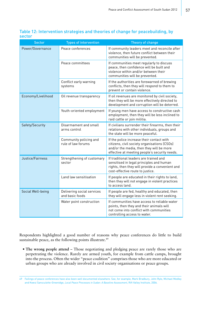| <b>Sector</b>      | <b>Types of intervention</b>                  | Theory of change                                                                                                                                                                       |
|--------------------|-----------------------------------------------|----------------------------------------------------------------------------------------------------------------------------------------------------------------------------------------|
| Power/Governance   | Peace conferences                             | If community leaders meet and reconcile after<br>violence, then future conflict between their<br>communities will be prevented.                                                        |
|                    | Peace committees                              | If communities meet regularly to discuss<br>peace, then confidence will be built and<br>violence within and/or between their<br>communities will be prevented.                         |
|                    | Conflict early warning<br>systems             | If the authorities are forewarned of brewing<br>conflicts, then they will respond to them to<br>prevent or contain violence.                                                           |
| Economy/Livelihood | Oil revenue transparency                      | If oil revenues are monitored by civil society,<br>then they will be more effectively directed to<br>development and corruption will be deterred.                                      |
|                    | Youth-oriented employment                     | If young men have access to constructive cash<br>employment, then they will be less inclined to<br>raid cattle or join militia.                                                        |
| Safety/Security    | Disarmament and small<br>arms control         | If civilians surrender their firearms, then their<br>relations with other individuals, groups and<br>the state will be more peaceful.                                                  |
|                    | Community policing and<br>rule of law forums  | If the police increase their contact with<br>citizens, civil society organisations (CSOs)<br>and/or the media, then they will be more<br>effective at meeting people's security needs. |
| Justice/Fairness   | Strengthening of customary<br>sector          | If traditional leaders are trained and<br>sensitised in legal principles and human<br>rights, then they will provide a convenient and<br>cost-effective route to justice.              |
|                    | Land law sensitisation                        | If people are educated in their rights to land,<br>then they will not engage in violent practices<br>to access land.                                                                   |
| Social Well-being  | Delivering social services<br>and basic foods | If people are fed, healthy and educated, then<br>they will engage less in violent rent seeking.                                                                                        |
|                    | Water point construction                      | If communities have access to reliable water<br>points, then they and their animals will<br>not come into conflict with communities<br>controlling access to water.                    |

Table 12: Intervention strategies and theories of change for peacebuilding, by sector

Respondents highlighted a good number of reasons why peace conferences do little to build sustainable peace, as the following points illustrate.<sup>49</sup>

**• The wrong people attend** – Those negotiating and pledging peace are rarely those who are perpetrating the violence. Rarely are armed youth, for example from cattle camps, brought into the process. Often the wider "peace coalition" comprises those who are more educated or urban groups who are already involved in civil society organisations or peace groups.

<sup>49</sup> Failings of peace conferences have also been well documented elsewhere. See, for example, Mark Bradbury, John Ryle, Michael Medley and Kwesi Sansculotte-Greenidge, *Local Peace Processes in Sudan: A Baseline Assessment*, Rift Valley Institute, 2006.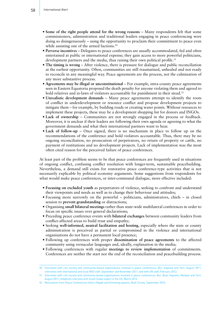- **Some of the right people attend for the wrong reasons**  Many respondents felt that some commissioners, administration and traditional leaders engaging in peace conferencing were doing so disingenuously – using the opportunity to proclaim their commitment to peace even while assisting one of the armed factions.<sup>50</sup>
- **Perverse incentives**  Delegates to peace conferences are usually accommodated, fed and often entertained at public or international expense; they gain access to more powerful politicians, development partners and the media, thus raising their own political profile.<sup>51</sup>
- **The timing is wrong**  After violence, there is pressure for dialogue and public reconciliation at the earliest opportunity. Often, communities are still traumatised, unhealed and not ready to reconcile in any meaningful way. Peace agreements are the process, not the culmination of any more substantive process.
- **Agreements may be illegal or unconstitutional**  For example, intra-county peace agreements seen in Eastern Equatoria proposed the death penalty for anyone violating them and agreed to hold relatives and in-laws of violators accountable for punishment in their stead.<sup>52</sup>
- **Unrealistic development demands**  Many peace agreements attempt to identify the roots of conflict in underdevelopment or resource conflict and propose development projects to mitigate them – for example, by building roads or creating water points. Without resources to implement these projects, these may be a development shopping list for donors and INGOs.
- **Lack of ownership**  Communities are not strongly engaged in the process or feedback. Moreover, it is unclear if their leaders are following their own agenda or agreeing to what the government demands and what their international partners want to hear.
- **Lack of follow-up** Once signed, there is no mechanism in place to follow up on the recommendations of the conference and hold violators accountable. Thus, there may be no ongoing reconciliation, no prosecution of perpetrators, no return of property or cattle, no payment of restitutions and no development projects. Lack of implementation was the most often cited reason for the perceived failure of peace conferences.

At least part of the problem seems to be that peace conferences are frequently used in situations of ongoing conflict, confusing conflict resolution with longer-term, sustainable peacebuilding. Nevertheless, a demand still exists for restorative peace conference-type activities that is not necessarily explicable by political economy arguments. Some suggestions from respondents for what would make peace conferences, or inter-communal dialogue, more effective included:

- **Focusing on excluded youth** as perpetrators of violence, seeking to confront and understand their viewpoints and needs as well as to change their behaviour and attitudes;
- Focusing more narrowly on the powerful politicians, administrators, chiefs in closed session to **prevent grandstanding** or distractions;
- Organising **small bilateral meetings** rather than state-wide multilateral conferences in order to focus on specific issues over general declarations;
- Preceding peace conference events with **bilateral exchanges** between community leaders from conflict-affected areas to build trust and empathy;
- Seeking **well-informed, neutral facilitation and hosting**, especially where the state or county administration is perceived as partial or compromised in the violence and international organisations do not have a permanent local presence;
- Following up conferences with proper **dissemination of peace agreements** to the affected community using vernacular languages and, ideally, explanation in the media;
- Following conferences with regular **meetings to review implementation** of commitments. Conferences are neither the start nor the end of the reconciliation and peacebuilding process.

<sup>50</sup> Interviews with civil society and community-based organisations involved in peace conferences, Bor, Kapoeta and Torit, August 2011; interviews with international and local NGO staff, September and November 2011, and with UN staff, February 2012.

<sup>51</sup> Interviews with civil society and community-based organisations involved in peace conferences, Bor, Budi, Kapoeta, Malakal and Torit, August 2011; telephone interview with South Sudan expert in the US, March 2012.

<sup>52</sup> Resolutions from Peace Conferences held in Napak and Kimotong payams, Budi County, September 2010.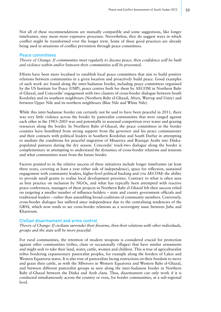Not all of these recommendations are mutually compatible and some suggestions, like longer timeframes, may mean more expensive processes. Nevertheless, they do suggest ways in which conflict might be transformed over the longer term. Some of these good practices are already being used in situations of conflict prevention through peace committees.

### Peace committees

*Theory of Change: If communities meet regularly to discuss peace, then confidence will be built and violence within and/or between their communities will be prevented.*

Efforts have been more localised to establish local peace committees that aim to build positive relations between communities in a given location and proactively build peace. Good examples of such work are found along the inter-Sudanese border, including peace committees organised by the US Institute for Peace (USIP), peace centres built for them by AECOM in Northern Bahr el-Ghazal, and Concordis' engagement with two clusters of cross-border dialogue between South Kordofan and its southern neighbours (Northern Bahr el-Ghazal, Abyei, Warrap and Unity) and between Upper Nile and its northern neighbours (Blue Nile and White Nile).

While this inter-Sudanese border can certainly not be said to have been peaceful in 2011, there was very little violence across the border by pastoralist communities that were ranged against each other in the 1983–2005 war and potentially in seasonal competition over water and grazing resources along the border. In Northern Bahr el-Ghazal, the peace committees in the border counties have benefitted from strong support from the governor and his peace commissioner and their contacts with political leaders in Southern Kordofan and South Darfur in attempting to mediate the conditions for peaceful migration of Misseriya and Rizeiqat Arabs into Dinkapopulated pastures during the dry season. Concordis' track-two dialogue along the border is complementary in attempting to understand the dynamics of cross-border relations and tensions and what communities want from the future border.

Factors pointed to in the relative success of these initiatives include longer timeframes (at least three years, covering at least a year either side of independence), space for reflection, sustained engagement with community leaders, higher-level political backing and (via AECOM) the ability to provide small grants to realise local development priorities. Contrary to what is often seen as best practice on inclusion by NGOs, and what has typically been attempted with reactive peace conferences, managers of these projects in Northern Bahr el-Ghazal felt their success relied on targeting a smaller number of influence-holders – state and county government officials and traditional leaders – rather than assembling broad coalitions of community members. Conversely, cross-border dialogue has suffered since independence due to the centralising tendencies of the GRSS, which now tends to see cross-border relations as a sovereignty issue between Juba and Khartoum.

## Civilian disarmament and arms control

*Theory of Change: If civilians surrender their firearms, then their relations with other individuals, groups and the state will be more peaceful.*

For rural communities, the retention of modern weapons is considered crucial for protection against other communities (tribes, clans or occasionally villages) that have similar armaments and might seek to take their land, water, cattle, women and children. This is true of agriculturalist tribes bordering expansionary pastoralist peoples, for example along the borders of Lakes and Western Equatoria states. It is also true of pastoralists facing restrictions on their freedom to move and graze their cattle, as with the Mbororo in Western Equatoria and Western Bahr el-Ghazal, and between different pastoralist groups as seen along the inter-Sudanese border in Northern Bahr el-Ghazal between the Dinka and Arab clans. Thus, disarmament can only work if it is conducted simultaneously across the country or even, for border communities, at a sub-regional level.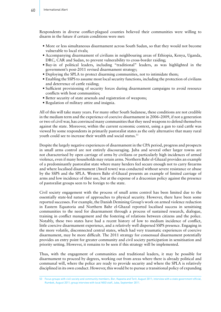Respondents in diverse conflict-plagued counties believed their communities were willing to disarm in the future if certain conditions were met:

- More or less simultaneous disarmament across South Sudan, so that they would not become vulnerable to local rivals;
- Accompanying disarmament of civilians in neighbouring areas of Ethiopia, Kenya, Uganda, DRC, CAR and Sudan, to prevent vulnerability to cross-border raiding;
- Buy-in of political leaders, including "traditional" leaders, as was highlighted in the government's post-2011 revised disarmament strategy;
- Deploying the SPLA to protect disarming communities, not to intimidate them;
- Enabling the SSPS to assume most local security functions, including the protection of civilians and deterrence of cattle raiding;
- Sufficient provisioning of security forces during disarmament campaigns to avoid resource conflicts with host communities;
- Better security of state arsenals and registration of weapons;
- Regulation of military attire and insignia.

All of this will take many years. For many other South Sudanese, these conditions are not credible in the medium term and the experience of coercive disarmament in 2006–2009, if not a generation or two of civil war, has convinced many communities that they need weapons to defend themselves against the state. Moreover, within the current economic context, using a gun to raid cattle was viewed by some respondents in primarily pastoralist states as the only alternative that many rural youth could see to increase their wealth and social status.<sup>53</sup>

Despite the largely negative experiences of disarmament in the CPA period, progress and prospects in small arms control are not entirely discouraging. Juba and several other larger towns are not characterised by open carriage of arms by civilians or particularly high incidences of armed violence, even if many households may retain arms. Northern Bahr el-Ghazal provides an example of a predominantly pastoralist state where many herders feel secure enough not to carry firearms and where localised disarmament (Aweil town) was conducted without severe resistance or abuse by the SSPS and the SPLA. Western Bahr el-Ghazal presents an example of limited carriage of arms and low incidence of their use, but at the expense of a draconian policy against the presence of pastoralist groups seen to be foreign to the state.

Civil society engagement with the process of small arms control has been limited due to the essentially state-led nature of approaches to physical security. However, there have been some reported successes. For example, the Danish Demining Group's work on armed violence reduction in Eastern Equatoria and Northern Bahr el-Ghazal reported localised success in sensitising communities to the need for disarmament through a process of sustained research, dialogue, training in conflict management and the fostering of relations between citizens and the police. Notably, these two states have had a recent history of low to medium incidence of conflict, little coercive disarmament experience, and a relatively well dispersed SSPS presence. Engaging in the more volatile, disconnected central states, which had very traumatic experiences of coercive disarmament, may be more difficult. The 2011 strategy for consensual disarmament potentially provides an entry point for greater community and civil society participation in sensitisation and priority setting. However, it remains to be seen if this strategy will be implemented.

Thus, with the engagement of communities and traditional leaders, it may be possible for disarmament to proceed by degrees, working out from areas where there is already political and communal will, where the police are ready to provide security and where the SPLA is relatively disciplined in its own conduct. However, this would be to pursue a transitional policy of expanding

<sup>53</sup> Focus groups with civil society and community members, Bor, Kapoeta and Torit, August 2011; interview with a state government official, Rumbek, August 2011; group interview with local NGO staff, Juba, September 2011.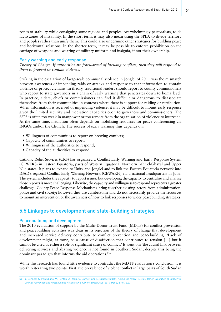zones of stability while consigning some regions and peoples, overwhelmingly pastoralists, to de facto zones of instability. In the short term, it may also mean using the SPLA to divide territory and peoples rather than unify them. This could also undermine other strategies for building peace and horizontal relations. In the shorter term, it may be possible to enforce prohibition on the carriage of weapons and wearing of military uniform and insignia, if not their ownership.

#### Early warning and early response

*Theory of Change: If authorities are forewarned of brewing conflicts, then they will respond to them to prevent or contain violence.*

Striking in the escalation of large-scale communal violence in Jonglei of 2011 was the mismatch between awareness of impending raids or attacks and response to that information to contain violence or protect civilians. In theory, traditional leaders should report to county commissioners who report to state governors in a chain of early warning that penetrates down to boma level. In practice, elders, chiefs or commissioners can find it difficult or dangerous to disassociate themselves from their communities in contexts where there is support for raiding or retribution. When information is received of impending violence, it may be difficult to mount early response given the limited security and mediation capacities open to governors and commissioners. The SSPS is often too weak in manpower or too remote from the organisation of violence to intervene. At the same time, mediation often depends on mobilising resources for peace conferencing via INGOs and/or the Church. The success of early warning thus depends on:

- Willingness of communities to report on brewing conflicts;
- Capacity of communities to report;
- Willingness of the authorities to respond;
- Capacity of the authorities to respond.

Catholic Relief Services (CRS) has organised a Conflict Early Warning and Early Response System (CEWERS) in Eastern Equatoria, parts of Western Equatoria, Northern Bahr el-Ghazal and Upper Nile states. It plans to expand to Unity and Jonglei and to link the Eastern Equatoria network into IGAD's regional Conflict Early Warning Network (CEWARN) via a national headquarters in Juba. The system includes the capacity to report issues, but developing the capacity to centralise and analyse those reports is more challenging. Likewise, the capacity and willingness to respond represents a greater challenge. County Peace Response Mechanisms bring together existing actors from administration, police and civil society; however, they are cumbersome and do not necessarily provide the resources to mount an intervention or the awareness of how to link responses to wider peacebuilding strategies.

# 5.5 Linkages to development and state-building strategies

### Peacebuilding and development

The 2010 evaluation of support by the Multi-Donor Trust Fund (MDTF) for conflict prevention and peacebuilding activities was clear in its rejection of the theory of change that development and increased service delivery contribute to conflict prevention and peacebuilding: 'Lack of development might, at most, be a cause of disaffection that contributes to tension […] but it cannot be cited as either a sole or significant cause of conflict.' It went on: 'the causal link between delivering services and abating violence is not found in Southern Sudan, despite this being the dominant paradigm that informs the aid operations.'54

While this research has found little evidence to contradict the MDTF evaluation's conclusion, it is worth reiterating two points. First, the prevalence of violent conflict in large parts of South Sudan

<sup>54</sup> J. Bennett, S. Pantuliano, W. Fenton, A. Vaux, C. Barnett and E. Brusset (2010). *Aiding the Peace: A Multi-Donor Evaluation of Support to Conflict Prevention and Peacebuilding Activities in Southern Sudan 2005–2010*, Policy Brief, p.2.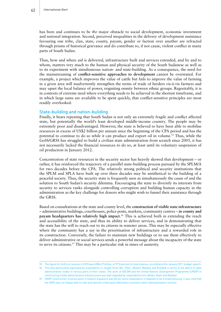has been and continues to be *the* major obstacle to social development, economic investment and national integration. Second, perceived inequalities in the delivery of development assistance favouring one tribe, clan, state, county, payam, gender or faction over another are refracted through prisms of historical grievance and do contribute to, if not cause, violent conflict in many parts of South Sudan.

Thus, how and where aid is delivered, infrastructure built and services extended, and by and to whom, matters very much to the human and physical security of the South Sudanese as well as to its experiment with simultaneous nation- and state-building. As a consequence, the need for the mainstreaming of **conflict-sensitive approaches to development** cannot be overstated. For example, a project which improves the value of cattle but fails to improve the value of farming in a given area will inadvertently strengthen the terms of trade of herders vis-à-vis farmers and may upset the local balance of power, reigniting enmity between ethnic groups. Regrettably, it is in contexts of extreme need where everything needs to be achieved in the shortest timeframe, and in which large sums are available to be spent quickly, that conflict-sensitive principles are most readily overlooked.

### State-building and nation-building

Finally, it bears repeating that South Sudan is not only an extremely fragile and conflict affected state, but potentially the world's least developed middle-income country. The people may be extremely poor and disadvantaged. However, the state is believed to have been able to mobilise resources in excess of US\$2 billion per annum since the beginning of the CPA period and has the potential to continue to do so while it can produce and export oil in volume.55 Thus, while the GoSS/GRSS has struggled to build a civilian state administration from scratch since 2005, it has not necessarily lacked the financial resources to do so, at least until its voluntary suspension of oil production in January 2012.

Concentration of state resources in the security sector has heavily skewed that development – or rather, it has reinforced the trajectory of a parallel state-building process pursued by the SPLM/A for two decades before the CPA. The relatively strong political and security institutions that the SPLM and SPLA have built up over three decades may be antithetical to the building of a peaceful society. Thus, the security state is frequently seen as simultaneously the cause of and the solution to South Sudan's security dilemma. Encouraging the state to diversify its interests from security to services ranks alongside controlling corruption and building human capacity in the administration as the key challenge for donors who might wish to funnel their assistance through the GRSS.

Based on consultations at the state and county level, the **construction of visible state infrastructure**  – administrative buildings, courthouses, police posts, markets, community centres – **in county and payam headquarters has relatively high impact**. 56 This is achieved both in extending the reach and accessibility of the state, and thus its ability to deliver services, and in demonstrating that the state has the will to reach out to its citizens in remoter areas. This may be especially effective where the community has a say in the prioritisation of infrastructure and a rewarded role in its construction. Conversely, the failure to maintain new buildings or to use them effectively to deliver administrative or social services sends a powerful message about the incapacity of the state to serve its citizens.57 This may be a particular risk in times of austerity.

56 This was particularly expressed by respondents in Jonglei (from Bor, Pibor, Akobo), Malakal and Rumbek in terms of the deficit of state administration visible in various parts of their states. The work of AECOM and the United Nations Development Programme (UNDP) in constructing visible administrative infrastructure was well regarded by respondents from Akobo, Aweil and Malakal.

<sup>55</sup> The figure for GoSS oil revenue in 2010 was US\$4.37 billion, or 97.8 percent of total revenue, according to the January 2011 budget speech.

<sup>57</sup> UNDP construction of police posts in Eastern Equatoria was felt by some respondents in Kapoeta to be a mixed blessing: it was cited that the SSPS was not always able to man and operate small posts effectively to prevent cattle raiding between counties.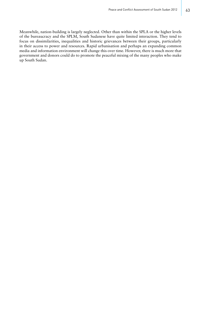Meanwhile, nation-building is largely neglected. Other than within the SPLA or the higher levels of the bureaucracy and the SPLM, South Sudanese have quite limited interaction. They tend to focus on dissimilarities, inequalities and historic grievances between their groups, particularly in their access to power and resources. Rapid urbanisation and perhaps an expanding common media and information environment will change this over time. However, there is much more that government and donors could do to promote the peaceful mixing of the many peoples who make up South Sudan.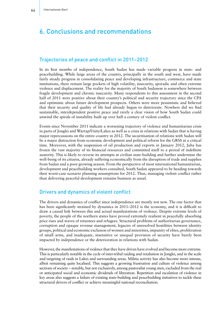# 6. Conclusions and recommendations

# Trajectories of peace and conflict in 2011–2012

In its first months of independence, South Sudan has made variable progress in state- and peacebuilding. While large areas of the country, principally in the south and west, have made fairly steady progress in consolidating peace and developing infrastructure, commerce and state institutions, there remain large pockets of high volatility, insecurity, sporadic and often extreme violence and displacement. The reality for the majority of South Sudanese is somewhere between fragile development and chronic insecurity. Many respondents to this assessment in the second half of 2011 were positive about their country's political and security trajectory since the CPA and optimistic about future development prospects. Others were more pessimistic and believed that their security and quality of life had already begun to deteriorate. Nowhere did we find sustainable, interdependent positive peace and rarely a clear vision of how South Sudan could unwind the spirals of instability built up over half a century of violent conflict.

Events since November 2011 indicate a worsening trajectory of violence and humanitarian crisis in parts of Jonglei and Warrap/Unity/Lakes as well as a crisis in relations with Sudan that is having major repercussions on the entire country in 2012. The securitisation of relations with Sudan will be a major distraction from economic development and political reform for the GRSS at a critical time. Moreover, with the suspension of oil production and exports in January 2012, Juba has frozen the vast majority of its financial resources and committed itself to a period of indefinite austerity. This is likely to reverse its attempts at civilian state-building and further undermine the well-being of its citizens, already suffering economically from the disruption of trade and supplies from Sudan and a poor growing season. From the perspective of most international humanitarian, development and peacebuilding workers consulted, South Sudan appeared to be heading towards their worst-case scenario planning assumptions for 2012. Thus, managing violent conflict rather than delivering peaceful development remains business as usual.

# Drivers and dynamics of violent conflict

The drivers and dynamics of conflict since independence are mostly not new. The one factor that has been significantly strained by dynamics in 2011–2012 is the economy, and it is difficult to draw a causal link between this and actual manifestations of violence. Despite extreme levels of poverty, the people of the northern states have proved extremely resilient in peacefully absorbing price rises and waves of returnees and refugees. Structural problems of authoritarian governance, corruption and opaque revenue management, legacies of unresolved hostilities between identity groups, political and economic exclusion of women and minorities, impunity of elites, proliferation of small arms, and inadequate, insensitive or unequal provision of security have barely been impacted by independence or the deterioration in relations with Sudan.

However, the manifestations of violence that they have driven have evolved and become more extreme. This is particularly notable in the cycle of inter-tribal raiding and retaliation in Jonglei, and in the scale and targeting of raids in Lakes and surrounding areas. Militia activity has also become more intense, albeit remaining quite localised. This suggests a growing frustration and culture of violence among sections of society – notably, but not exclusively, among pastoralist young men, excluded from the real or anticipated social and economic dividends of liberation. Repetition and escalation of violence in key areas also suggests a failure of existing state-building and peacebuilding initiatives to tackle these structural drivers of conflict or achieve meaningful national reconciliation.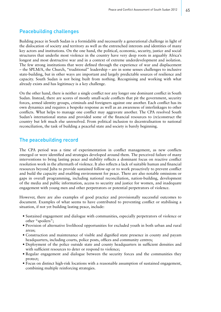# Peacebuilding challenges

Building peace in South Sudan is a formidable and necessarily a generational challenge in light of the dislocation of society and territory as well as the entrenched interests and identities of many key actors and institutions. On the one hand, the political, economic, security, justice and social structures that underlie most violence in the country have very deep roots in arguably Africa's longest and most destructive war and in a context of extreme underdevelopment and isolation. The few strong institutions that were defined through the experience of war and displacement – the SPLM/A, the Church, "traditional" leadership – are in some senses challenges to inclusive state-building, but in other ways are important and largely predictable sources of resilience and capacity. South Sudan is not being built from nothing. Recognising and working with what already exists and has legitimacy is a key challenge.

On the other hand, there is neither a single conflict nor any longer one dominant conflict in South Sudan. Instead, there are scores of mostly small-scale conflicts that pit the government, security forces, armed identity groups, criminals and foreigners against one another. Each conflict has its own dynamics and requires a bespoke response as well as an awareness of interlinkages to other conflicts. What helps to manage one conflict may aggravate another. The CPA resolved South Sudan's international status and provided some of the financial resources to (re)construct the country but left much else unresolved. From political inclusion to decentralisation to national reconciliation, the task of building a peaceful state and society is barely beginning.

# The peacebuilding record

The CPA period was a time of experimentation in conflict management, as new conflicts emerged or were identified and strategies developed around them. The perceived failure of many interventions to bring lasting peace and stability reflects a dominant focus on reactive conflict resolution work in the aftermath of violence. It also reflects a lack of suitable human and financial resources beyond Juba to provide sustained follow-up or to work proactively to prevent conflict and build the capacity and enabling environment for peace. There are also notable omissions or gaps in overall programming, including national reconciliation, nation-building, development of the media and public information, access to security and justice for women, and inadequate engagement with young men and other perpetrators or potential perpetrators of violence.

However, there are also examples of good practice and provisionally successful outcomes to document. Examples of what seems to have contributed to preventing conflict or stabilising a situation, if not yet building lasting peace, include:

- Sustained engagement and dialogue with communities, especially perpetrators of violence or other "spoilers";
- Provision of alternative livelihood opportunities for excluded youth in both urban and rural areas;
- Construction and maintenance of visible and dignified state presence in county and payam headquarters, including courts, police posts, offices and community centres;
- Deployment of the police outside state and county headquarters in sufficient densities and with sufficient resources to deter or respond to violence;
- Regular engagement and dialogue between the security forces and the communities they protect;
- Focus on distinct high-risk locations with a reasonable assumption of sustained engagement, combining multiple reinforcing strategies.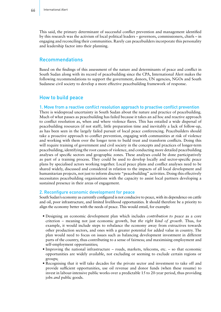This said, the primary determinant of successful conflict prevention and management identified by this research was the activism of local political leaders – governors, commissioners, chiefs – in engaging and reconciling their communities. Rarely can peacebuilders incorporate this personality and leadership factor into their planning.

# Recommendations

Based on the findings of this assessment of the nature and determinants of peace and conflict in South Sudan along with its record of peacebuilding since the CPA, International Alert makes the following recommendations to support the government, donors, UN agencies, NGOs and South Sudanese civil society to develop a more effective peacebuilding framework of response.

# How to build peace

### 1. Move from a reactive conflict resolution approach to proactive conflict prevention

There is widespread uncertainty in South Sudan about the nature and practice of peacebuilding. Much of what passes as peacebuilding has failed because it takes an ad hoc and reactive approach to conflict resolution as, when and where violence flares. This has entailed a wide dispersal of peacebuilding resources (if not staff), little preparation time and inevitably a lack of follow-up, as has been seen in the largely failed pursuit of local peace conferencing. Peacebuilders should take a proactive approach to conflict prevention, engaging with communities at risk of violence and working with them over the longer term to build trust and transform conflicts. Doing this will require training of government and civil society in the concepts and practices of longer-term peacebuilding, identifying the root causes of violence, and conducting more detailed peacebuilding analyses of specific sectors and geographic zones. These analyses could be done participatively as part of a training process. They could be used to develop locally and sector-specific peace plans by specialised actors working together. Local peace plans and conflict analyses need to be shared widely, discussed and considered in relation to the impacts of all local development and humanitarian projects, not just to inform discrete "peacebuilding" activities. Doing this effectively necessitates peacebuilding organisations with the capacity to assist local partners developing a sustained presence in their areas of engagement.

### 2. Reconfigure economic development for peace

South Sudan's economy as currently configured is not conducive to peace, with its dependence on cattle and oil, poor infrastructure, and limited livelihood opportunities. It should therefore be a priority to align the economy better with the needs of peace. This would entail, for example:

- Designing an economic development plan which includes *contribution to peace* as a core criterion – meaning not just economic growth, but *the right kind of growth*. Thus, for example, it would include steps to rebalance the economy away from extractives towards other production sectors, and ones with a greater potential for added value in country. The plan would need to focus on issues such as balancing development investment in different parts of the country, thus contributing to a sense of fairness; and maximising employment and self-employment opportunities;
- Improving the national infrastructure roads, markets, telecoms, etc. so that economic opportunities are widely available, not excluding or seeming to exclude certain regions or groups;
- Recognising that it will take decades for the private sector and investment to take off and provide sufficient opportunities, use oil revenue and donor funds (when these resume) to invest in labour-intensive public works over a predictable 15 to 20-year period, thus providing jobs *and* public goods.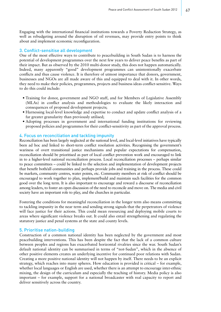Engaging with the international financial institutions towards a Poverty Reduction Strategy, as well as rebudgeting around the disruption of oil revenues, may provide entry points to think about and implement economic reconfiguration.

### 3. Conflict-sensitise all development

One of the most effective ways to contribute to peacebuilding in South Sudan is to harness the potential of development programmes over the next few years to deliver peace benefits as part of their impact. But as observed by the 2010 multi-donor study, this does not happen automatically. Indeed, many apparently "good" development programmes can unintentionally exacerbate conflicts and thus cause violence. It is therefore of utmost importance that donors, government, businesses and NGOs are all made aware of this and equipped to deal with it. In other words, they need to make their policies, programmes, projects and business ideas conflict-sensitive. Ways to do this could include:

- Training for donor, government and NGO staff, and for Members of Legislative Assembly (MLAs) in conflict analysis and methodologies to evaluate the likely interaction and consequences of proposed development projects;
- Harnessing local-level knowledge and expertise to conduct and update conflict analysis of a far greater granularity than previously utilised;
- Adopting processes in government and international funding institutions for reviewing proposed policies and programmes for their conflict-sensitivity as part of the approval process.

### 4. Focus on reconciliation and tackling impunity

Reconciliation has been largely neglected at the national level, and local-level initiatives have typically been ad hoc and linked to short-term conflict resolution activities. Recognising the government's wariness of overt transitional justice mechanisms and popular expectations for compensation, reconciliation should be prioritised as part of local conflict prevention work and encouraged to link in to a higher-level national reconciliation process. Local reconciliation processes – perhaps similar to peace committees – could be linked to the selection and implementation of development projects that benefit both/all communities and perhaps provide jobs and training in the process. These could be markets, community centres, water points, etc. Community members at risk of conflict should be encouraged to work together to plan, implement/build and maintain such facilities for the common good over the long term. It is also important to encourage and reward a discourse of reconciliation among leaders, to foster an open discussion of the need to reconcile and move on. The media and civil society have an important role to play, and the churches in particular.

Fostering the conditions for meaningful reconciliation in the longer term also means committing to tackling impunity in the near term and sending strong signals that the perpetrators of violence will face justice for their actions. This could mean resourcing and deploying mobile courts to areas where significant violence breaks out. It could also entail strengthening and regulating the statutory justice and penal systems at the state and county levels.

### 5. Prioritise nation-building

Construction of a common national identity has been neglected by the government and most peacebuilding interventions. This has been despite the fact that the lack of a common culture between peoples and regions has exacerbated horizontal rivalries since the war. South Sudan's default national identity can be summarised in terms of "not-Sudan", which in the absence of other positive elements creates an underlying incentive for continued poor relations with Sudan. Creating a more positive national identity will not happen by itself. There needs to be an explicit strategy, which reaches into many spheres. How education is provided is critical – for example, whether local languages or English are used, whether there is an attempt to encourage inter-ethnic mixing, the design of the curriculum and especially the teaching of history. Media policy is also important – for example, support for a national broadcaster with real capacity to report and deliver sensitively across the country.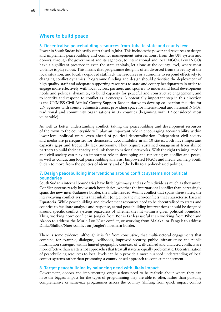# Where to build peace

#### 6. Decentralise peacebuilding resources from Juba to state and county level

Power in South Sudan is heavily centralised in Juba. This includes the power and resources to design and implement peacebuilding and conflict management interventions, from the UN system and donors, through the government and its agencies, to international and local NGOs. Few INGOs have a significant presence in even the state capitals, let alone at the county level, where most violence is played out. This means that programme design is often divorced from the reality of the local situation, and locally deployed staff lack the resources or autonomy to respond effectively to changing conflict dynamics. Programme funding and design should prioritise the deployment of high quality staff and adequate supporting resources to state and county headquarters in order to engage more effectively with local actors, partners and spoilers to understand local development needs and political dynamics, to build capacity for peaceful and constructive engagement, and to identify and respond to conflict as it emerges. A potentially important step in this direction is the UNMISS Civil Affairs' County Support Base initiative to develop co-location facilities for UN agencies with county administrations, providing space for international and national NGOs, traditional and community organisations in 35 counties (beginning with 19 considered most vulnerable).

As well as better understanding conflict, taking the peacebuilding and development resources of the town to the countryside will play an important role in encouraging accountability within lower-level political units, even ahead of political decentralisation. Independent civil society and media are prerequisites for democratic accountability in all 10 states. Both have important capacity gaps and frequently lack autonomy. They require sustained engagement from skilled partners to build their capacity and link them to national networks. With the right training, media and civil society can play an important role in developing and reporting on conflict and peace, as well as conducting local peacebuilding analysis. Empowered NGOs and media can help South Sudan to move from the politics of identity and of the belly to a policy-based politics.

## 7. Design peacebuilding interventions around conflict systems not political boundaries

South Sudan's internal boundaries have little legitimacy and as often divide as much as they unite. Conflict systems rarely know such boundaries, whether the international conflict that increasingly spans the new inter-Sudanese border, the multi-headed Wunlit conflict that spans three states, the interweaving conflict systems that inhabit Jonglei, or the micro-conflicts that characterise Eastern Equatoria. While peacebuilding and development resources need to be decentralised to states and counties to facilitate analysis and response, actual peacebuilding interventions should be designed around specific conflict systems regardless of whether they fit within a given political boundary. Thus, working "on" conflict in Jonglei from Bor is far less useful than working from Pibor and Akobo to address the Murle-Lou Nuer conflict, or working from Malakal or Fangak to address Dinka/Shilluk/Nuer conflict on Jonglei's northern border.

There is some evidence, although it is far from conclusive, that multi-sectoral engagements that combine, for example, dialogue, livelihoods, improved security, public infrastructure and public information strategies within limited geographic contexts of well-defined and analysed conflicts are more effective than scattershot approaches that treat all states as equally problematic. Decentralisation of peacebuilding resources to local levels can help provide a more nuanced understanding of local conflict systems rather than promoting a county-based approach to conflict management.

#### 8. Target peacebuilding by balancing need with likely impact

Government, donors and implementing organisations need to be realistic about where they can have the biggest impact for the types of programming they are able to offer, rather than pursuing comprehensive or same-size programmes across the country. Shifting from quick impact conflict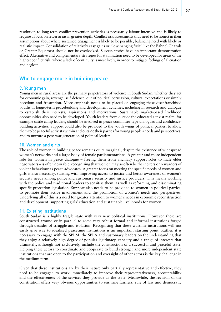resolution to long-term conflict prevention activities is necessarily labour intensive and is likely to require a focus on fewer areas in greater depth. Conflict risk assessments thus need to be honest in their assumptions about where sustained engagement is likely to be possible, balancing need with likely or realistic impact. Consolidation of relatively easy gains or "low-hanging fruit" like the Bahr el-Ghazals or Greater Equatoria should not be overlooked. Success stories have an important demonstration effect. Alternative and complementary strategies for stabilisation need to be developed for areas of the highest conflict risk, where a lack of continuity is most likely, in order to mitigate feelings of alienation and neglect.

# Who to engage more in building peace

#### 9. Young men

Young men in rural areas are the primary perpetrators of violence in South Sudan, whether they act for economic gain, revenge, self-defence, out of political persuasion, cultural expectations or simply boredom and frustration. More emphasis needs to be placed on engaging these disenfranchised youths in longer-term peacebuilding and development activities, including in research and dialogue to establish their interests, aspirations and motivations. Sustainable market-based livelihood opportunities also need to be developed. Youth leaders from outside the educated activist realm, for example cattle camp leaders, should be involved in peace committee type dialogues and confidencebuilding activities. Support could also be provided to the youth wings of political parties, to allow them to be peaceful activists within and outside their parties for young people's needs and perspectives, and to nurture a post-war generation of political leaders.

### 10. Women and girls

The role of women in building peace remains quite marginal, despite the existence of widespread women's networks and a large body of female parliamentarians. A greater and more independent role for women in peace dialogue – freeing them from ancillary support roles to male elder negotiators – is often desirable, recognising that women may as often be the inciters or rewarders of violent behaviour as peace advocates. A greater focus on meeting the specific needs of women and girls is also necessary, starting with improving access to justice and better awareness of women's security needs among police and customary security and justice providers. This means working with the police and traditional leaders to sensitise them, as well as reforming and disseminating specific protection legislation. Support also needs to be provided to women in political parties, to promote their active involvement and the promotion of women's needs and perspectives. Underlying all of this is a need for greater attention to women's needs in economic reconstruction and development, supporting girls' education and sustainable livelihoods for women.

#### 11. Existing institutions

South Sudan is a highly fragile state with very new political institutions. However, these are constructed around or in parallel to some very robust formal and informal institutions forged through decades of struggle and isolation. Recognising that these wartime institutions will not easily give way to idealised peacetime institutions is an important starting point. Rather, it is necessary to engage with the SPLM, the SPLA and customary leaders on the understanding that they enjoy a relatively high degree of popular legitimacy, capacity and a range of interests that ultimately, although not exclusively, include the construction of a successful and peaceful state. Helping these actors to coordinate and cooperate to build stronger and more independent state institutions that are open to the participation and oversight of other actors is the key challenge in the medium term.

Given that these institutions are by their nature only partially representative and effective, they need to be engaged to work immediately to improve their representativeness, accountability and the effectiveness of the services they provide as the state. Meanwhile, the revision of the constitution offers very obvious opportunities to enshrine fairness, rule of law and democratic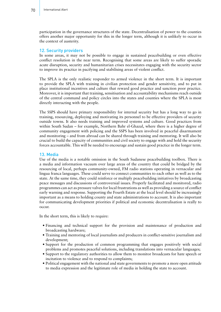participation in the governance structures of the state. Decentralisation of power to the counties offers another major opportunity for this in the longer term, although it is unlikely to occur in the context of austerity.

### 12. Security providers

In some areas, it may not be possible to engage in sustained peacebuilding or even effective conflict resolution in the near term. Recognising that some areas are likely to suffer sporadic acute disruption, security and humanitarian crises necessitates engaging with the security sector to improve its practice in pacifying and stabilising areas of violent conflict.

The SPLA is the only realistic responder to armed violence in the short term. It is important to provide the SPLA with training in civilian protection and gender sensitivity, and to put in place institutional incentives and culture that reward good practice and sanction poor practice. Moreover, it is important that training, sensitisation and accountability mechanisms reach outside of the central command and policy circles into the states and counties where the SPLA is most directly interacting with the people.

The SSPS should have primary responsibility for internal security but has a long way to go in training, resourcing, deploying and motivating its personnel to be effective providers of security outside towns. It also needs training and improved systems and culture. Good practices from within South Sudan – for example, Northern Bahr el-Ghazal, where there is a higher degree of community engagement with policing and the SSPS has been involved in peaceful disarmament and monitoring – and from abroad can be shared through training and mentoring. It will also be crucial to build the capacity of communities and civil society to engage with and hold the security forces accountable. This will be needed to encourage and sustain good practice in the longer term.

#### 13. Media

Use of the media is a notable omission in the South Sudanese peacebuilding toolbox. There is a media and information vacuum over large areas of the country that could be bridged by the resourcing of local, perhaps community-owned, FM radio stations operating in vernacular and lingua franca languages. These could serve to connect communities to each other as well as to the state. At the same time, they could reinforce or multiply peacebuilding initiatives by broadcasting peace messages and discussions of controversial issues. Properly facilitated and monitored, radio programmes can act as pressure valves for local frustrations as well as providing a source of conflict early warning and response. Supporting the Fourth Estate at the local level should be increasingly important as a means to holding county and state administrations to account. It is also important for communicating development priorities if political and economic decentralisation is really to occur.

In the short term, this is likely to require:

- Financing and technical support for the provision and maintenance of production and broadcasting hardware;
- Training and mentoring of local journalists and producers in conflict-sensitive journalism and development;
- Support for the production of common programming that engages positively with social problems and promotes peaceful solutions, including translations into vernacular languages;
- Support to the regulatory authorities to allow them to monitor broadcasts for hate speech or incitation to violence and to respond to complaints;
- Political engagement with the national and state governments to promote a more open attitude to media expression and the legitimate role of media in holding the state to account.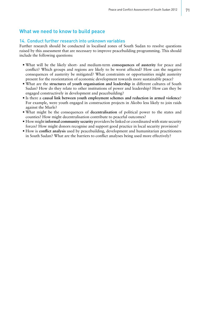# What we need to know to build peace

### 14. Conduct further research into unknown variables

Further research should be conducted in localised zones of South Sudan to resolve questions raised by this assessment that are necessary to improve peacebuilding programming. This should include the following questions:

- What will be the likely short- and medium-term **consequences of austerity** for peace and conflict? Which groups and regions are likely to be worst affected? How can the negative consequences of austerity be mitigated? What constraints or opportunities might austerity present for the reorientation of economic development towards more sustainable peace?
- What are the **structures of youth organisation and leadership** in different cultures of South Sudan? How do they relate to other institutions of power and leadership? How can they be engaged constructively in development and peacebuilding?
- Is there a **causal link between youth employment schemes and reduction in armed violence**? For example, were youth engaged in construction projects in Akobo less likely to join raids against the Murle?
- What might be the consequences of **decentralisation** of political power to the states and counties? How might decentralisation contribute to peaceful outcomes?
- How might **informal community security** providers be linked or coordinated with state security forces? How might donors recognise and support good practice in local security provision?
- How is **conflict analysis** used by peacebuilding, development and humanitarian practitioners in South Sudan? What are the barriers to conflict analyses being used more effectively?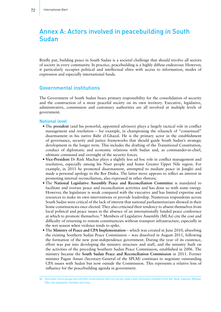# Annex A: Actors involved in peacebuilding in South Sudan

Briefly put, building peace in South Sudan is a societal challenge that should involve all sectors of society in every community. In practice, peacebuilding is a highly diffuse endeavour. However, it particularly occupies political and intellectual elites with access to information, modes of expression and especially international funds.

# Governmental institutions

The Government of South Sudan bears primary responsibility for the consolidation of security and the construction of a more peaceful society on its own territory. Executive, legislative, administrative, commission and customary authorities are all involved at multiple levels of government.

#### National level

- The **president** (and his powerful, appointed advisors) plays a largely tactical role in conflict management and resolution – for example, in championing the relaunch of "consensual" disarmament in his native Bahr el-Ghazal. He is the primary actor in the establishment of governance, security and justice frameworks that should guide South Sudan's strategic development in the longer term. This includes the drafting of the Transitional Constitution, conduct of diplomatic and economic relations with Sudan and, as commander-in-chief, ultimate command and oversight of the security forces.
- **Vice-President** Dr Riek Machar plays a slightly less ad hoc role in conflict management and resolution, especially among his Nuer people and home Greater Upper Nile region. For example, in 2011 he promoted disarmament, attempted to mediate peace in Jonglei and made a personal apology to the Bor Dinka. The latter move appears to reflect an interest in promoting internal reconciliation, also expressed in other rhetoric.
- The **National Legislative Assembly Peace and Reconciliation Committee** is mandated to facilitate and oversee peace and reconciliation activities and has done so with some energy. However, the legislature is weak compared with the executive and has limited expertise and resources to make its own interventions or provide leadership. Numerous respondents across South Sudan were critical of the lack of interest that national parliamentarians showed in their home constituencies once elected. They also criticised their tendency to absent themselves from local political and peace issues in the absence of an internationally funded peace conference at which to promote themselves.<sup>58</sup> Members of Legislative Assembly (MLAs) cite the cost and difficulty of returning to remote constituencies without transport infrastructure, especially in the wet season when violence tends to spike.
- The **Ministry of Peace and CPA Implementation** which was created in June 2010, absorbing the existing Southern Sudan Peace Commission – was dissolved in August 2011, following the formation of the new post-independence government. During the year of its existence, effort was put into developing the ministry structure and staff, and the ministry built on the activities of the preceding Southern Sudan Peace Commission, established in 2006. The ministry became the **South Sudan Peace and Reconciliation Commission** in 2011. Former minister Pagan Amun (Secretary-General of the SPLM) continues to negotiate outstanding CPA issues with Sudan but now outside the Commission. This represents a relative loss of influence for the peacebuilding agenda in government.

<sup>58</sup> Interviews, focus groups and informal conversations with civil society, elders and community members from Bor, Budi, Kapoeta, Malakal, Pibor (by telephone), Rumbek and Unity.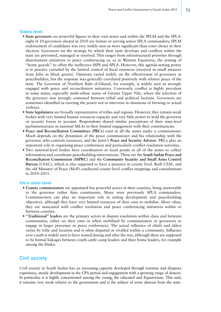#### States level

- **State governors** are powerful figures in their own states and within the SPLM and the SPLA: eight of 10 governors elected in 2010 are former or serving senior SPLA commanders; SPLM endorsement of candidates was very widely seen as more significant than voter choice in their election. Governors set the strategy by which their state develops and conflicts within the state are prevented, managed or resolved. This ranges from infrastructural priorities through disarmament initiatives to peace conferencing or, as in Western Equatoria, the arming of "home guards" to offset the ineffective SSPS and SPLA. However, this agenda-setting power is in practice curtailed by the limited control of fiscal resources (received in small measure from Juba as block grants). Opinions varied widely on the effectiveness of governors as peacebuilders, but the response was generally correlated positively with relative peace of the state. The Governor of Northern Bahr el-Ghazal, for example, is widely seen as strongly engaged with peace and reconciliation initiatives. Conversely, conflict is highly prevalent in some states, especially multi-ethnic states of Greater Upper Nile, where the selection of the governor was strongly contested between tribal and political factions. Governors are sometimes identified as exerting the power not to intervene in situations of brewing or actual violence.
- **State legislatures** are broadly representative of tribes and regions. However, they remain weak bodies with very limited human resources capacity and very little power to hold the governor or security forces to account. Respondents shared similar perceptions of their state-level parliamentarians as national MLAs in their limited engagement with their constituencies.
- **Peace and Reconciliation Committees (PRCs)** exist in all the states under a commissioner. Much depends on the dynamism of the peace commissioner and his relationship with the governor, who controls resources, and the latter's **Peace and Security Advisor**. PRCs play an important role in organising peace conferences and particularly conflict resolution activities.
- Two national-level bodies have coordinators or focal points in all of the states to collect information and coordinate peacebuilding interventions. These are the **South Sudan Peace and Reconciliation Commission (SSPRC)** and the **Community Security and Small Arms Control Bureau** (CSAC), which is also supposed to have a presence at county level. Both CSAC and the old Ministry of Peace (MoP) conducted county-level conflict mappings and consultations in 2010–2011.

#### Intra-state level

- **County commissioners** are appointed but powerful actors in their counties, being answerable to the governor rather than constituents. Many were previously SPLA commanders. Commissioners can play an important role in setting development and peacebuilding objectives, although they have very limited resources of their own to mobilise. More often, they are associated with conflict resolution and peace conferencing initiatives within or between counties.
- **"Traditional" leaders** are the primary actors in dispute resolution within clans and between communities, either on their own or when mobilised by commissioners or governors to engage in larger processes or peace conferences. The actual influence of chiefs and elders varies by tribe and location and is often disputed or rivalled within a community. Influence over youth is widely seen to have waned during and after the war, although there are supposed to be formal linkages between youth cattle camp leaders and their boma leaders, for example among the Dinka.

## Civil society

Civil society in South Sudan has an increasing capacity developed through wartime and diaspora experience, steady development in the CPA period and engagement with a growing range of donors. In particular, it is highly concentrated among the young, the educated and Equatorians. This said, it remains very weak relative to the government and is the subject of some distrust from the state.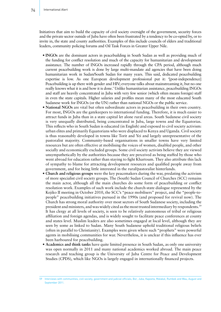Initiatives that aim to build the capacity of civil society oversight of the government, security forces and the private sector outside of Juba have often been frustrated by a tendency to be co-opted by, or to invite in, the state and county authorities. Examples of this include councils of elders and traditional leaders, community policing forums and Oil Task Forces in Greater Upper Nile.

- **INGOs** are the dominant actors in peacebuilding in South Sudan as well as providing much of the funding for conflict resolution and much of the capacity for humanitarian and development assistance. The number of INGOs increased rapidly through the CPA period, although much current peacebuilding work is done by large multi-mandate aid agencies that have been doing humanitarian work in Sudan/South Sudan for many years. This said, dedicated peacebuilding expertise is low. As one European development professional put it: '[post-independence] Peacebuilding is up there with gender and HIV; everyone talks about mainstreaming it, but no one really knows what it is and how it is done.' Unlike humanitarian assistance, peacebuilding INGOs and staff are heavily concentrated in Juba with very few senior (which often means foreign) staff in even the state capitals. Higher salaries and profiles mean many of the most educated South Sudanese work for INGOs (or the UN) rather than national NGOs or the public service.
- **National NGOs** are vital but often subordinate actors in peacebuilding in their own country. For most, INGOs are the gatekeepers to international funding. Therefore, it is much easier to attract funds in Juba than in a state capital let alone rural areas. South Sudanese civil society is very unequally distributed, being concentrated in Juba, large towns and the Equatorias. This reflects who in South Sudan is educated (in English) and exposed to civil society activism: urban elites and primarily Equatorians who were displaced to Kenya and Uganda. Civil society is thus reasonably developed in towns like Torit and Yei and largely unrepresentative of the pastoralist majority. Community-based organisations in smaller towns have very limited resources but are often effective at mobilising the voices of women, disabled people, and other socially and economically excluded groups. Some civil society activists believe they are viewed unsympathetically by the authorities because they are perceived as being staffed by those who went abroad for education rather than staying to fight Khartoum. They also attribute this lack of sympathy to blame for attracting development resources and qualified people away from government, and for being little interested in the rural/pastoralist hinterlands.
- **Church and religious groups** were the key peacemakers during the war, predating the activism of more specialist civil society groups. The (South) Sudan Council of Churches (SCC) remains the main actor, although all the main churches do some form of peacebuilding or conflict resolution work. Examples of such work include the church-state dialogue represented by the Kejiko II meeting in October 2010, the SCC's "peace mobilisers" project, and the "people-topeople" peacebuilding initiatives pursued in the 1990s (and proposed for revival now). The Church has strong moral authority over most sectors of South Sudanese society, including the president and ministers, and was widely cited as the most trusted intermediary by respondents.59 It has clergy at all levels of society, is seen to be relatively autonomous of tribal or religious affiliation and foreign agendas, and is widely sought to facilitate peace conferences at county and states level. Muslim leaders are also sometimes engaged at local level, although they are seen by some as linked to Sudan. Many South Sudanese uphold traditional religious beliefs (often in parallel to Christianity). Examples were given where such "prophets" were powerful agents in mobilising communities for war. Nevertheless, it is unclear if this influence has ever been harboured for peacebuilding.
- **Academics and think tanks** have quite limited presence in South Sudan, as only one university was open normally in 2011 and many national academics worked abroad. The main peace research and teaching group is the University of Juba Centre for Peace and Development Studies (CPDS), which like NGOs is largely engaged in internationally financed projects.

<sup>59</sup> Interviews with communities, civil society, government and judicial officials, Bor, Juba, Kapoeta, Malakal, Rumbek and Wau, August and September 2011.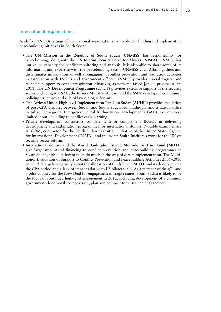### International organisations

Aside from INGOs, a range of international organisations are involved in funding and implementing peacebuilding initiatives in South Sudan.

- The **UN Mission in the Republic of South Sudan (UNMISS)** has responsibility for peacekeeping, along with the **UN Interim Security Force for Abyei (UNISFA).** UNMISS has unrivalled capacity for conflict monitoring and analysis. It is also able to share some of its information and expertise with the peacebuilding sector. UNMISS Civil Affairs gathers and disseminates information as well as engaging in conflict prevention and resolution activities in association with INGOs and government offices. UNMISS provides crucial logistic and technical support to conflict resolution initiatives, as with the failed Jonglei process in late 2011. The **UN Development Programme** (UNDP) provides extensive support in the security sector, including to CSAC, the former Ministry of Peace and the SSPS, developing community policing structures and rule of law dialogue forums.
- The **African Union High-level Implementation Panel on Sudan (AUHIP)** provides mediation of post-CPA disputes between Sudan and South Sudan from Ethiopia and a liaison office in Juba. The regional **Intergovernmental Authority on Development (IGAD)** provides very limited input, including to conflict early warning.
- **Private development contractors** compete with or complement INGOs in delivering development and stabilisation programmes for international donors. Notable examples are AECOM, contractor for the South Sudan Transition Initiative of the United States Agency for International Development (USAID), and the Adam Smith Institute's work for the UK on security sector reform.
- **International donors and the World Bank administered Multi-donor Trust Fund (MDTF)** give large amounts of financing to conflict prevention and peacebuilding programmes in South Sudan, although few of them do much in the way of direct implementation. The Multidonor Evaluation of Support to Conflict Prevention and Peacebuilding Activities 2005–2010 concluded largely negatively about the allocation of funds by the MDTF and its donors during the CPA period and a lack of impact relative to US bilateral aid. As a member of the **g7+** and a pilot country for the **New Deal for engagement in fragile states**, South Sudan is likely to be the focus of continued high-level engagement in 2012, including development of a common government-donor-civil society vision, plan and compact for sustained engagement.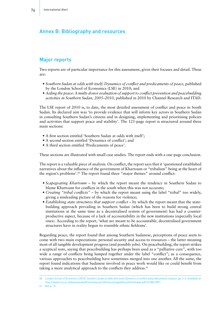# Annex B: Bibliography and resources

# Major reports

Two reports are of particular importance for this assessment, given their focuses and detail. These are:

- *Southern Sudan at odds with itself: Dynamics of conflict and predicaments of peace*, published by the London School of Economics (LSE) in 2010; and
- *Aiding the peace: A multi-donor evaluation of support to conflict prevention and peacebuilding activities in Southern Sudan, 2005–2010*, published in 2010 by Channel Research and ITAD.

The LSE report of 2010 is, to date, the most detailed assessment of conflict and peace in South Sudan. Its declared aim was 'to provide evidence that will inform key actors in Southern Sudan in consulting Southern Sudan's citizens and in designing, implementing and prioritising policies and activities that support peace and stability'. The 121-page report is structured around three main sections:

- A first section entitled 'Southern Sudan at odds with itself';
- A second section entitled 'Dynamics of conflict'; and
- A third section entitled 'Predicaments of peace'.

These sections are illustrated with small case studies. The report ends with a one-page conclusion.

The report is a valuable piece of analysis. On conflict, the report says that it 'questioned established narratives about the influence of the government of Khartoum or "tribalism" being at the heart of the region's problems'.60 The report found three "major themes" around conflict:

- *Scapegoating Khartoum* by which the report meant the tendency in Southern Sudan to blame Khartoum for conflicts in the south when this was not accurate;
- *Creating "tribal conflicts"* by which the report meant using the label "tribal" too widely, giving a misleading picture of the reasons for violence;
- *Establishing state structures that support conflict* by which the report meant that the statebuilding approach prevailing in Southern Sudan (which has been to build strong central institutions at the same time as a decentralised system of government) has had a counterproductive aspect, because of a lack of accountability in the new institutions (especially local ones). According to the report, 'what are meant to be accountable, decentralised government structures have in reality begun to resemble ethnic fiefdoms'.

Regarding peace, the report found that among Southern Sudanese, perceptions of peace seem to come with two main expectations: personal security and access to resources – the latter meaning most of all tangible development progress (and possibly jobs). On peacebuilding, the report strikes a sceptical note, saying that peacebuilding has perhaps been used as a "palliative cure", with too wide a range of conflicts being lumped together under the label "conflict"; as a consequence, various approaches to peacebuilding have sometimes merged into one another. All the same, the report found indications that Sudanese involved in peace work would like or could benefit from taking a more analytical approach to the conflicts they address.<sup>61</sup>

61 *Ibid*, p. 72.

<sup>60</sup> London School of Economics (2010). *Southern Sudan at odds with itself: Dynamics of conflict and predicaments of peace*, pp. 5–6. Available at: <http://www2.lse.ac.uk/businessAndConsultancy/LSEConsulting/pdf/southernSudan.pdf> (5.7Mb PDF).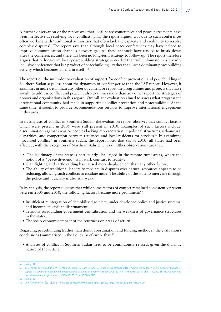A further observation of the report was that local peace conferences and peace agreements have been ineffective at resolving local conflicts. This, the report argues, was due to such conferences often working with 'traditional authorities that often lack the capacity and credibility to resolve complex disputes'. The report says that although local peace conferences may have helped to improve communication channels between groups, these channels have tended to break down after the conferences, and there has been no long-term strategy to follow up. The report therefore argues that 'a long-term local peacebuilding strategy is needed that will culminate in a broadly inclusive conference that is a product of peacebuilding – rather than just a dominant peacebuilding activity which becomes an end in itself'.62

The report on the multi-donor evaluation of support for conflict prevention and peacebuilding in Southern Sudan says less about the dynamics of conflict *per se* than the LSE report. However, it examines in more detail than any other document or report the programmes and projects that have sought to address conflict and peace. It also examines more than any other report the strategies of donors and organisations in this regard. Overall, the evaluation aimed to assess what progress the international community had made in supporting conflict prevention and peacebuilding. At the same time, it sought to provide recommendations on how to improve international engagement in this area.

In its analysis of conflict in Southern Sudan, the evaluation report observes that conflict factors which were present in 2005 were still present in 2010. Examples of such factors include: discrimination against areas or peoples lacking representation in political structures; urban/rural disparities; and competition between returnees and local residents for services.<sup>63</sup> In examining "localised conflict" in Southern Sudan, the report notes that (as of 2010) all states had been affected, with the exception of Northern Bahr el Ghazal. Other observations are that:

- 'The legitimacy of the state is particularly challenged in the remote rural areas, where the notion of a "peace dividend" is in stark contrast to reality';
- Clan fighting and cattle raiding has caused more displacement than any other factor;
- The ability of traditional leaders to mediate in disputes over natural resources appears to be reducing, allowing such conflicts to escalate more. The ability of the state to intervene through the police and judiciary is also still weak.

In its analysis, the report suggests that while some factors of conflict remained consistently present between 2005 and 2010, the following factors became more prominent:<sup>64</sup>

- Insufficient reintegration of demobilised soldiers, under-developed police and justice systems, and incomplete civilian disarmament;
- Tensions surrounding government centralisation and the weakness of governance structures in the states;
- The socio-economic impact of the returnees on areas of return.

Regarding peacebuilding (rather than donor coordination and funding methods), the evaluation's conclusions (summarised in the Policy Brief) were that:<sup>65</sup>

• Analyses of conflict in Southern Sudan need to be continuously revised, given the dynamic nature of the setting;

<sup>62</sup> *Ibid*, p. 10.

<sup>63</sup> J. Bennett, S. Pantuliano, W. Fenton, A. Vaux, C. Barnett and E. Brusset (December 2010). *Aiding the peace: A multi-donor evaluation of support to conflict prevention and peacebuilding activities in Southern Sudan 2005–2010*, Channel Research and ITAD, pp. 36-41. Available at: <http://www.oecd.org/dataoecd/3/40/46895095.pdf> (8.5Mb PDF).

<sup>64</sup> *Ibid*, p. 43.

<sup>65</sup> *Ibid*, 'Policy brief' (2010), p. 5. Available at http://www.oecd.org/dataoecd/12/32/47063482.pdf (161Kb PDF).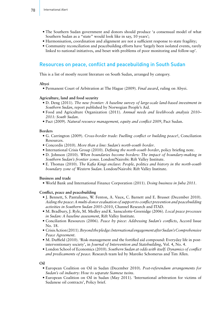- The Southern Sudan government and donors should produce 'a consensual model of what Southern Sudan as a "state" would look like in say, 10 years';
- Harmonisation, coordination and alignment are not a sufficient response to state fragility;
- Community reconciliation and peacebuilding efforts have 'largely been isolated events, rarely linked to national initiatives, and beset with problems of poor monitoring and follow-up'.

# Resources on peace, conflict and peacebuilding in South Sudan

This is a list of mostly recent literature on South Sudan, arranged by category.

### **Abyei**

• Permanent Court of Arbitration at The Hague (2009). *Final award*, ruling on Abyei.

### **Agriculture, land and food security**

- D. Deng (2011). *The new frontier: A baseline survey of large-scale land-based investment in Southern Sudan*, report published by Norwegian People's Aid.
- Food and Agriculture Organization (2011). *Annual needs and livelihoods analysis 2010– 2011: South Sudan*.
- Pact (2009). *Natural resource management, equity and conflict 2009*, Pact Sudan.

### **Borders**

- G. Carrington (2009). *Cross-border trade: Fuelling conflict or building peace?*, Conciliation Resources.
- Concordis (2010). *More than a line: Sudan's north-south border*.
- International Crisis Group (2010). *Defining the north-south border*, policy briefing note.
- D. Johnson (2010). *When boundaries become borders: The impact of boundary-making in Southern Sudan's frontier zones*. London/Nairobi: Rift Valley Institute.
- E. Thomas (2010). *The Kafia Kingi enclave: People, politics and history in the north-south boundary zone of Western Sudan*. London/Nairobi: Rift Valley Institute.

### **Business and trade**

• World Bank and International Finance Corporation (2011). *Doing business in Juba 2011*.

### **Conflict, peace and peacebuilding**

- J. Bennett, S. Pantuliano, W. Fenton, A. Vaux, C. Barnett and E. Brusset (December 2010). *Aiding the peace: A multi-donor evaluation of support to conflict prevention and peacebuilding activities in Southern Sudan 2005–2010*, Channel Research and ITAD.
- M. Bradbury, J. Ryle, M. Medley and K. Sansculotte-Greenidge (2006). *Local peace processes in Sudan: A baseline assessment*, Rift Valley Institute.
- Conciliation Resources (2006). *Peace by piece: Addressing Sudan's conflicts*, Accord Issue No. 18.
- CrisisAction(2011).*Beyond the pledge: International engagement after Sudan's Comprehensive Peace Agreement*.
- M. Duffield (2010). 'Risk-management and the fortified aid compound: Everyday life in postinterventionary society', in *Journal of Intervention and Statebuilding*, Vol. 4, No. 4.
- London School of Economics (2010). *Southern Sudan at odds with itself: Dynamics of conflict and predicaments of peace.* Research team led by Mareike Schomerus and Tim Allen.

**Oil**

- European Coalition on Oil in Sudan (December 2010). *Post-referendum arrangements for Sudan's oil industry: How to separate Siamese twins*.
- European Coalition on Oil in Sudan (May 2011). 'International arbitration for victims of Sudanese oil contracts', Policy brief.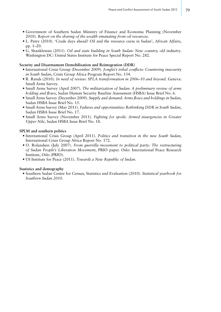- Government of Southern Sudan Ministry of Finance and Economic Planning (November 2010). *Report on the sharing of the wealth emanating from oil resources*.
- L. Patey (2010). 'Crude days ahead? Oil and the resource curse in Sudan', *African Affairs*, pp. 1–20.
- G. Shankleman (2011). *Oil and state building in South Sudan: New country, old industry*. Washington DC: United States Institute for Peace Special Report No. 282.

#### **Security and Disarmament Demobilisation and Reintegration (DDR)**

- International Crisis Group (December 2009). *Jonglei's tribal conflicts: Countering insecurity in South Sudan*, Crisis Group Africa Program Report No. 154.
- R. Rands (2010). *In need of review: SPLA transformation in 2006–10 and beyond*. Geneva: Small Arms Survey.
- Small Arms Survey (April 2007). *The militarization of Sudan: A preliminary review of arms holding and flows*, Sudan Human Security Baseline Assessment (HSBA) Issue Brief No. 6.
- Small Arms Survey (December 2009). *Supply and demand: Arms flows and holdings in Sudan*, Sudan HSBA Issue Brief No. 15.
- Small Arms Survey (May 2011). *Failures and opportunities: Rethinking DDR in South Sudan*, Sudan HSBA Issue Brief No. 17.
- Small Arms Survey (November 2011). *Fighting for spoils: Armed insurgencies in Greater Upper Nile*, Sudan HSBA Issue Brief No. 18.

### **SPLM and southern politics**

- International Crisis Group (April 2011). *Politics and transition in the new South Sudan*, International Crisis Group Africa Report No. 172.
- O. Rolandsen (July 2007). *From guerrilla movement to political party: The restructuring of Sudan People's Liberation Movement*, PRIO paper. Oslo: International Peace Research Institute, Oslo (PRIO).
- US Institute for Peace (2011). *Towards a New Republic of Sudan*.

#### **Statistics and demography**

• Southern Sudan Centre for Census, Statistics and Evaluation (2010). *Statistical yearbook for Southern Sudan 2010*.